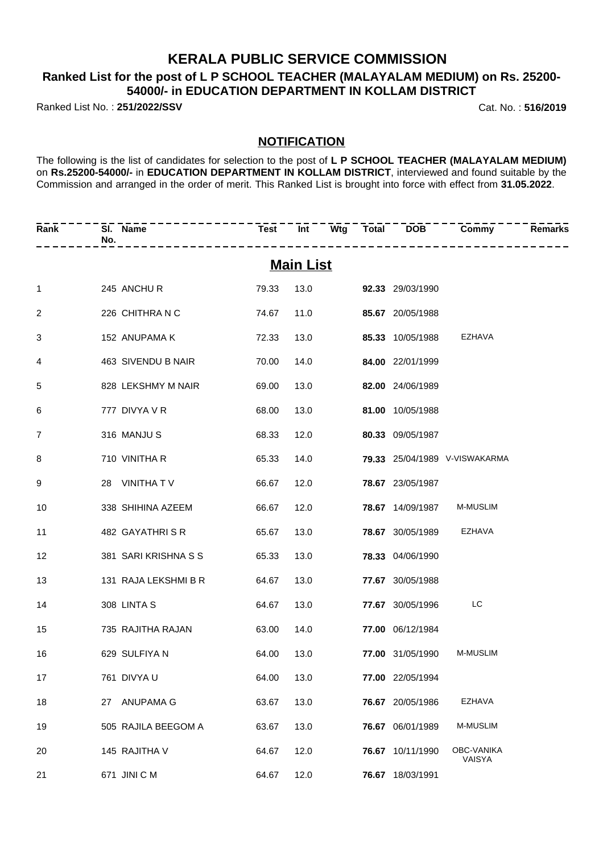### **KERALA PUBLIC SERVICE COMMISSION**

### **Ranked List for the post of L P SCHOOL TEACHER (MALAYALAM MEDIUM) on Rs. 25200- 54000/- in EDUCATION DEPARTMENT IN KOLLAM DISTRICT**

Ranked List No. : **251/2022/SSV** Cat. No. : **516/2019**

#### **NOTIFICATION**

The following is the list of candidates for selection to the post of **L P SCHOOL TEACHER (MALAYALAM MEDIUM)** on **Rs.25200-54000/-** in **EDUCATION DEPARTMENT IN KOLLAM DISTRICT**, interviewed and found suitable by the Commission and arranged in the order of merit. This Ranked List is brought into force with effect from **31.05.2022**.

| Rank           | No. | SI. Name             | ---------------------- |                  |  |                         | Test Int Wtg Total DOB Commy<br>--------- | <b>Remarks</b> |
|----------------|-----|----------------------|------------------------|------------------|--|-------------------------|-------------------------------------------|----------------|
|                |     |                      |                        | <b>Main List</b> |  |                         |                                           |                |
| $\mathbf{1}$   |     | 245 ANCHU R          | 79.33                  |                  |  | 13.0 92.33 29/03/1990   |                                           |                |
| $\overline{c}$ |     | 226 CHITHRA N C      | 74.67                  | 11.0             |  | 85.67 20/05/1988        |                                           |                |
| 3              |     | 152 ANUPAMA K        | 72.33                  | 13.0             |  | 85.33 10/05/1988        | <b>EZHAVA</b>                             |                |
| 4              |     | 463 SIVENDU B NAIR   | 70.00                  | 14.0             |  | 84.00 22/01/1999        |                                           |                |
| 5              |     | 828 LEKSHMY M NAIR   | 69.00                  | 13.0             |  | 82.00 24/06/1989        |                                           |                |
| 6              |     | 777 DIVYA V R        | 68.00                  | 13.0             |  | 81.00 10/05/1988        |                                           |                |
| $\overline{7}$ |     | 316 MANJU S          | 68.33                  | 12.0             |  | 80.33 09/05/1987        |                                           |                |
| 8              |     | 710 VINITHA R        | 65.33                  | 14.0             |  |                         | 79.33 25/04/1989 V-VISWAKARMA             |                |
| 9              |     | 28 VINITHATV         | 66.67                  | 12.0             |  | 78.67 23/05/1987        |                                           |                |
| 10             |     | 338 SHIHINA AZEEM    | 66.67                  | 12.0             |  |                         | 78.67 14/09/1987 M-MUSLIM                 |                |
| 11             |     | 482 GAYATHRISR       | 65.67                  | 13.0             |  | <b>78.67</b> 30/05/1989 | EZHAVA                                    |                |
| 12             |     | 381 SARI KRISHNA S S | 65.33                  | 13.0             |  | 78.33 04/06/1990        |                                           |                |
| 13             |     | 131 RAJA LEKSHMI B R | 64.67                  | 13.0             |  | 77.67 30/05/1988        |                                           |                |
| 14             |     | 308 LINTA S          | 64.67                  | 13.0             |  | 77.67 30/05/1996        | LC                                        |                |
| 15             |     | 735 RAJITHA RAJAN    | 63.00                  | 14.0             |  | 77.00 06/12/1984        |                                           |                |
| 16             |     | 629 SULFIYA N        | 64.00                  | 13.0             |  | 77.00 31/05/1990        | <b>M-MUSLIM</b>                           |                |
| 17             |     | 761 DIVYA U          |                        | 64.00 13.0       |  | 77.00 22/05/1994        |                                           |                |
| 18             |     | 27 ANUPAMA G         | 63.67                  | 13.0             |  | 76.67 20/05/1986        | <b>EZHAVA</b>                             |                |
| 19             |     | 505 RAJILA BEEGOM A  | 63.67                  | 13.0             |  | 76.67 06/01/1989        | M-MUSLIM                                  |                |
| 20             |     | 145 RAJITHA V        | 64.67                  | 12.0             |  | 76.67 10/11/1990        | OBC-VANIKA<br>VAISYA                      |                |
| 21             |     | 671 JINI C M         | 64.67                  | 12.0             |  | 76.67 18/03/1991        |                                           |                |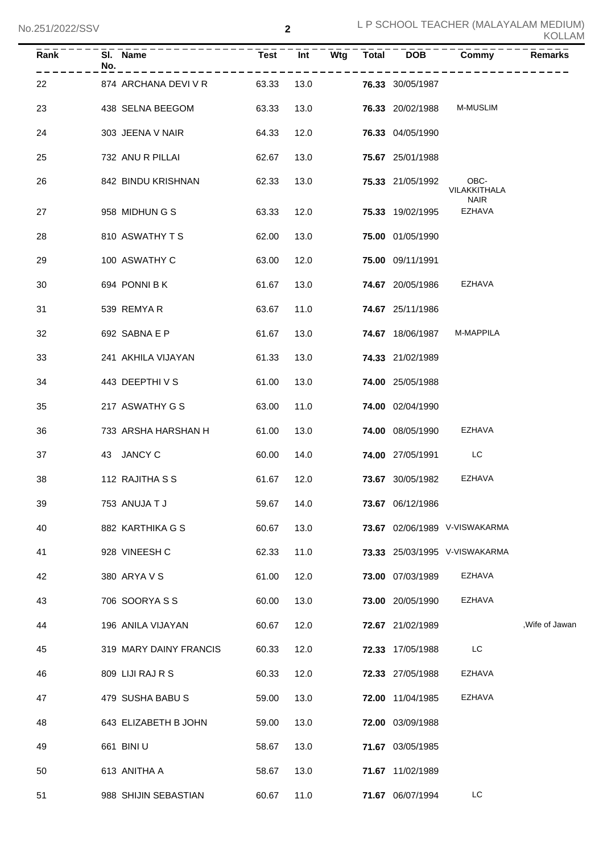| Rank | SI. Name<br>No.        | <b>Test</b> | Int  | Wtg | Total | <b>DOB</b>       | Commy                         | <b>Remarks</b>  |
|------|------------------------|-------------|------|-----|-------|------------------|-------------------------------|-----------------|
| 22   | 874 ARCHANA DEVI V R   | 63.33       | 13.0 |     |       | 76.33 30/05/1987 |                               |                 |
| 23   | 438 SELNA BEEGOM       | 63.33       | 13.0 |     |       | 76.33 20/02/1988 | M-MUSLIM                      |                 |
| 24   | 303 JEENA V NAIR       | 64.33       | 12.0 |     |       | 76.33 04/05/1990 |                               |                 |
| 25   | 732 ANU R PILLAI       | 62.67       | 13.0 |     |       | 75.67 25/01/1988 |                               |                 |
| 26   | 842 BINDU KRISHNAN     | 62.33       | 13.0 |     |       | 75.33 21/05/1992 | OBC-<br>VILAKKITHALA          |                 |
| 27   | 958 MIDHUNGS           | 63.33       | 12.0 |     |       | 75.33 19/02/1995 | <b>NAIR</b><br><b>EZHAVA</b>  |                 |
| 28   | 810 ASWATHY T S        | 62.00       | 13.0 |     |       | 75.00 01/05/1990 |                               |                 |
| 29   | 100 ASWATHY C          | 63.00       | 12.0 |     |       | 75.00 09/11/1991 |                               |                 |
| 30   | 694 PONNI B K          | 61.67       | 13.0 |     |       | 74.67 20/05/1986 | <b>EZHAVA</b>                 |                 |
| 31   | 539 REMYAR             | 63.67       | 11.0 |     |       | 74.67 25/11/1986 |                               |                 |
| 32   | 692 SABNA E P          | 61.67       | 13.0 |     |       | 74.67 18/06/1987 | M-MAPPILA                     |                 |
| 33   | 241 AKHILA VIJAYAN     | 61.33       | 13.0 |     |       | 74.33 21/02/1989 |                               |                 |
| 34   | 443 DEEPTHIVS          | 61.00       | 13.0 |     |       | 74.00 25/05/1988 |                               |                 |
| 35   | 217 ASWATHY G S        | 63.00       | 11.0 |     |       | 74.00 02/04/1990 |                               |                 |
| 36   | 733 ARSHA HARSHAN H    | 61.00       | 13.0 |     |       | 74.00 08/05/1990 | <b>EZHAVA</b>                 |                 |
| 37   | 43 JANCY C             | 60.00       | 14.0 |     |       | 74.00 27/05/1991 | LC                            |                 |
| 38   | 112 RAJITHA S S        | 61.67       | 12.0 |     |       | 73.67 30/05/1982 | <b>EZHAVA</b>                 |                 |
| 39   | 753 ANUJA T J          | 59.67       | 14.0 |     |       | 73.67 06/12/1986 |                               |                 |
| 40   | 882 KARTHIKA G S       | 60.67       | 13.0 |     |       |                  | 73.67 02/06/1989 V-VISWAKARMA |                 |
| 41   | 928 VINEESH C          | 62.33       | 11.0 |     |       |                  | 73.33 25/03/1995 V-VISWAKARMA |                 |
| 42   | 380 ARYA V S           | 61.00       | 12.0 |     |       | 73.00 07/03/1989 | EZHAVA                        |                 |
| 43   | 706 SOORYA S S         | 60.00       | 13.0 |     |       | 73.00 20/05/1990 | <b>EZHAVA</b>                 |                 |
| 44   | 196 ANILA VIJAYAN      | 60.67       | 12.0 |     |       | 72.67 21/02/1989 |                               | , Wife of Jawan |
| 45   | 319 MARY DAINY FRANCIS | 60.33       | 12.0 |     |       | 72.33 17/05/1988 | LC                            |                 |
| 46   | 809 LIJI RAJ R S       | 60.33       | 12.0 |     |       | 72.33 27/05/1988 | EZHAVA                        |                 |
| 47   | 479 SUSHA BABU S       | 59.00       | 13.0 |     |       | 72.00 11/04/1985 | <b>EZHAVA</b>                 |                 |
| 48   | 643 ELIZABETH B JOHN   | 59.00       | 13.0 |     |       | 72.00 03/09/1988 |                               |                 |
| 49   | 661 BINI U             | 58.67       | 13.0 |     |       | 71.67 03/05/1985 |                               |                 |
| 50   | 613 ANITHA A           | 58.67       | 13.0 |     |       | 71.67 11/02/1989 |                               |                 |
| 51   | 988 SHIJIN SEBASTIAN   | 60.67       | 11.0 |     |       | 71.67 06/07/1994 | LC                            |                 |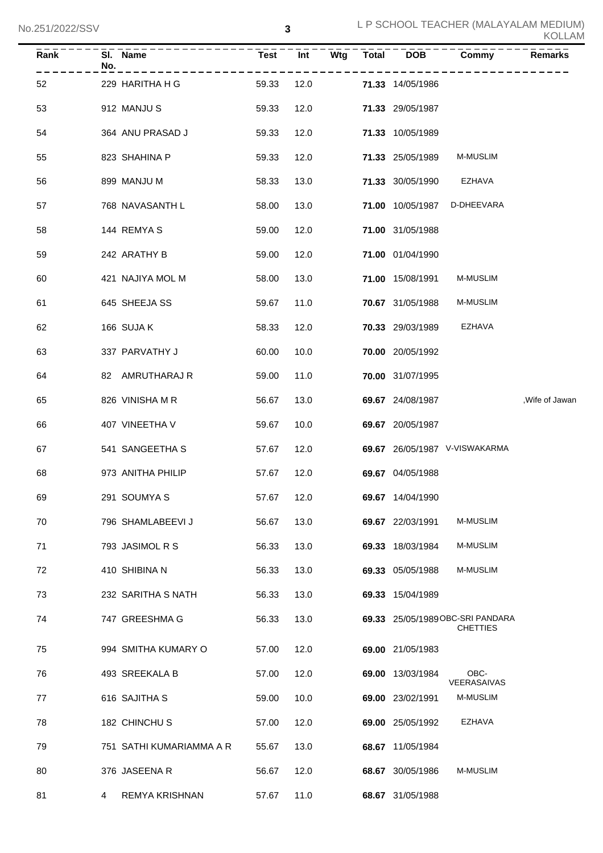| <b>Rank</b> | No. | SI. Name                 | <b>Test</b> | $\overline{Int}$ | $\overline{\mathsf{W}}$ tg | $\overline{\text{Total}}$ | DOB                     | Commy                                               | <b>Remarks</b>  |
|-------------|-----|--------------------------|-------------|------------------|----------------------------|---------------------------|-------------------------|-----------------------------------------------------|-----------------|
| 52          |     | 229 HARITHA H G          | 59.33       | 12.0             |                            |                           | 71.33 14/05/1986        |                                                     |                 |
| 53          |     | 912 MANJU S              | 59.33       | 12.0             |                            |                           | 71.33 29/05/1987        |                                                     |                 |
| 54          |     | 364 ANU PRASAD J         | 59.33       | 12.0             |                            |                           | 71.33 10/05/1989        |                                                     |                 |
| 55          |     | 823 SHAHINA P            | 59.33       | 12.0             |                            |                           | 71.33 25/05/1989        | <b>M-MUSLIM</b>                                     |                 |
| 56          |     | 899 MANJU M              | 58.33       | 13.0             |                            |                           | 71.33 30/05/1990        | <b>EZHAVA</b>                                       |                 |
| 57          |     | 768 NAVASANTH L          | 58.00       | 13.0             |                            |                           | <b>71.00 10/05/1987</b> | D-DHEEVARA                                          |                 |
| 58          |     | 144 REMYAS               | 59.00       | 12.0             |                            |                           | 71.00 31/05/1988        |                                                     |                 |
| 59          |     | 242 ARATHY B             | 59.00       | 12.0             |                            |                           | 71.00 01/04/1990        |                                                     |                 |
| 60          |     | 421 NAJIYA MOL M         | 58.00       | 13.0             |                            |                           | 71.00 15/08/1991        | <b>M-MUSLIM</b>                                     |                 |
| 61          |     | 645 SHEEJA SS            | 59.67       | 11.0             |                            |                           | 70.67 31/05/1988        | <b>M-MUSLIM</b>                                     |                 |
| 62          |     | 166 SUJA K               | 58.33       | 12.0             |                            |                           | 70.33 29/03/1989        | <b>EZHAVA</b>                                       |                 |
| 63          |     | 337 PARVATHY J           | 60.00       | 10.0             |                            |                           | 70.00 20/05/1992        |                                                     |                 |
| 64          |     | 82 AMRUTHARAJ R          | 59.00       | 11.0             |                            |                           | 70.00 31/07/1995        |                                                     |                 |
| 65          |     | 826 VINISHA M R          | 56.67       | 13.0             |                            |                           | 69.67 24/08/1987        |                                                     | , Wife of Jawan |
| 66          |     | 407 VINEETHA V           | 59.67       | 10.0             |                            |                           | 69.67 20/05/1987        |                                                     |                 |
| 67          |     | 541 SANGEETHA S          | 57.67       | 12.0             |                            |                           |                         | 69.67 26/05/1987 V-VISWAKARMA                       |                 |
| 68          |     | 973 ANITHA PHILIP        | 57.67       | 12.0             |                            |                           | 69.67 04/05/1988        |                                                     |                 |
| 69          |     | 291 SOUMYA S             | 57.67       | 12.0             |                            |                           | 69.67 14/04/1990        |                                                     |                 |
| 70          |     | 796 SHAMLABEEVI J        | 56.67       | 13.0             |                            |                           | 69.67 22/03/1991        | M-MUSLIM                                            |                 |
| 71          |     | 793 JASIMOL R S          | 56.33       | 13.0             |                            |                           | 69.33 18/03/1984        | M-MUSLIM                                            |                 |
| 72          |     | 410 SHIBINA N            | 56.33       | 13.0             |                            |                           | 69.33 05/05/1988        | <b>M-MUSLIM</b>                                     |                 |
| 73          |     | 232 SARITHA S NATH       | 56.33       | 13.0             |                            |                           | 69.33 15/04/1989        |                                                     |                 |
| 74          |     | 747 GREESHMA G           | 56.33       | 13.0             |                            |                           |                         | 69.33 25/05/1989 OBC-SRI PANDARA<br><b>CHETTIES</b> |                 |
| 75          |     | 994 SMITHA KUMARY O      | 57.00       | 12.0             |                            |                           | 69.00 21/05/1983        |                                                     |                 |
| 76          |     | 493 SREEKALA B           | 57.00       | 12.0             |                            |                           | 69.00 13/03/1984        | OBC-                                                |                 |
| 77          |     | 616 SAJITHA S            | 59.00       | 10.0             |                            |                           | 69.00 23/02/1991        | VEERASAIVAS<br>M-MUSLIM                             |                 |
| 78          |     | 182 CHINCHUS             | 57.00       | 12.0             |                            |                           | 69.00 25/05/1992        | EZHAVA                                              |                 |
| 79          |     | 751 SATHI KUMARIAMMA A R | 55.67       | 13.0             |                            |                           | 68.67 11/05/1984        |                                                     |                 |
| 80          |     | 376 JASEENA R            | 56.67       | 12.0             |                            |                           | 68.67 30/05/1986        | M-MUSLIM                                            |                 |
| 81          | 4   | REMYA KRISHNAN           | 57.67       | 11.0             |                            |                           | 68.67 31/05/1988        |                                                     |                 |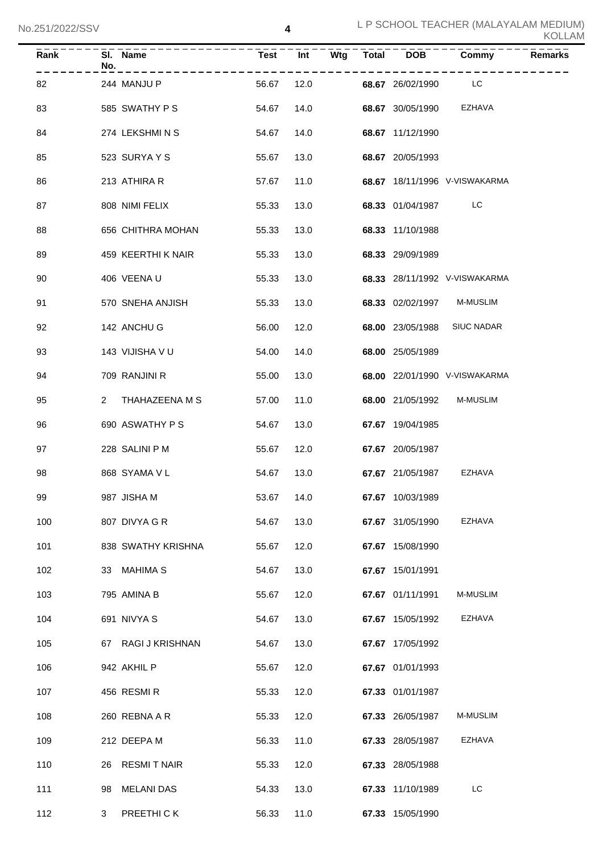| <b>Rank</b> | No.          | SI. Name           | <b>Test</b> | Int  | <b>Wtg</b> | <b>Total</b> | <b>DOB</b>       | Commy                         | <b>Remarks</b> |
|-------------|--------------|--------------------|-------------|------|------------|--------------|------------------|-------------------------------|----------------|
| 82          |              | 244 MANJU P        | 56.67       | 12.0 |            |              | 68.67 26/02/1990 | <b>Example 1</b>              |                |
| 83          |              | 585 SWATHY P S     | 54.67       | 14.0 |            |              | 68.67 30/05/1990 | EZHAVA                        |                |
| 84          |              | 274 LEKSHMINS      | 54.67       | 14.0 |            |              | 68.67 11/12/1990 |                               |                |
| 85          |              | 523 SURYAYS        | 55.67       | 13.0 |            |              | 68.67 20/05/1993 |                               |                |
| 86          |              | 213 ATHIRA R       | 57.67       | 11.0 |            |              |                  | 68.67 18/11/1996 V-VISWAKARMA |                |
| 87          |              | 808 NIMI FELIX     | 55.33       | 13.0 |            |              | 68.33 01/04/1987 | LC                            |                |
| 88          |              | 656 CHITHRA MOHAN  | 55.33       | 13.0 |            |              | 68.33 11/10/1988 |                               |                |
| 89          |              | 459 KEERTHI K NAIR | 55.33       | 13.0 |            |              | 68.33 29/09/1989 |                               |                |
| 90          |              | 406 VEENA U        | 55.33       | 13.0 |            |              |                  | 68.33 28/11/1992 V-VISWAKARMA |                |
| 91          |              | 570 SNEHA ANJISH   | 55.33       | 13.0 |            |              | 68.33 02/02/1997 | M-MUSLIM                      |                |
| 92          |              | 142 ANCHU G        | 56.00       | 12.0 |            |              | 68.00 23/05/1988 | <b>SIUC NADAR</b>             |                |
| 93          |              | 143 VIJISHA V U    | 54.00       | 14.0 |            |              | 68.00 25/05/1989 |                               |                |
| 94          |              | 709 RANJINI R      | 55.00       | 13.0 |            |              |                  | 68.00 22/01/1990 V-VISWAKARMA |                |
| 95          | $\mathbf{2}$ | THAHAZEENA M S     | 57.00       | 11.0 |            |              | 68.00 21/05/1992 | <b>M-MUSLIM</b>               |                |
| 96          |              | 690 ASWATHY P S    | 54.67       | 13.0 |            |              | 67.67 19/04/1985 |                               |                |
| 97          |              | 228 SALINI P M     | 55.67       | 12.0 |            |              | 67.67 20/05/1987 |                               |                |
| 98          |              | 868 SYAMA V L      | 54.67       | 13.0 |            |              | 67.67 21/05/1987 | EZHAVA                        |                |
| 99          |              | 987 JISHA M        | 53.67 14.0  |      |            |              | 67.67 10/03/1989 |                               |                |
| 100         |              | 807 DIVYA G R      | 54.67       | 13.0 |            |              | 67.67 31/05/1990 | <b>EZHAVA</b>                 |                |
| 101         |              | 838 SWATHY KRISHNA | 55.67       | 12.0 |            |              | 67.67 15/08/1990 |                               |                |
| 102         |              | 33 MAHIMA S        | 54.67       | 13.0 |            |              | 67.67 15/01/1991 |                               |                |
| 103         |              | 795 AMINA B        | 55.67       | 12.0 |            |              | 67.67 01/11/1991 | <b>M-MUSLIM</b>               |                |
| 104         |              | 691 NIVYA S        | 54.67       | 13.0 |            |              | 67.67 15/05/1992 | EZHAVA                        |                |
| 105         |              | 67 RAGI J KRISHNAN | 54.67       | 13.0 |            |              | 67.67 17/05/1992 |                               |                |
| 106         |              | 942 AKHIL P        | 55.67       | 12.0 |            |              | 67.67 01/01/1993 |                               |                |
| 107         |              | 456 RESMIR         | 55.33       | 12.0 |            |              | 67.33 01/01/1987 |                               |                |
| 108         |              | 260 REBNA A R      | 55.33       | 12.0 |            |              | 67.33 26/05/1987 | <b>M-MUSLIM</b>               |                |
| 109         |              | 212 DEEPA M        | 56.33       | 11.0 |            |              | 67.33 28/05/1987 | EZHAVA                        |                |
| 110         |              | 26 RESMIT NAIR     | 55.33       | 12.0 |            |              | 67.33 28/05/1988 |                               |                |
| 111         | 98           | <b>MELANI DAS</b>  | 54.33       | 13.0 |            |              | 67.33 11/10/1989 | LC                            |                |
| 112         | 3            | PREETHICK          | 56.33       | 11.0 |            |              | 67.33 15/05/1990 |                               |                |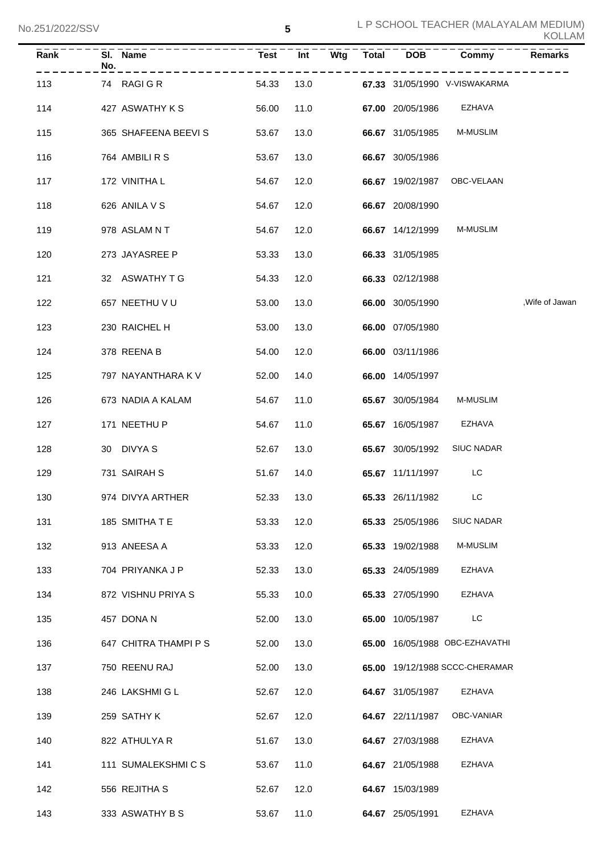| KOLLAM |  |  |  |  |  |
|--------|--|--|--|--|--|
|--------|--|--|--|--|--|

| Rank | SI. Name<br>No.       | <b>Test</b> | Int  | $\overline{\mathsf{Wtg}}$ | <b>Total</b> | <b>DOB</b>       | Commy                          | <b>Remarks</b>  |
|------|-----------------------|-------------|------|---------------------------|--------------|------------------|--------------------------------|-----------------|
| 113  | 74 RAGIGR             | 54.33       | 13.0 |                           |              |                  | 67.33 31/05/1990 V-VISWAKARMA  |                 |
| 114  | 427 ASWATHY K S       | 56.00       | 11.0 |                           |              | 67.00 20/05/1986 | <b>EZHAVA</b>                  |                 |
| 115  | 365 SHAFEENA BEEVIS   | 53.67       | 13.0 |                           |              | 66.67 31/05/1985 | M-MUSLIM                       |                 |
| 116  | 764 AMBILI R S        | 53.67       | 13.0 |                           |              | 66.67 30/05/1986 |                                |                 |
| 117  | 172 VINITHA L         | 54.67       | 12.0 |                           |              | 66.67 19/02/1987 | OBC-VELAAN                     |                 |
| 118  | 626 ANILA V S         | 54.67       | 12.0 |                           |              | 66.67 20/08/1990 |                                |                 |
| 119  | 978 ASLAMNT           | 54.67       | 12.0 |                           |              | 66.67 14/12/1999 | <b>M-MUSLIM</b>                |                 |
| 120  | 273 JAYASREE P        | 53.33       | 13.0 |                           |              | 66.33 31/05/1985 |                                |                 |
| 121  | 32 ASWATHY T G        | 54.33       | 12.0 |                           |              | 66.33 02/12/1988 |                                |                 |
| 122  | 657 NEETHU V U        | 53.00       | 13.0 |                           |              | 66.00 30/05/1990 |                                | , Wife of Jawan |
| 123  | 230 RAICHEL H         | 53.00       | 13.0 |                           |              | 66.00 07/05/1980 |                                |                 |
| 124  | 378 REENA B           | 54.00       | 12.0 |                           |              | 66.00 03/11/1986 |                                |                 |
| 125  | 797 NAYANTHARA K V    | 52.00       | 14.0 |                           |              | 66.00 14/05/1997 |                                |                 |
| 126  | 673 NADIA A KALAM     | 54.67       | 11.0 |                           |              | 65.67 30/05/1984 | M-MUSLIM                       |                 |
| 127  | 171 NEETHU P          | 54.67       | 11.0 |                           |              | 65.67 16/05/1987 | EZHAVA                         |                 |
| 128  | 30 DIVYA S            | 52.67       | 13.0 |                           |              | 65.67 30/05/1992 | <b>SIUC NADAR</b>              |                 |
| 129  | 731 SAIRAH S          | 51.67       | 14.0 |                           |              | 65.67 11/11/1997 | LC.                            |                 |
| 130  | 974 DIVYA ARTHER      | 52.33       | 13.0 |                           |              | 65.33 26/11/1982 | LC.                            |                 |
| 131  | 185 SMITHATE          | 53.33       | 12.0 |                           |              | 65.33 25/05/1986 | <b>SIUC NADAR</b>              |                 |
| 132  | 913 ANEESA A          | 53.33       | 12.0 |                           |              | 65.33 19/02/1988 | M-MUSLIM                       |                 |
| 133  | 704 PRIYANKA J P      | 52.33       | 13.0 |                           |              | 65.33 24/05/1989 | EZHAVA                         |                 |
| 134  | 872 VISHNU PRIYA S    | 55.33       | 10.0 |                           |              | 65.33 27/05/1990 | EZHAVA                         |                 |
| 135  | 457 DONA N            | 52.00       | 13.0 |                           |              | 65.00 10/05/1987 | LC                             |                 |
| 136  | 647 CHITRA THAMPI P S | 52.00       | 13.0 |                           |              |                  | 65.00 16/05/1988 OBC-EZHAVATHI |                 |
| 137  | 750 REENU RAJ         | 52.00       | 13.0 |                           |              |                  | 65.00 19/12/1988 SCCC-CHERAMAR |                 |
| 138  | 246 LAKSHMI G L       | 52.67       | 12.0 |                           |              | 64.67 31/05/1987 | EZHAVA                         |                 |
| 139  | 259 SATHY K           | 52.67       | 12.0 |                           |              | 64.67 22/11/1987 | OBC-VANIAR                     |                 |
| 140  | 822 ATHULYA R         | 51.67       | 13.0 |                           |              | 64.67 27/03/1988 | EZHAVA                         |                 |
| 141  | 111 SUMALEKSHMICS     | 53.67       | 11.0 |                           |              | 64.67 21/05/1988 | EZHAVA                         |                 |
| 142  | 556 REJITHA S         | 52.67       | 12.0 |                           |              | 64.67 15/03/1989 |                                |                 |
| 143  | 333 ASWATHY B S       | 53.67       | 11.0 |                           |              | 64.67 25/05/1991 | EZHAVA                         |                 |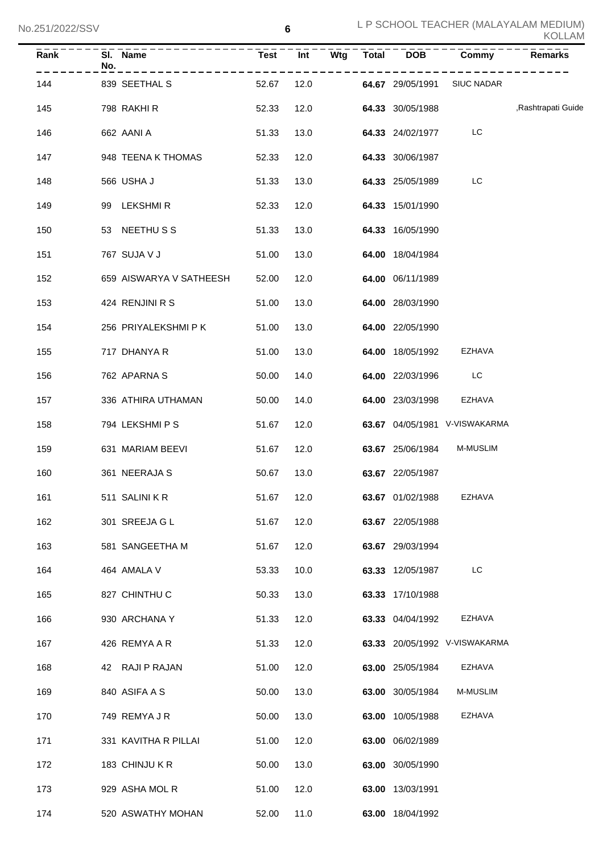| Rank | SI. Name<br>No.         | <b>Test</b> | Wtg<br>Int | <b>Total</b> | <b>DOB</b>       | Commy                         | <b>Remarks</b>     |
|------|-------------------------|-------------|------------|--------------|------------------|-------------------------------|--------------------|
| 144  | 839 SEETHAL S           | 52.67       | 12.0       |              | 64.67 29/05/1991 | <b>SIUC NADAR</b>             |                    |
| 145  | 798 RAKHI R             | 52.33       | 12.0       |              | 64.33 30/05/1988 |                               | ,Rashtrapati Guide |
| 146  | 662 AANI A              | 51.33       | 13.0       |              | 64.33 24/02/1977 | LC                            |                    |
| 147  | 948 TEENA K THOMAS      | 52.33       | 12.0       |              | 64.33 30/06/1987 |                               |                    |
| 148  | 566 USHA J              | 51.33       | 13.0       |              | 64.33 25/05/1989 | LC                            |                    |
| 149  | LEKSHMI R<br>99         | 52.33       | 12.0       |              | 64.33 15/01/1990 |                               |                    |
| 150  | NEETHU S S<br>53        | 51.33       | 13.0       |              | 64.33 16/05/1990 |                               |                    |
| 151  | 767 SUJA V J            | 51.00       | 13.0       |              | 64.00 18/04/1984 |                               |                    |
| 152  | 659 AISWARYA V SATHEESH | 52.00       | 12.0       |              | 64.00 06/11/1989 |                               |                    |
| 153  | 424 RENJINI R S         | 51.00       | 13.0       |              | 64.00 28/03/1990 |                               |                    |
| 154  | 256 PRIYALEKSHMI P K    | 51.00       | 13.0       |              | 64.00 22/05/1990 |                               |                    |
| 155  | 717 DHANYA R            | 51.00       | 13.0       |              | 64.00 18/05/1992 | EZHAVA                        |                    |
| 156  | 762 APARNA S            | 50.00       | 14.0       |              | 64.00 22/03/1996 | LC                            |                    |
| 157  | 336 ATHIRA UTHAMAN      | 50.00       | 14.0       |              | 64.00 23/03/1998 | <b>EZHAVA</b>                 |                    |
| 158  | 794 LEKSHMI P S         | 51.67       | 12.0       |              |                  | 63.67 04/05/1981 V-VISWAKARMA |                    |
| 159  | 631 MARIAM BEEVI        | 51.67       | 12.0       |              | 63.67 25/06/1984 | M-MUSLIM                      |                    |
| 160  | 361 NEERAJA S           | 50.67       | 13.0       |              | 63.67 22/05/1987 |                               |                    |
| 161  | 511 SALINI K R          | 51.67       | 12.0       |              | 63.67 01/02/1988 | EZHAVA                        |                    |
| 162  | 301 SREEJA G L          | 51.67       | 12.0       |              | 63.67 22/05/1988 |                               |                    |
| 163  | 581 SANGEETHA M         | 51.67       | 12.0       |              | 63.67 29/03/1994 |                               |                    |
| 164  | 464 AMALA V             | 53.33       | 10.0       |              | 63.33 12/05/1987 | LC                            |                    |
| 165  | 827 CHINTHU C           | 50.33       | 13.0       |              | 63.33 17/10/1988 |                               |                    |
| 166  | 930 ARCHANA Y           | 51.33       | 12.0       |              | 63.33 04/04/1992 | <b>EZHAVA</b>                 |                    |
| 167  | 426 REMYA A R           | 51.33       | 12.0       |              |                  | 63.33 20/05/1992 V-VISWAKARMA |                    |
| 168  | 42 RAJI P RAJAN         | 51.00       | 12.0       |              | 63.00 25/05/1984 | <b>EZHAVA</b>                 |                    |
| 169  | 840 ASIFA A S           | 50.00       | 13.0       |              | 63.00 30/05/1984 | M-MUSLIM                      |                    |
| 170  | 749 REMYA J R           | 50.00       | 13.0       |              | 63.00 10/05/1988 | <b>EZHAVA</b>                 |                    |
| 171  | 331 KAVITHA R PILLAI    | 51.00       | 12.0       |              | 63.00 06/02/1989 |                               |                    |
| 172  | 183 CHINJU K R          | 50.00       | 13.0       |              | 63.00 30/05/1990 |                               |                    |
| 173  | 929 ASHA MOL R          | 51.00       | 12.0       |              | 63.00 13/03/1991 |                               |                    |
| 174  | 520 ASWATHY MOHAN       | 52.00       | 11.0       |              | 63.00 18/04/1992 |                               |                    |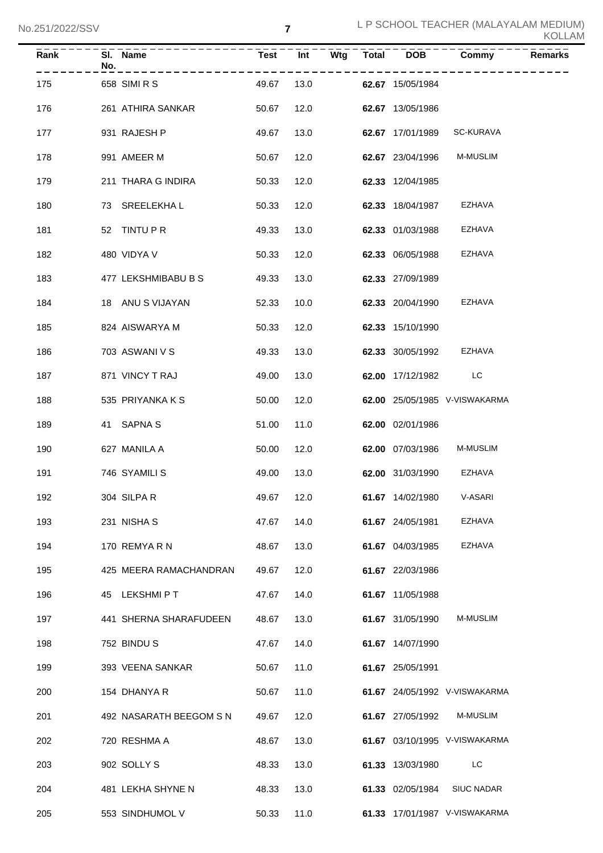| Rank | No. | SI. Name                | <b>Test</b> | $\overline{Int}$ | Wtg | Total DOB        | Commy                         | <b>Remarks</b> |
|------|-----|-------------------------|-------------|------------------|-----|------------------|-------------------------------|----------------|
| 175  |     | 658 SIMI R S            | 49.67       | 13.0             |     | 62.67 15/05/1984 |                               |                |
| 176  |     | 261 ATHIRA SANKAR       | 50.67       | 12.0             |     | 62.67 13/05/1986 |                               |                |
| 177  |     | 931 RAJESH P            | 49.67       | 13.0             |     | 62.67 17/01/1989 | SC-KURAVA                     |                |
| 178  |     | 991 AMEER M             | 50.67       | 12.0             |     | 62.67 23/04/1996 | <b>M-MUSLIM</b>               |                |
| 179  |     | 211 THARA G INDIRA      | 50.33       | 12.0             |     | 62.33 12/04/1985 |                               |                |
| 180  |     | 73 SREELEKHAL           | 50.33       | 12.0             |     | 62.33 18/04/1987 | EZHAVA                        |                |
| 181  |     | 52 TINTU P R            | 49.33       | 13.0             |     | 62.33 01/03/1988 | EZHAVA                        |                |
| 182  |     | 480 VIDYA V             | 50.33       | 12.0             |     | 62.33 06/05/1988 | <b>EZHAVA</b>                 |                |
| 183  |     | 477 LEKSHMIBABU B S     | 49.33       | 13.0             |     | 62.33 27/09/1989 |                               |                |
| 184  |     | 18 ANU S VIJAYAN        | 52.33       | 10.0             |     | 62.33 20/04/1990 | EZHAVA                        |                |
| 185  |     | 824 AISWARYA M          | 50.33       | 12.0             |     | 62.33 15/10/1990 |                               |                |
| 186  |     | 703 ASWANI V S          | 49.33       | 13.0             |     | 62.33 30/05/1992 | EZHAVA                        |                |
| 187  |     | 871 VINCY T RAJ         | 49.00       | 13.0             |     | 62.00 17/12/1982 | <b>Example 1</b>              |                |
| 188  |     | 535 PRIYANKA K S        | 50.00       | 12.0             |     |                  | 62.00 25/05/1985 V-VISWAKARMA |                |
| 189  |     | 41 SAPNA S              | 51.00       | 11.0             |     | 62.00 02/01/1986 |                               |                |
| 190  |     | 627 MANILA A            | 50.00       | 12.0             |     | 62.00 07/03/1986 | <b>M-MUSLIM</b>               |                |
| 191  |     | 746 SYAMILI S           | 49.00       | 13.0             |     | 62.00 31/03/1990 | EZHAVA                        |                |
| 192  |     | 304 SILPAR              | 49.67 12.0  |                  |     |                  | 61.67 14/02/1980 V-ASARI      |                |
| 193  |     | 231 NISHA S             | 47.67       | 14.0             |     | 61.67 24/05/1981 | <b>EZHAVA</b>                 |                |
| 194  |     | 170 REMYARN             | 48.67       | 13.0             |     | 61.67 04/03/1985 | <b>EZHAVA</b>                 |                |
| 195  |     | 425 MEERA RAMACHANDRAN  | 49.67       | 12.0             |     | 61.67 22/03/1986 |                               |                |
| 196  |     | 45 LEKSHMIPT            | 47.67       | 14.0             |     | 61.67 11/05/1988 |                               |                |
| 197  |     | 441 SHERNA SHARAFUDEEN  | 48.67       | 13.0             |     | 61.67 31/05/1990 | M-MUSLIM                      |                |
| 198  |     | 752 BINDU S             | 47.67       | 14.0             |     | 61.67 14/07/1990 |                               |                |
| 199  |     | 393 VEENA SANKAR        | 50.67       | 11.0             |     | 61.67 25/05/1991 |                               |                |
| 200  |     | 154 DHANYA R            | 50.67       | 11.0             |     |                  | 61.67 24/05/1992 V-VISWAKARMA |                |
| 201  |     | 492 NASARATH BEEGOM S N | 49.67       | 12.0             |     | 61.67 27/05/1992 | M-MUSLIM                      |                |
| 202  |     | 720 RESHMA A            | 48.67       | 13.0             |     |                  | 61.67 03/10/1995 V-VISWAKARMA |                |
| 203  |     | 902 SOLLY S             | 48.33       | 13.0             |     | 61.33 13/03/1980 | LC                            |                |
| 204  |     | 481 LEKHA SHYNE N       | 48.33       | 13.0             |     | 61.33 02/05/1984 | <b>SIUC NADAR</b>             |                |
| 205  |     | 553 SINDHUMOL V         | 50.33       | 11.0             |     |                  | 61.33 17/01/1987 V-VISWAKARMA |                |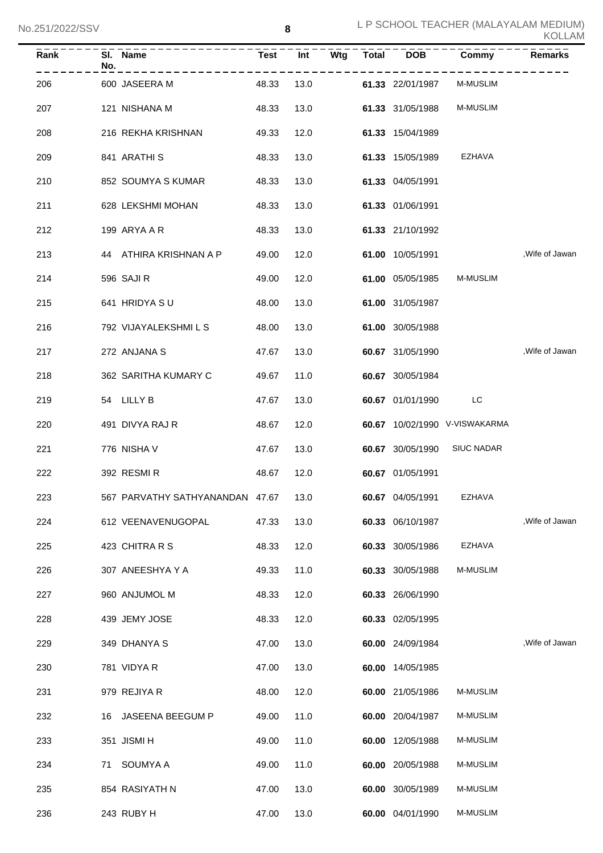| <b>Rank</b> | No. | SI. Name                             | <b>Test</b> | Int  | Wtg | <b>Total</b> | <b>DOB</b>              | Commy                         | <b>Remarks</b>  |
|-------------|-----|--------------------------------------|-------------|------|-----|--------------|-------------------------|-------------------------------|-----------------|
| 206         |     | 600 JASEERA M                        | 48.33       | 13.0 |     |              | 61.33 22/01/1987        | M-MUSLIM                      |                 |
| 207         |     | 121 NISHANA M                        | 48.33       | 13.0 |     |              | 61.33 31/05/1988        | <b>M-MUSLIM</b>               |                 |
| 208         |     | 216 REKHA KRISHNAN                   | 49.33       | 12.0 |     |              | 61.33 15/04/1989        |                               |                 |
| 209         |     | 841 ARATHI S                         | 48.33       | 13.0 |     |              | 61.33 15/05/1989        | EZHAVA                        |                 |
| 210         |     | 852 SOUMYA S KUMAR                   | 48.33       | 13.0 |     |              | 61.33 04/05/1991        |                               |                 |
| 211         |     | 628 LEKSHMI MOHAN                    | 48.33       | 13.0 |     |              | 61.33 01/06/1991        |                               |                 |
| 212         |     | 199 ARYA A R                         | 48.33       | 13.0 |     |              | 61.33 21/10/1992        |                               |                 |
| 213         |     | 44 ATHIRA KRISHNAN A P               | 49.00       | 12.0 |     |              | 61.00 10/05/1991        |                               | , Wife of Jawan |
| 214         |     | 596 SAJI R                           | 49.00       | 12.0 |     |              | 61.00 05/05/1985        | <b>M-MUSLIM</b>               |                 |
| 215         |     | 641 HRIDYA SU                        | 48.00       | 13.0 |     |              | 61.00 31/05/1987        |                               |                 |
| 216         |     | 792 VIJAYALEKSHMI L S                | 48.00       | 13.0 |     |              | 61.00 30/05/1988        |                               |                 |
| 217         |     | 272 ANJANA S                         | 47.67       | 13.0 |     |              | 60.67 31/05/1990        |                               | , Wife of Jawan |
| 218         |     | 362 SARITHA KUMARY C                 | 49.67       | 11.0 |     |              | 60.67 30/05/1984        |                               |                 |
| 219         |     | 54 LILLY B                           | 47.67       | 13.0 |     |              | 60.67 01/01/1990        | LC                            |                 |
| 220         |     | 491 DIVYA RAJ R                      | 48.67       | 12.0 |     |              |                         | 60.67 10/02/1990 V-VISWAKARMA |                 |
| 221         |     | 776 NISHA V                          | 47.67       | 13.0 |     |              | 60.67 30/05/1990        | <b>SIUC NADAR</b>             |                 |
| 222         |     | 392 RESMIR                           | 48.67       | 12.0 |     |              | 60.67 01/05/1991        |                               |                 |
| 223         |     | 567 PARVATHY SATHYANANDAN 47.67 13.0 |             |      |     |              | 60.67 04/05/1991 EZHAVA |                               |                 |
| 224         |     | 612 VEENAVENUGOPAL                   | 47.33       | 13.0 |     |              | 60.33 06/10/1987        |                               | , Wife of Jawan |
| 225         |     | 423 CHITRA R S                       | 48.33       | 12.0 |     |              | 60.33 30/05/1986        | <b>EZHAVA</b>                 |                 |
| 226         |     | 307 ANEESHYA Y A                     | 49.33       | 11.0 |     |              | 60.33 30/05/1988        | M-MUSLIM                      |                 |
| 227         |     | 960 ANJUMOL M                        | 48.33       | 12.0 |     |              | 60.33 26/06/1990        |                               |                 |
| 228         |     | 439 JEMY JOSE                        | 48.33       | 12.0 |     |              | 60.33 02/05/1995        |                               |                 |
| 229         |     | 349 DHANYA S                         | 47.00       | 13.0 |     |              | 60.00 24/09/1984        |                               | , Wife of Jawan |
| 230         |     | 781 VIDYA R                          | 47.00       | 13.0 |     |              | 60.00 14/05/1985        |                               |                 |
| 231         |     | 979 REJIYA R                         | 48.00       | 12.0 |     |              | 60.00 21/05/1986        | <b>M-MUSLIM</b>               |                 |
| 232         |     | 16 JASEENA BEEGUM P                  | 49.00       | 11.0 |     |              | 60.00 20/04/1987        | <b>M-MUSLIM</b>               |                 |
| 233         |     | 351 JISMI H                          | 49.00       | 11.0 |     |              | 60.00 12/05/1988        | <b>M-MUSLIM</b>               |                 |
| 234         |     | 71 SOUMYA A                          | 49.00       | 11.0 |     |              | 60.00 20/05/1988        | <b>M-MUSLIM</b>               |                 |
| 235         |     | 854 RASIYATH N                       | 47.00       | 13.0 |     |              | 60.00 30/05/1989        | <b>M-MUSLIM</b>               |                 |
| 236         |     | 243 RUBY H                           | 47.00       | 13.0 |     |              | 60.00 04/01/1990        | M-MUSLIM                      |                 |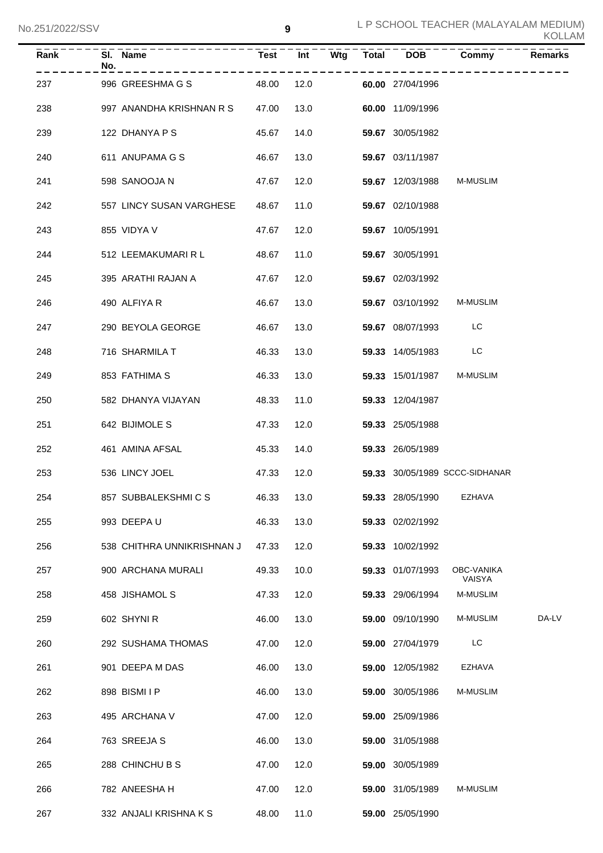| <b>KOLLAM</b> |
|---------------|
|---------------|

| Rank | SI.<br>Name<br>No.         | <b>Test</b> | Int  | Wtg | <b>Total</b> | <b>DOB</b>       | Commy                          | <b>Remarks</b> |
|------|----------------------------|-------------|------|-----|--------------|------------------|--------------------------------|----------------|
| 237  | 996 GREESHMA G S           | 48.00       | 12.0 |     |              | 60.00 27/04/1996 |                                |                |
| 238  | 997 ANANDHA KRISHNAN R S   | 47.00       | 13.0 |     |              | 60.00 11/09/1996 |                                |                |
| 239  | 122 DHANYA P S             | 45.67       | 14.0 |     |              | 59.67 30/05/1982 |                                |                |
| 240  | 611 ANUPAMA G S            | 46.67       | 13.0 |     |              | 59.67 03/11/1987 |                                |                |
| 241  | 598 SANOOJA N              | 47.67       | 12.0 |     |              | 59.67 12/03/1988 | <b>M-MUSLIM</b>                |                |
| 242  | 557 LINCY SUSAN VARGHESE   | 48.67       | 11.0 |     |              | 59.67 02/10/1988 |                                |                |
| 243  | 855 VIDYA V                | 47.67       | 12.0 |     |              | 59.67 10/05/1991 |                                |                |
| 244  | 512 LEEMAKUMARI R L        | 48.67       | 11.0 |     |              | 59.67 30/05/1991 |                                |                |
| 245  | 395 ARATHI RAJAN A         | 47.67       | 12.0 |     |              | 59.67 02/03/1992 |                                |                |
| 246  | 490 ALFIYA R               | 46.67       | 13.0 |     |              | 59.67 03/10/1992 | M-MUSLIM                       |                |
| 247  | 290 BEYOLA GEORGE          | 46.67       | 13.0 |     |              | 59.67 08/07/1993 | LC                             |                |
| 248  | 716 SHARMILA T             | 46.33       | 13.0 |     |              | 59.33 14/05/1983 | LC                             |                |
| 249  | 853 FATHIMA S              | 46.33       | 13.0 |     |              | 59.33 15/01/1987 | M-MUSLIM                       |                |
| 250  | 582 DHANYA VIJAYAN         | 48.33       | 11.0 |     |              | 59.33 12/04/1987 |                                |                |
| 251  | 642 BIJIMOLE S             | 47.33       | 12.0 |     |              | 59.33 25/05/1988 |                                |                |
| 252  | 461 AMINA AFSAL            | 45.33       | 14.0 |     |              | 59.33 26/05/1989 |                                |                |
| 253  | 536 LINCY JOEL             | 47.33       | 12.0 |     |              |                  | 59.33 30/05/1989 SCCC-SIDHANAR |                |
| 254  | 857 SUBBALEKSHMICS         | 46.33       | 13.0 |     |              | 59.33 28/05/1990 | EZHAVA                         |                |
| 255  | 993 DEEPAU                 | 46.33       | 13.0 |     |              | 59.33 02/02/1992 |                                |                |
| 256  | 538 CHITHRA UNNIKRISHNAN J | 47.33       | 12.0 |     |              | 59.33 10/02/1992 |                                |                |
| 257  | 900 ARCHANA MURALI         | 49.33       | 10.0 |     |              | 59.33 01/07/1993 | OBC-VANIKA<br>VAISYA           |                |
| 258  | 458 JISHAMOL S             | 47.33       | 12.0 |     |              | 59.33 29/06/1994 | M-MUSLIM                       |                |
| 259  | 602 SHYNIR                 | 46.00       | 13.0 |     |              | 59.00 09/10/1990 | M-MUSLIM                       | DA-LV          |
| 260  | 292 SUSHAMA THOMAS         | 47.00       | 12.0 |     |              | 59.00 27/04/1979 | LC.                            |                |
| 261  | 901 DEEPA M DAS            | 46.00       | 13.0 |     |              | 59.00 12/05/1982 | EZHAVA                         |                |
| 262  | 898 BISMIIP                | 46.00       | 13.0 |     |              | 59.00 30/05/1986 | M-MUSLIM                       |                |
| 263  | 495 ARCHANA V              | 47.00       | 12.0 |     |              | 59.00 25/09/1986 |                                |                |
| 264  | 763 SREEJA S               | 46.00       | 13.0 |     |              | 59.00 31/05/1988 |                                |                |
| 265  | 288 CHINCHU B S            | 47.00       | 12.0 |     |              | 59.00 30/05/1989 |                                |                |
| 266  | 782 ANEESHA H              | 47.00       | 12.0 |     |              | 59.00 31/05/1989 | M-MUSLIM                       |                |
| 267  | 332 ANJALI KRISHNA K S     | 48.00       | 11.0 |     |              | 59.00 25/05/1990 |                                |                |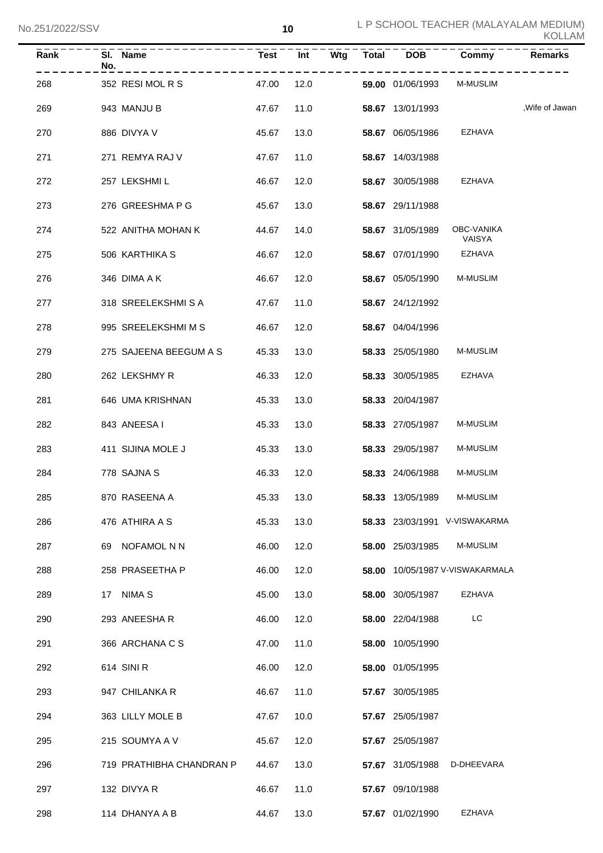| Rank | SI. Name<br>No.          | <b>Test</b> | Int  | Wtg | Total DOB        | Commy                           | Remarks         |
|------|--------------------------|-------------|------|-----|------------------|---------------------------------|-----------------|
| 268  | 352 RESIMOLRS            | 47.00       | 12.0 |     | 59.00 01/06/1993 | <b>M-MUSLIM</b>                 |                 |
| 269  | 943 MANJU B              | 47.67       | 11.0 |     | 58.67 13/01/1993 |                                 | , Wife of Jawan |
| 270  | 886 DIVYA V              | 45.67       | 13.0 |     | 58.67 06/05/1986 | EZHAVA                          |                 |
| 271  | 271 REMYA RAJ V          | 47.67       | 11.0 |     | 58.67 14/03/1988 |                                 |                 |
| 272  | 257 LEKSHMI L            | 46.67       | 12.0 |     | 58.67 30/05/1988 | EZHAVA                          |                 |
| 273  | 276 GREESHMA P G         | 45.67       | 13.0 |     | 58.67 29/11/1988 |                                 |                 |
| 274  | 522 ANITHA MOHAN K       | 44.67       | 14.0 |     | 58.67 31/05/1989 | OBC-VANIKA<br>VAISYA            |                 |
| 275  | 506 KARTHIKA S           | 46.67       | 12.0 |     | 58.67 07/01/1990 | EZHAVA                          |                 |
| 276  | 346 DIMA A K             | 46.67       | 12.0 |     | 58.67 05/05/1990 | <b>M-MUSLIM</b>                 |                 |
| 277  | 318 SREELEKSHMISA        | 47.67       | 11.0 |     | 58.67 24/12/1992 |                                 |                 |
| 278  | 995 SREELEKSHMIMS        | 46.67       | 12.0 |     | 58.67 04/04/1996 |                                 |                 |
| 279  | 275 SAJEENA BEEGUM A S   | 45.33       | 13.0 |     | 58.33 25/05/1980 | <b>M-MUSLIM</b>                 |                 |
| 280  | 262 LEKSHMY R            | 46.33       | 12.0 |     | 58.33 30/05/1985 | EZHAVA                          |                 |
| 281  | 646 UMA KRISHNAN         | 45.33       | 13.0 |     | 58.33 20/04/1987 |                                 |                 |
| 282  | 843 ANEESA I             | 45.33       | 13.0 |     | 58.33 27/05/1987 | <b>M-MUSLIM</b>                 |                 |
| 283  | 411 SIJINA MOLE J        | 45.33       | 13.0 |     | 58.33 29/05/1987 | <b>M-MUSLIM</b>                 |                 |
| 284  | 778 SAJNA S              | 46.33       | 12.0 |     | 58.33 24/06/1988 | <b>M-MUSLIM</b>                 |                 |
| 285  | 870 RASEENA A            | 45.33       | 13.0 |     | 58.33 13/05/1989 | M-MUSLIM                        |                 |
| 286  | 476 ATHIRA A S           | 45.33       | 13.0 |     |                  | 58.33 23/03/1991 V-VISWAKARMA   |                 |
| 287  | 69 NOFAMOL N N           | 46.00       | 12.0 |     | 58.00 25/03/1985 | <b>M-MUSLIM</b>                 |                 |
| 288  | 258 PRASEETHA P          | 46.00       | 12.0 |     |                  | 58.00 10/05/1987 V-VISWAKARMALA |                 |
| 289  | 17 NIMAS                 | 45.00       | 13.0 |     | 58.00 30/05/1987 | EZHAVA                          |                 |
| 290  | 293 ANEESHAR             | 46.00       | 12.0 |     | 58.00 22/04/1988 | LC                              |                 |
| 291  | 366 ARCHANA C S          | 47.00       | 11.0 |     | 58.00 10/05/1990 |                                 |                 |
| 292  | 614 SINI R               | 46.00       | 12.0 |     | 58.00 01/05/1995 |                                 |                 |
| 293  | 947 CHILANKA R           | 46.67       | 11.0 |     | 57.67 30/05/1985 |                                 |                 |
| 294  | 363 LILLY MOLE B         | 47.67       | 10.0 |     | 57.67 25/05/1987 |                                 |                 |
| 295  | 215 SOUMYA A V           | 45.67       | 12.0 |     | 57.67 25/05/1987 |                                 |                 |
| 296  | 719 PRATHIBHA CHANDRAN P | 44.67       | 13.0 |     | 57.67 31/05/1988 | D-DHEEVARA                      |                 |
| 297  | 132 DIVYA R              | 46.67       | 11.0 |     | 57.67 09/10/1988 |                                 |                 |
| 298  | 114 DHANYA A B           | 44.67       | 13.0 |     | 57.67 01/02/1990 | EZHAVA                          |                 |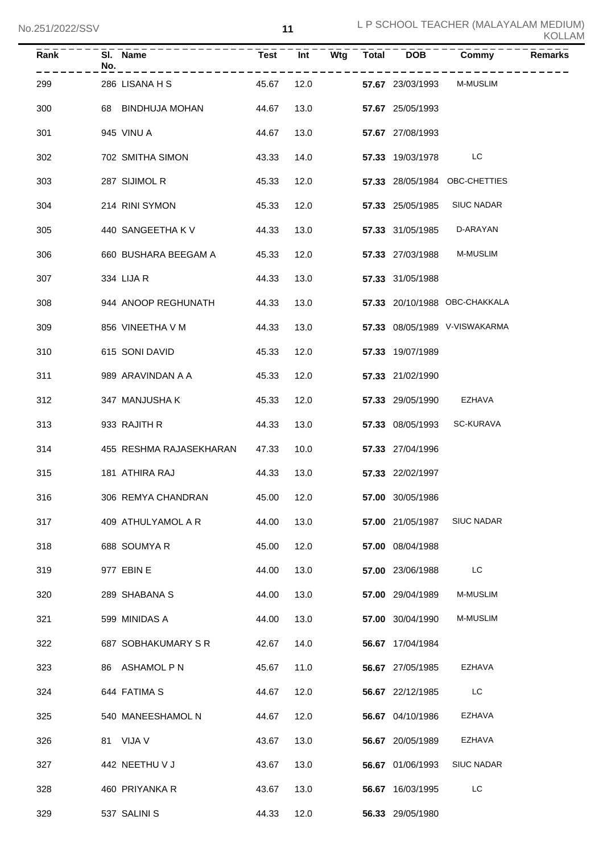| $\overline{Rank}$ | No. | SI. Name                | <b>Test</b> | Int  | $\bar{W}$ tg | $Total$ DOB      | Commy                         | <b>Remarks</b> |
|-------------------|-----|-------------------------|-------------|------|--------------|------------------|-------------------------------|----------------|
| 299               |     | 286 LISANA H S          | 45.67       | 12.0 |              | 57.67 23/03/1993 | <b>M-MUSLIM</b>               |                |
| 300               |     | 68 BINDHUJA MOHAN       | 44.67       | 13.0 |              | 57.67 25/05/1993 |                               |                |
| 301               |     | 945 VINU A              | 44.67       | 13.0 |              | 57.67 27/08/1993 |                               |                |
| 302               |     | 702 SMITHA SIMON        | 43.33       | 14.0 |              | 57.33 19/03/1978 | LC                            |                |
| 303               |     | 287 SIJIMOL R           | 45.33       | 12.0 |              |                  | 57.33 28/05/1984 OBC-CHETTIES |                |
| 304               |     | 214 RINI SYMON          | 45.33       | 12.0 |              | 57.33 25/05/1985 | <b>SIUC NADAR</b>             |                |
| 305               |     | 440 SANGEETHA K V       | 44.33       | 13.0 |              | 57.33 31/05/1985 | D-ARAYAN                      |                |
| 306               |     | 660 BUSHARA BEEGAM A    | 45.33       | 12.0 |              | 57.33 27/03/1988 | <b>M-MUSLIM</b>               |                |
| 307               |     | 334 LIJA R              | 44.33       | 13.0 |              | 57.33 31/05/1988 |                               |                |
| 308               |     | 944 ANOOP REGHUNATH     | 44.33       | 13.0 |              |                  | 57.33 20/10/1988 OBC-CHAKKALA |                |
| 309               |     | 856 VINEETHA V M        | 44.33       | 13.0 |              |                  | 57.33 08/05/1989 V-VISWAKARMA |                |
| 310               |     | 615 SONI DAVID          | 45.33       | 12.0 |              | 57.33 19/07/1989 |                               |                |
| 311               |     | 989 ARAVINDAN A A       | 45.33       | 12.0 |              | 57.33 21/02/1990 |                               |                |
| 312               |     | 347 MANJUSHA K          | 45.33       | 12.0 |              | 57.33 29/05/1990 | EZHAVA                        |                |
| 313               |     | 933 RAJITH R            | 44.33       | 13.0 |              | 57.33 08/05/1993 | <b>SC-KURAVA</b>              |                |
| 314               |     | 455 RESHMA RAJASEKHARAN | 47.33       | 10.0 |              | 57.33 27/04/1996 |                               |                |
| 315               |     | 181 ATHIRA RAJ          | 44.33       | 13.0 |              | 57.33 22/02/1997 |                               |                |
| 316               |     | 306 REMYA CHANDRAN      | 45.00 12.0  |      |              | 57.00 30/05/1986 |                               |                |
| 317               |     | 409 ATHULYAMOL A R      | 44.00       | 13.0 |              | 57.00 21/05/1987 | <b>SIUC NADAR</b>             |                |
| 318               |     | 688 SOUMYA R            | 45.00       | 12.0 |              | 57.00 08/04/1988 |                               |                |
| 319               |     | 977 EBIN E              | 44.00       | 13.0 |              | 57.00 23/06/1988 | LC                            |                |
| 320               |     | 289 SHABANA S           | 44.00       | 13.0 |              | 57.00 29/04/1989 | <b>M-MUSLIM</b>               |                |
| 321               |     | 599 MINIDAS A           | 44.00       | 13.0 |              | 57.00 30/04/1990 | M-MUSLIM                      |                |
| 322               |     | 687 SOBHAKUMARY S R     | 42.67       | 14.0 |              | 56.67 17/04/1984 |                               |                |
| 323               |     | 86 ASHAMOL P N          | 45.67       | 11.0 |              | 56.67 27/05/1985 | EZHAVA                        |                |
| 324               |     | 644 FATIMA S            | 44.67       | 12.0 |              | 56.67 22/12/1985 | LC                            |                |
| 325               |     | 540 MANEESHAMOL N       | 44.67       | 12.0 |              | 56.67 04/10/1986 | EZHAVA                        |                |
| 326               |     | 81 VIJA V               | 43.67       | 13.0 |              | 56.67 20/05/1989 | EZHAVA                        |                |
| 327               |     | 442 NEETHU V J          | 43.67       | 13.0 |              | 56.67 01/06/1993 | <b>SIUC NADAR</b>             |                |
| 328               |     | 460 PRIYANKA R          | 43.67       | 13.0 |              | 56.67 16/03/1995 | LC                            |                |
| 329               |     | 537 SALINI S            | 44.33       | 12.0 |              | 56.33 29/05/1980 |                               |                |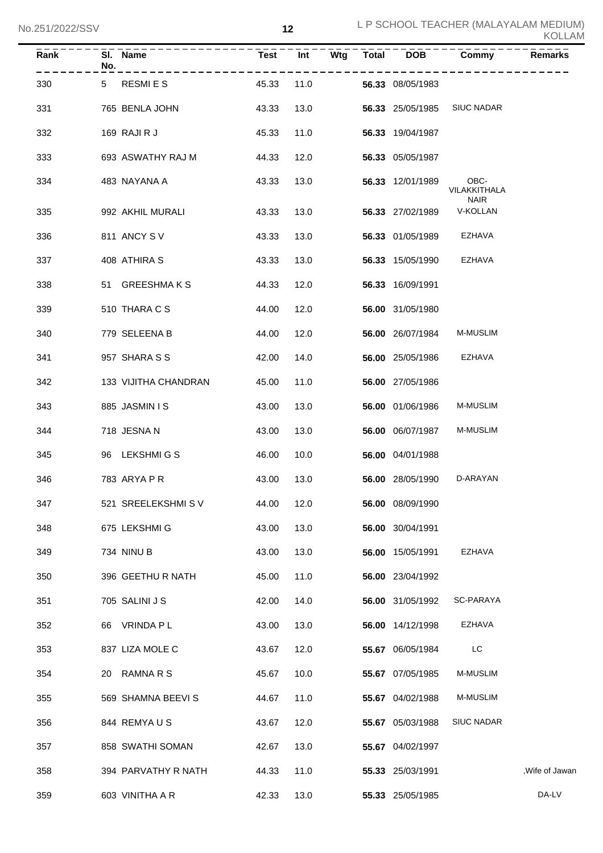| Rank | No. | SI. Name             | <b>Test</b> | Int  | Wtg | <b>Total</b> | <b>DOB</b>       | Commy                   | <b>Remarks</b>  |
|------|-----|----------------------|-------------|------|-----|--------------|------------------|-------------------------|-----------------|
| 330  | 5   | RESMI E S            | 45.33       | 11.0 |     |              | 56.33 08/05/1983 |                         |                 |
| 331  |     | 765 BENLA JOHN       | 43.33       | 13.0 |     |              | 56.33 25/05/1985 | <b>SIUC NADAR</b>       |                 |
| 332  |     | 169 RAJIRJ           | 45.33       | 11.0 |     |              | 56.33 19/04/1987 |                         |                 |
| 333  |     | 693 ASWATHY RAJ M    | 44.33       | 12.0 |     |              | 56.33 05/05/1987 |                         |                 |
| 334  |     | 483 NAYANA A         | 43.33       | 13.0 |     |              | 56.33 12/01/1989 | OBC-<br>VILAKKITHALA    |                 |
| 335  |     | 992 AKHIL MURALI     | 43.33       | 13.0 |     |              | 56.33 27/02/1989 | <b>NAIR</b><br>V-KOLLAN |                 |
| 336  |     | 811 ANCY SV          | 43.33       | 13.0 |     |              | 56.33 01/05/1989 | EZHAVA                  |                 |
| 337  |     | 408 ATHIRA S         | 43.33       | 13.0 |     |              | 56.33 15/05/1990 | EZHAVA                  |                 |
| 338  |     | 51 GREESHMAKS        | 44.33       | 12.0 |     |              | 56.33 16/09/1991 |                         |                 |
| 339  |     | 510 THARA C S        | 44.00       | 12.0 |     |              | 56.00 31/05/1980 |                         |                 |
| 340  |     | 779 SELEENA B        | 44.00       | 12.0 |     |              | 56.00 26/07/1984 | M-MUSLIM                |                 |
| 341  |     | 957 SHARA S S        | 42.00       | 14.0 |     |              | 56.00 25/05/1986 | EZHAVA                  |                 |
| 342  |     | 133 VIJITHA CHANDRAN | 45.00       | 11.0 |     |              | 56.00 27/05/1986 |                         |                 |
| 343  |     | 885 JASMIN I S       | 43.00       | 13.0 |     |              | 56.00 01/06/1986 | M-MUSLIM                |                 |
| 344  |     | 718 JESNA N          | 43.00       | 13.0 |     |              | 56.00 06/07/1987 | M-MUSLIM                |                 |
| 345  |     | 96 LEKSHMIGS         | 46.00       | 10.0 |     |              | 56.00 04/01/1988 |                         |                 |
| 346  |     | 783 ARYA P R         | 43.00       | 13.0 |     |              | 56.00 28/05/1990 | D-ARAYAN                |                 |
| 347  |     | 521 SREELEKSHMIS V   | 44.00       | 12.0 |     |              | 56.00 08/09/1990 |                         |                 |
| 348  |     | 675 LEKSHMI G        | 43.00       | 13.0 |     |              | 56.00 30/04/1991 |                         |                 |
| 349  |     | 734 NINU B           | 43.00       | 13.0 |     |              | 56.00 15/05/1991 | EZHAVA                  |                 |
| 350  |     | 396 GEETHU R NATH    | 45.00       | 11.0 |     |              | 56.00 23/04/1992 |                         |                 |
| 351  |     | 705 SALINI J S       | 42.00       | 14.0 |     |              | 56.00 31/05/1992 | SC-PARAYA               |                 |
| 352  | 66  | VRINDA P L           | 43.00       | 13.0 |     |              | 56.00 14/12/1998 | EZHAVA                  |                 |
| 353  |     | 837 LIZA MOLE C      | 43.67       | 12.0 |     |              | 55.67 06/05/1984 | LC                      |                 |
| 354  | 20  | RAMNA R S            | 45.67       | 10.0 |     |              | 55.67 07/05/1985 | M-MUSLIM                |                 |
| 355  |     | 569 SHAMNA BEEVI S   | 44.67       | 11.0 |     |              | 55.67 04/02/1988 | M-MUSLIM                |                 |
| 356  |     | 844 REMYAUS          | 43.67       | 12.0 |     |              | 55.67 05/03/1988 | <b>SIUC NADAR</b>       |                 |
| 357  |     | 858 SWATHI SOMAN     | 42.67       | 13.0 |     |              | 55.67 04/02/1997 |                         |                 |
| 358  |     | 394 PARVATHY R NATH  | 44.33       | 11.0 |     |              | 55.33 25/03/1991 |                         | , Wife of Jawan |
| 359  |     | 603 VINITHA A R      | 42.33       | 13.0 |     |              | 55.33 25/05/1985 |                         | DA-LV           |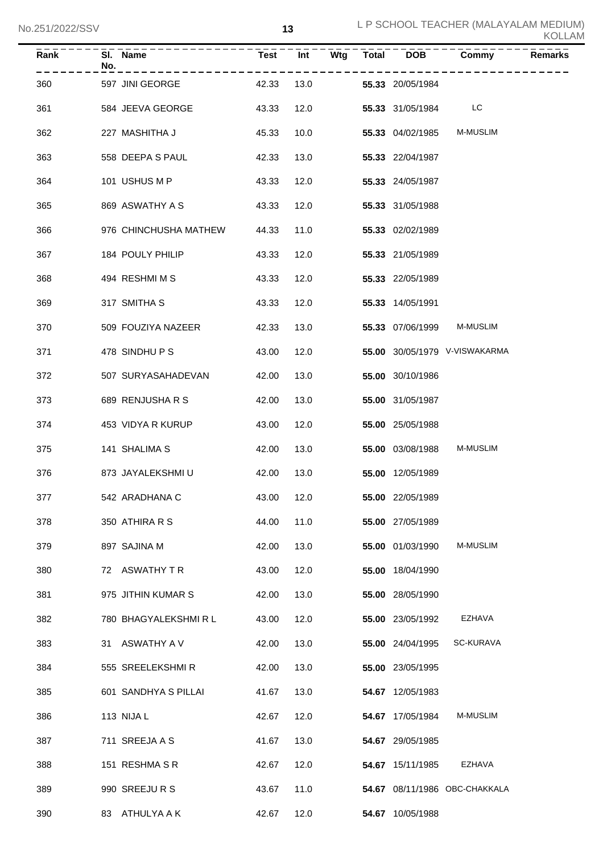| Rank | No. | SI. Name              | <b>Test</b> | Int  | Wtg | Total | <b>DOB</b>       | Commy                         | <b>Remarks</b> |
|------|-----|-----------------------|-------------|------|-----|-------|------------------|-------------------------------|----------------|
| 360  |     | 597 JINI GEORGE       | 42.33       | 13.0 |     |       | 55.33 20/05/1984 |                               |                |
| 361  |     | 584 JEEVA GEORGE      | 43.33       | 12.0 |     |       | 55.33 31/05/1984 | LC                            |                |
| 362  |     | 227 MASHITHA J        | 45.33       | 10.0 |     |       | 55.33 04/02/1985 | M-MUSLIM                      |                |
| 363  |     | 558 DEEPA S PAUL      | 42.33       | 13.0 |     |       | 55.33 22/04/1987 |                               |                |
| 364  |     | 101 USHUS M P         | 43.33       | 12.0 |     |       | 55.33 24/05/1987 |                               |                |
| 365  |     | 869 ASWATHY A S       | 43.33       | 12.0 |     |       | 55.33 31/05/1988 |                               |                |
| 366  |     | 976 CHINCHUSHA MATHEW | 44.33       | 11.0 |     |       | 55.33 02/02/1989 |                               |                |
| 367  |     | 184 POULY PHILIP      | 43.33       | 12.0 |     |       | 55.33 21/05/1989 |                               |                |
| 368  |     | 494 RESHMI M S        | 43.33       | 12.0 |     |       | 55.33 22/05/1989 |                               |                |
| 369  |     | 317 SMITHA S          | 43.33       | 12.0 |     |       | 55.33 14/05/1991 |                               |                |
| 370  |     | 509 FOUZIYA NAZEER    | 42.33       | 13.0 |     |       | 55.33 07/06/1999 | M-MUSLIM                      |                |
| 371  |     | 478 SINDHUPS          | 43.00       | 12.0 |     |       |                  | 55.00 30/05/1979 V-VISWAKARMA |                |
| 372  |     | 507 SURYASAHADEVAN    | 42.00       | 13.0 |     |       | 55.00 30/10/1986 |                               |                |
| 373  |     | 689 RENJUSHA R S      | 42.00       | 13.0 |     |       | 55.00 31/05/1987 |                               |                |
| 374  |     | 453 VIDYA R KURUP     | 43.00       | 12.0 |     |       | 55.00 25/05/1988 |                               |                |
| 375  |     | 141 SHALIMA S         | 42.00       | 13.0 |     |       | 55.00 03/08/1988 | M-MUSLIM                      |                |
| 376  |     | 873 JAYALEKSHMI U     | 42.00       | 13.0 |     |       | 55.00 12/05/1989 |                               |                |
| 377  |     | 542 ARADHANA C        | 43.00 12.0  |      |     |       | 55.00 22/05/1989 |                               |                |
| 378  |     | 350 ATHIRA R S        | 44.00       | 11.0 |     |       | 55.00 27/05/1989 |                               |                |
| 379  |     | 897 SAJINA M          | 42.00       | 13.0 |     |       | 55.00 01/03/1990 | M-MUSLIM                      |                |
| 380  |     | 72 ASWATHY T R        | 43.00       | 12.0 |     |       | 55.00 18/04/1990 |                               |                |
| 381  |     | 975 JITHIN KUMAR S    | 42.00       | 13.0 |     |       | 55.00 28/05/1990 |                               |                |
| 382  |     | 780 BHAGYALEKSHMIRL   | 43.00       | 12.0 |     |       | 55.00 23/05/1992 | EZHAVA                        |                |
| 383  |     | 31 ASWATHY A V        | 42.00       | 13.0 |     |       | 55.00 24/04/1995 | SC-KURAVA                     |                |
| 384  |     | 555 SREELEKSHMIR      | 42.00       | 13.0 |     |       | 55.00 23/05/1995 |                               |                |
| 385  |     | 601 SANDHYA S PILLAI  | 41.67       | 13.0 |     |       | 54.67 12/05/1983 |                               |                |
| 386  |     | 113 NIJA L            | 42.67       | 12.0 |     |       | 54.67 17/05/1984 | M-MUSLIM                      |                |
| 387  |     | 711 SREEJA A S        | 41.67       | 13.0 |     |       | 54.67 29/05/1985 |                               |                |
| 388  |     | 151 RESHMA S R        | 42.67       | 12.0 |     |       | 54.67 15/11/1985 | EZHAVA                        |                |
| 389  |     | 990 SREEJURS          | 43.67       | 11.0 |     |       |                  | 54.67 08/11/1986 OBC-CHAKKALA |                |
| 390  |     | 83 ATHULYA A K        | 42.67       | 12.0 |     |       | 54.67 10/05/1988 |                               |                |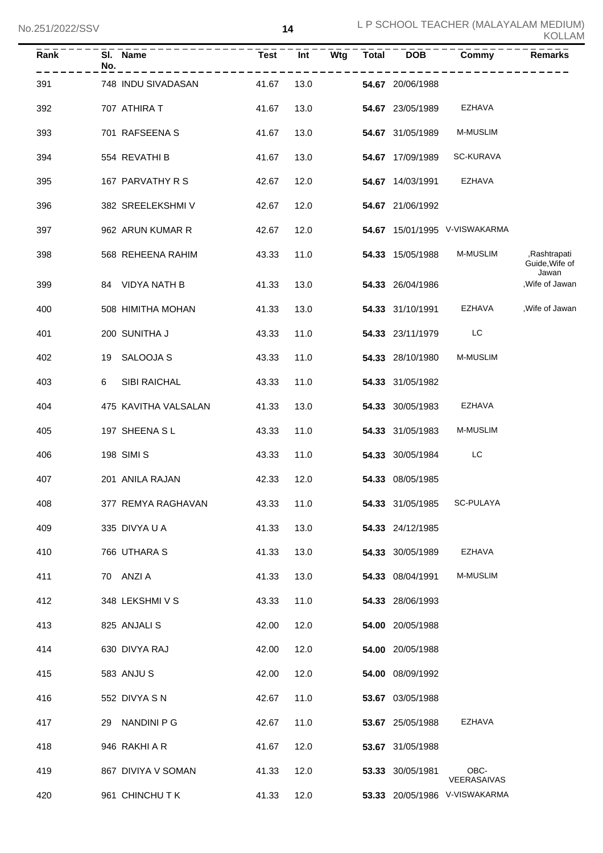| Rank | SI. Name<br>No.      | Test  | <b>Int</b> |  |                  | Wtg Total DOB Commy           | Remarks                                 |
|------|----------------------|-------|------------|--|------------------|-------------------------------|-----------------------------------------|
| 391  | 748 INDU SIVADASAN   | 41.67 | 13.0       |  | 54.67 20/06/1988 |                               |                                         |
| 392  | 707 ATHIRA T         | 41.67 | 13.0       |  | 54.67 23/05/1989 | EZHAVA                        |                                         |
| 393  | 701 RAFSEENA S       | 41.67 | 13.0       |  | 54.67 31/05/1989 | M-MUSLIM                      |                                         |
| 394  | 554 REVATHI B        | 41.67 | 13.0       |  | 54.67 17/09/1989 | <b>SC-KURAVA</b>              |                                         |
| 395  | 167 PARVATHY R S     | 42.67 | 12.0       |  | 54.67 14/03/1991 | EZHAVA                        |                                         |
| 396  | 382 SREELEKSHMI V    | 42.67 | 12.0       |  | 54.67 21/06/1992 |                               |                                         |
| 397  | 962 ARUN KUMAR R     | 42.67 | 12.0       |  |                  | 54.67 15/01/1995 V-VISWAKARMA |                                         |
| 398  | 568 REHEENA RAHIM    | 43.33 | 11.0       |  | 54.33 15/05/1988 | M-MUSLIM                      | ,Rashtrapati<br>Guide, Wife of<br>Jawan |
| 399  | 84 VIDYA NATH B      | 41.33 | 13.0       |  | 54.33 26/04/1986 |                               | , Wife of Jawan                         |
| 400  | 508 HIMITHA MOHAN    | 41.33 | 13.0       |  |                  | 54.33 31/10/1991 EZHAVA       | ,Wife of Jawan                          |
| 401  | 200 SUNITHA J        | 43.33 | 11.0       |  | 54.33 23/11/1979 | <b>EXECUTE:</b>               |                                         |
| 402  | 19 SALOOJA S         | 43.33 | 11.0       |  | 54.33 28/10/1980 | <b>M-MUSLIM</b>               |                                         |
| 403  | 6<br>SIBI RAICHAL    | 43.33 | 11.0       |  | 54.33 31/05/1982 |                               |                                         |
| 404  | 475 KAVITHA VALSALAN | 41.33 | 13.0       |  | 54.33 30/05/1983 | EZHAVA                        |                                         |
| 405  | 197 SHEENA SL        | 43.33 | 11.0       |  | 54.33 31/05/1983 | M-MUSLIM                      |                                         |
| 406  | 198 SIMI S           | 43.33 | 11.0       |  | 54.33 30/05/1984 | LC                            |                                         |
| 407  | 201 ANILA RAJAN      | 42.33 | 12.0       |  | 54.33 08/05/1985 |                               |                                         |
| 408  | 377 REMYA RAGHAVAN   | 43.33 | 11.0       |  | 54.33 31/05/1985 | SC-PULAYA                     |                                         |
| 409  | 335 DIVYA U A        | 41.33 | 13.0       |  | 54.33 24/12/1985 |                               |                                         |
| 410  | 766 UTHARA S         | 41.33 | 13.0       |  | 54.33 30/05/1989 | EZHAVA                        |                                         |
| 411  | 70 ANZI A            | 41.33 | 13.0       |  | 54.33 08/04/1991 | M-MUSLIM                      |                                         |
| 412  | 348 LEKSHMI V S      | 43.33 | 11.0       |  | 54.33 28/06/1993 |                               |                                         |
| 413  | 825 ANJALI S         | 42.00 | 12.0       |  | 54.00 20/05/1988 |                               |                                         |
| 414  | 630 DIVYA RAJ        | 42.00 | 12.0       |  | 54.00 20/05/1988 |                               |                                         |
| 415  | 583 ANJUS            | 42.00 | 12.0       |  | 54.00 08/09/1992 |                               |                                         |
| 416  | 552 DIVYA S N        | 42.67 | 11.0       |  | 53.67 03/05/1988 |                               |                                         |
| 417  | 29 NANDINI P G       | 42.67 | 11.0       |  | 53.67 25/05/1988 | <b>EZHAVA</b>                 |                                         |
| 418  | 946 RAKHI A R        | 41.67 | 12.0       |  | 53.67 31/05/1988 |                               |                                         |
| 419  | 867 DIVIYA V SOMAN   | 41.33 | 12.0       |  | 53.33 30/05/1981 | OBC-<br>VEERASAIVAS           |                                         |
| 420  | 961 CHINCHUTK        | 41.33 | 12.0       |  |                  | 53.33 20/05/1986 V-VISWAKARMA |                                         |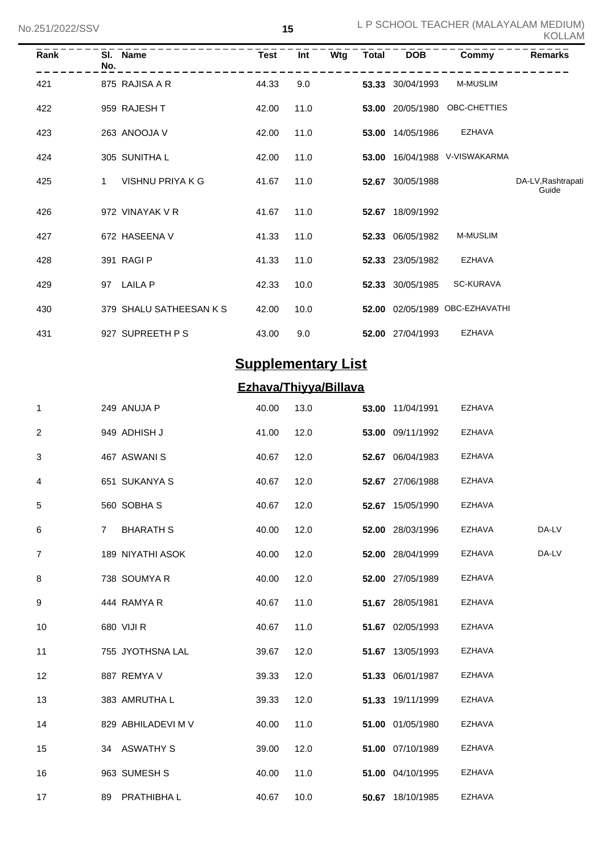| Rank | No. | SI. Name                | Test  | Int  | Wtg | Total | <b>DOB</b>       | Commy                    | <b>Remarks</b>              |
|------|-----|-------------------------|-------|------|-----|-------|------------------|--------------------------|-----------------------------|
| 421  |     | 875 RAJISA A R          | 44.33 | 9.0  |     |       | 53.33 30/04/1993 | <b>M-MUSLIM</b>          |                             |
| 422  |     | 959 RAJESH T            | 42.00 | 11.0 |     | 53.00 | 20/05/1980       | OBC-CHETTIES             |                             |
| 423  |     | 263 ANOOJA V            | 42.00 | 11.0 |     | 53.00 | 14/05/1986       | <b>EZHAVA</b>            |                             |
| 424  |     | 305 SUNITHA L           | 42.00 | 11.0 |     | 53.00 |                  | 16/04/1988 V-VISWAKARMA  |                             |
| 425  | 1   | VISHNU PRIYA K G        | 41.67 | 11.0 |     | 52.67 | 30/05/1988       |                          | DA-LV, Rashtrapati<br>Guide |
| 426  |     | 972 VINAYAK V R         | 41.67 | 11.0 |     | 52.67 | 18/09/1992       |                          |                             |
| 427  |     | 672 HASEENA V           | 41.33 | 11.0 |     |       | 52.33 06/05/1982 | <b>M-MUSLIM</b>          |                             |
| 428  |     | 391 RAGI P              | 41.33 | 11.0 |     |       | 52.33 23/05/1982 | <b>EZHAVA</b>            |                             |
| 429  | 97  | LAILA P                 | 42.33 | 10.0 |     |       | 52.33 30/05/1985 | <b>SC-KURAVA</b>         |                             |
| 430  |     | 379 SHALU SATHEESAN K S | 42.00 | 10.0 |     | 52.00 |                  | 02/05/1989 OBC-EZHAVATHI |                             |
| 431  |     | 927 SUPREETH P S        | 43.00 | 9.0  |     | 52.00 | 27/04/1993       | <b>EZHAVA</b>            |                             |

# **Supplementary List**

## **Ezhava/Thiyya/Billava**

| $\mathbf{1}$   | 249 ANUJA P                        | 40.00 | 13.0 | 53.00 11/04/1991 | <b>EZHAVA</b> |       |
|----------------|------------------------------------|-------|------|------------------|---------------|-------|
| $\overline{2}$ | 949 ADHISH J                       | 41.00 | 12.0 | 53.00 09/11/1992 | <b>EZHAVA</b> |       |
| 3              | 467 ASWANIS                        | 40.67 | 12.0 | 52.67 06/04/1983 | <b>EZHAVA</b> |       |
| 4              | 651 SUKANYA S                      | 40.67 | 12.0 | 52.67 27/06/1988 | <b>EZHAVA</b> |       |
| 5              | 560 SOBHAS                         | 40.67 | 12.0 | 52.67 15/05/1990 | <b>EZHAVA</b> |       |
| 6              | <b>BHARATH S</b><br>$\overline{7}$ | 40.00 | 12.0 | 52.00 28/03/1996 | EZHAVA        | DA-LV |
| $\overline{7}$ | 189 NIYATHI ASOK                   | 40.00 | 12.0 | 52.00 28/04/1999 | EZHAVA        | DA-LV |
| 8              | 738 SOUMYAR                        | 40.00 | 12.0 | 52.00 27/05/1989 | <b>EZHAVA</b> |       |
| 9              | 444 RAMYA R                        | 40.67 | 11.0 | 51.67 28/05/1981 | <b>EZHAVA</b> |       |
| 10             | 680 VIJI R                         | 40.67 | 11.0 | 51.67 02/05/1993 | <b>EZHAVA</b> |       |
| 11             | 755 JYOTHSNA LAL                   | 39.67 | 12.0 | 51.67 13/05/1993 | <b>EZHAVA</b> |       |
| 12             | 887 REMYA V                        | 39.33 | 12.0 | 51.33 06/01/1987 | <b>EZHAVA</b> |       |
| 13             | 383 AMRUTHA L                      | 39.33 | 12.0 | 51.33 19/11/1999 | <b>EZHAVA</b> |       |
| 14             | 829 ABHILADEVI M V                 | 40.00 | 11.0 | 51.00 01/05/1980 | <b>EZHAVA</b> |       |
| 15             | 34 ASWATHY S                       | 39.00 | 12.0 | 51.00 07/10/1989 | <b>EZHAVA</b> |       |
| 16             | 963 SUMESH S                       | 40.00 | 11.0 | 51.00 04/10/1995 | <b>EZHAVA</b> |       |
| 17             | 89 PRATHIBHA L                     | 40.67 | 10.0 | 50.67 18/10/1985 | <b>EZHAVA</b> |       |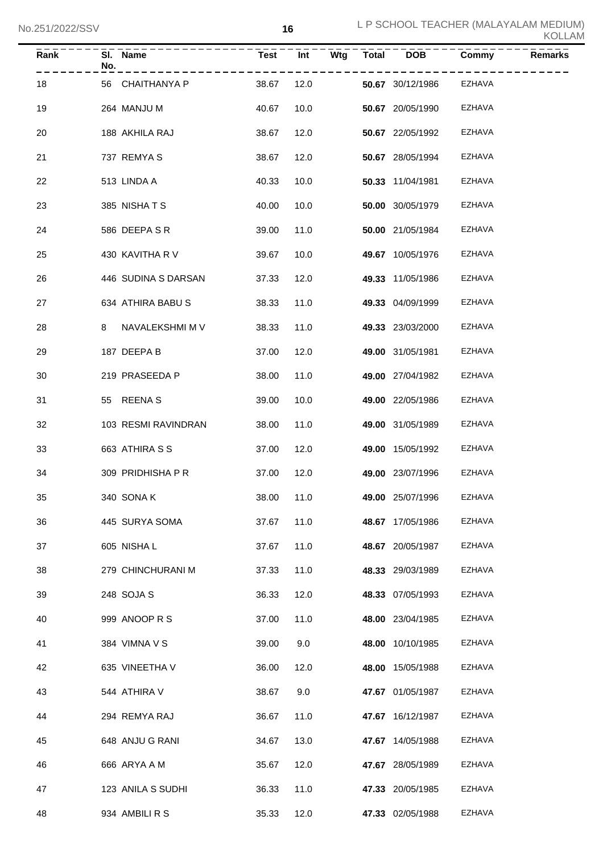| $\overline{\mathsf{Rank}}$ | No. | SI. Name<br>- - - - - - - - - - - . | Test Int   |      | Wtg | Total DOB               | Commy<br>$- - - - -$ | <b>Remarks</b> |
|----------------------------|-----|-------------------------------------|------------|------|-----|-------------------------|----------------------|----------------|
| 18                         |     | 56 CHAITHANYA P                     | 38.67      | 12.0 |     | <b>50.67</b> 30/12/1986 | EZHAVA               |                |
| 19                         |     | 264 MANJU M                         | 40.67      | 10.0 |     | 50.67 20/05/1990        | EZHAVA               |                |
| 20                         |     | 188 AKHILA RAJ                      | 38.67      | 12.0 |     | 50.67 22/05/1992        | EZHAVA               |                |
| 21                         |     | 737 REMYAS                          | 38.67      | 12.0 |     | 50.67 28/05/1994        | EZHAVA               |                |
| 22                         |     | 513 LINDA A                         | 40.33      | 10.0 |     | 50.33 11/04/1981        | EZHAVA               |                |
| 23                         |     | 385 NISHATS                         | 40.00      | 10.0 |     | 50.00 30/05/1979        | EZHAVA               |                |
| 24                         |     | 586 DEEPA S R                       | 39.00      | 11.0 |     | 50.00 21/05/1984        | EZHAVA               |                |
| 25                         |     | 430 KAVITHA R V                     | 39.67      | 10.0 |     | 49.67 10/05/1976        | EZHAVA               |                |
| 26                         |     | 446 SUDINA S DARSAN                 | 37.33      | 12.0 |     | 49.33 11/05/1986        | EZHAVA               |                |
| 27                         |     | 634 ATHIRA BABU S                   | 38.33      | 11.0 |     | 49.33 04/09/1999        | EZHAVA               |                |
| 28                         | 8   | NAVALEKSHMI M V                     | 38.33      | 11.0 |     | 49.33 23/03/2000        | EZHAVA               |                |
| 29                         |     | 187 DEEPA B                         | 37.00      | 12.0 |     | <b>49.00</b> 31/05/1981 | EZHAVA               |                |
| 30                         |     | 219 PRASEEDA P                      | 38.00      | 11.0 |     | 49.00 27/04/1982        | EZHAVA               |                |
| 31                         |     | 55 REENA S                          | 39.00      | 10.0 |     | 49.00 22/05/1986        | EZHAVA               |                |
| 32                         |     | 103 RESMI RAVINDRAN                 | 38.00      | 11.0 |     | <b>49.00</b> 31/05/1989 | EZHAVA               |                |
| 33                         |     | 663 ATHIRA S S                      | 37.00      | 12.0 |     | <b>49.00 15/05/1992</b> | EZHAVA               |                |
| 34                         |     | 309 PRIDHISHA P R                   | 37.00      | 12.0 |     | 49.00 23/07/1996        | EZHAVA               |                |
| 35                         |     | 340 SONAK                           | 38.00 11.0 |      |     | 49.00 25/07/1996        | EZHAVA               |                |
| 36                         |     | 445 SURYA SOMA                      | 37.67      | 11.0 |     | 48.67 17/05/1986        | EZHAVA               |                |
| 37                         |     | 605 NISHA L                         | 37.67      | 11.0 |     | 48.67 20/05/1987        | <b>EZHAVA</b>        |                |
| 38                         |     | 279 CHINCHURANI M                   | 37.33      | 11.0 |     | 48.33 29/03/1989        | <b>EZHAVA</b>        |                |
| 39                         |     | 248 SOJA S                          | 36.33      | 12.0 |     | 48.33 07/05/1993        | EZHAVA               |                |
| 40                         |     | 999 ANOOP R S                       | 37.00      | 11.0 |     | 48.00 23/04/1985        | EZHAVA               |                |
| 41                         |     | 384 VIMNA V S                       | 39.00      | 9.0  |     | 48.00 10/10/1985        | <b>EZHAVA</b>        |                |
| 42                         |     | 635 VINEETHA V                      | 36.00      | 12.0 |     | 48.00 15/05/1988        | <b>EZHAVA</b>        |                |
| 43                         |     | 544 ATHIRA V                        | 38.67      | 9.0  |     | 47.67 01/05/1987        | <b>EZHAVA</b>        |                |
| 44                         |     | 294 REMYA RAJ                       | 36.67      | 11.0 |     | 47.67 16/12/1987        | <b>EZHAVA</b>        |                |
| 45                         |     | 648 ANJU G RANI                     | 34.67      | 13.0 |     | 47.67 14/05/1988        | <b>EZHAVA</b>        |                |
| 46                         |     | 666 ARYA A M                        | 35.67      | 12.0 |     | 47.67 28/05/1989        | EZHAVA               |                |
| 47                         |     | 123 ANILA S SUDHI                   | 36.33      | 11.0 |     | 47.33 20/05/1985        | EZHAVA               |                |
| 48                         |     | 934 AMBILI R S                      | 35.33      | 12.0 |     | 47.33 02/05/1988        | EZHAVA               |                |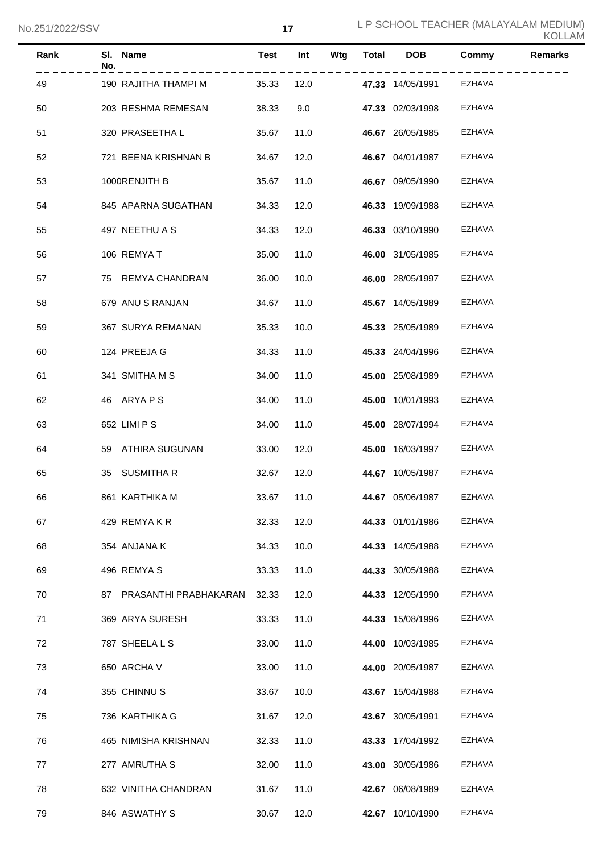| <b>Rank</b> | No. | SI. Name                       | Test  | $\overline{Int}$ |  | $Wtg$ $Total$ $DOB$     | Commy         | <b>Remarks</b> |
|-------------|-----|--------------------------------|-------|------------------|--|-------------------------|---------------|----------------|
| 49          |     | 190 RAJITHA THAMPI M           | 35.33 | 12.0             |  | <b>47.33</b> 14/05/1991 | <b>EZHAVA</b> |                |
| 50          |     | 203 RESHMA REMESAN             | 38.33 | 9.0              |  | 47.33 02/03/1998        | <b>EZHAVA</b> |                |
| 51          |     | 320 PRASEETHA L                | 35.67 | 11.0             |  | 46.67 26/05/1985        | EZHAVA        |                |
| 52          |     | 721 BEENA KRISHNAN B           | 34.67 | 12.0             |  | 46.67 04/01/1987        | EZHAVA        |                |
| 53          |     | 1000RENJITH B                  | 35.67 | 11.0             |  | 46.67 09/05/1990        | <b>EZHAVA</b> |                |
| 54          |     | 845 APARNA SUGATHAN            | 34.33 | 12.0             |  | 46.33 19/09/1988        | <b>EZHAVA</b> |                |
| 55          |     | 497 NEETHU A S                 | 34.33 | 12.0             |  | 46.33 03/10/1990        | <b>EZHAVA</b> |                |
| 56          |     | 106 REMYAT                     | 35.00 | 11.0             |  | 46.00 31/05/1985        | <b>EZHAVA</b> |                |
| 57          |     | 75 REMYA CHANDRAN              | 36.00 | 10.0             |  | 46.00 28/05/1997        | EZHAVA        |                |
| 58          |     | 679 ANU S RANJAN               | 34.67 | 11.0             |  | 45.67 14/05/1989        | EZHAVA        |                |
| 59          |     | 367 SURYA REMANAN              | 35.33 | 10.0             |  | 45.33 25/05/1989        | EZHAVA        |                |
| 60          |     | 124 PREEJA G                   | 34.33 | 11.0             |  | 45.33 24/04/1996        | EZHAVA        |                |
| 61          |     | 341 SMITHA M S                 | 34.00 | 11.0             |  | 45.00 25/08/1989        | EZHAVA        |                |
| 62          |     | 46 ARYAPS                      | 34.00 | 11.0             |  | 45.00 10/01/1993        | EZHAVA        |                |
| 63          |     | 652 LIMI P S                   | 34.00 | 11.0             |  | 45.00 28/07/1994        | EZHAVA        |                |
| 64          |     | 59 ATHIRA SUGUNAN              | 33.00 | 12.0             |  | 45.00 16/03/1997        | EZHAVA        |                |
| 65          |     | 35 SUSMITHAR                   | 32.67 | 12.0             |  | 44.67 10/05/1987        | EZHAVA        |                |
| 66          |     | 861 KARTHIKA M                 |       | 33.67 11.0       |  | 44.67 05/06/1987        | EZHAVA        |                |
| 67          |     | 429 REMYAKR                    | 32.33 | 12.0             |  | 44.33 01/01/1986        | EZHAVA        |                |
| 68          |     | 354 ANJANA K                   | 34.33 | 10.0             |  | 44.33 14/05/1988        | EZHAVA        |                |
| 69          |     | 496 REMYA S                    | 33.33 | 11.0             |  | 44.33 30/05/1988        | EZHAVA        |                |
| 70          |     | 87 PRASANTHI PRABHAKARAN 32.33 |       | 12.0             |  | 44.33 12/05/1990        | EZHAVA        |                |
| 71          |     | 369 ARYA SURESH                | 33.33 | 11.0             |  | 44.33 15/08/1996        | EZHAVA        |                |
| 72          |     | 787 SHEELA L S                 | 33.00 | 11.0             |  | 44.00 10/03/1985        | EZHAVA        |                |
| 73          |     | 650 ARCHA V                    | 33.00 | 11.0             |  | 44.00 20/05/1987        | EZHAVA        |                |
| 74          |     | 355 CHINNUS                    | 33.67 | 10.0             |  | 43.67 15/04/1988        | EZHAVA        |                |
| 75          |     | 736 KARTHIKA G                 | 31.67 | 12.0             |  | 43.67 30/05/1991        | EZHAVA        |                |
| 76          |     | 465 NIMISHA KRISHNAN           | 32.33 | 11.0             |  | 43.33 17/04/1992        | EZHAVA        |                |
| 77          |     | 277 AMRUTHA S                  | 32.00 | 11.0             |  | 43.00 30/05/1986        | EZHAVA        |                |
| 78          |     | 632 VINITHA CHANDRAN           | 31.67 | 11.0             |  | 42.67 06/08/1989        | EZHAVA        |                |
| 79          |     | 846 ASWATHY S                  | 30.67 | 12.0             |  | 42.67 10/10/1990        | EZHAVA        |                |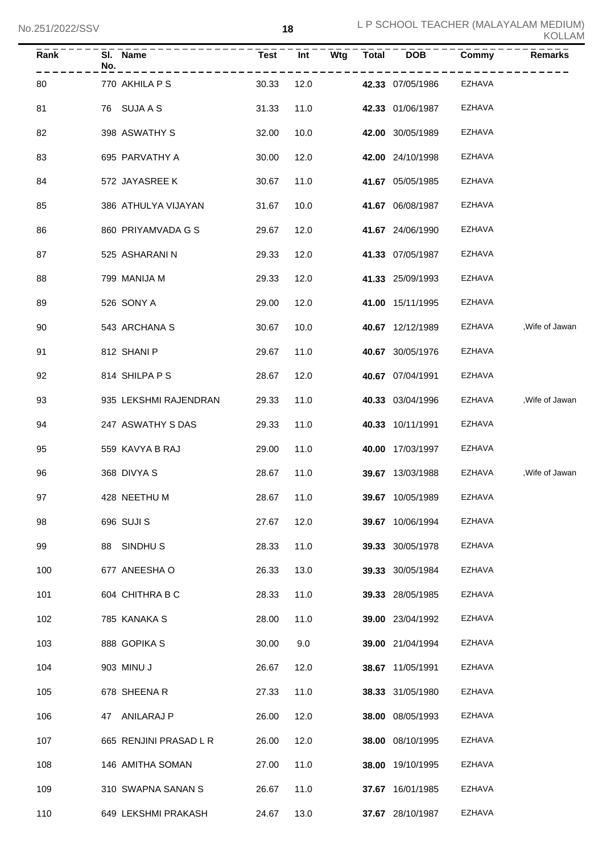| Rank | No. | SI. Name               | <b>Test</b> | Int  | Wtg | <b>Total</b> | <b>DOB</b>       | Commy         | <b>Remarks</b>  |
|------|-----|------------------------|-------------|------|-----|--------------|------------------|---------------|-----------------|
| 80   |     | 770 AKHILA P S         | 30.33       | 12.0 |     |              | 42.33 07/05/1986 | <b>EZHAVA</b> |                 |
| 81   |     | 76 SUJA A S            | 31.33       | 11.0 |     |              | 42.33 01/06/1987 | EZHAVA        |                 |
| 82   |     | 398 ASWATHY S          | 32.00       | 10.0 |     |              | 42.00 30/05/1989 | <b>EZHAVA</b> |                 |
| 83   |     | 695 PARVATHY A         | 30.00       | 12.0 |     |              | 42.00 24/10/1998 | <b>EZHAVA</b> |                 |
| 84   |     | 572 JAYASREE K         | 30.67       | 11.0 |     |              | 41.67 05/05/1985 | <b>EZHAVA</b> |                 |
| 85   |     | 386 ATHULYA VIJAYAN    | 31.67       | 10.0 |     |              | 41.67 06/08/1987 | <b>EZHAVA</b> |                 |
| 86   |     | 860 PRIYAMVADA G S     | 29.67       | 12.0 |     |              | 41.67 24/06/1990 | <b>EZHAVA</b> |                 |
| 87   |     | 525 ASHARANI N         | 29.33       | 12.0 |     |              | 41.33 07/05/1987 | <b>EZHAVA</b> |                 |
| 88   |     | 799 MANIJA M           | 29.33       | 12.0 |     |              | 41.33 25/09/1993 | <b>EZHAVA</b> |                 |
| 89   |     | 526 SONY A             | 29.00       | 12.0 |     |              | 41.00 15/11/1995 | <b>EZHAVA</b> |                 |
| 90   |     | 543 ARCHANA S          | 30.67       | 10.0 |     |              | 40.67 12/12/1989 | EZHAVA        | , Wife of Jawan |
| 91   |     | 812 SHANI P            | 29.67       | 11.0 |     |              | 40.67 30/05/1976 | EZHAVA        |                 |
| 92   |     | 814 SHILPA P S         | 28.67       | 12.0 |     |              | 40.67 07/04/1991 | EZHAVA        |                 |
| 93   |     | 935 LEKSHMI RAJENDRAN  | 29.33       | 11.0 |     |              | 40.33 03/04/1996 | EZHAVA        | , Wife of Jawan |
| 94   |     | 247 ASWATHY S DAS      | 29.33       | 11.0 |     |              | 40.33 10/11/1991 | EZHAVA        |                 |
| 95   |     | 559 KAVYA B RAJ        | 29.00       | 11.0 |     |              | 40.00 17/03/1997 | EZHAVA        |                 |
| 96   |     | 368 DIVYA S            | 28.67       | 11.0 |     |              | 39.67 13/03/1988 | EZHAVA        | , Wife of Jawan |
| 97   |     | 428 NEETHU M           | 28.67       | 11.0 |     |              | 39.67 10/05/1989 | EZHAVA        |                 |
| 98   |     | 696 SUJI S             | 27.67       | 12.0 |     |              | 39.67 10/06/1994 | EZHAVA        |                 |
| 99   |     | 88 SINDHUS             | 28.33       | 11.0 |     |              | 39.33 30/05/1978 | EZHAVA        |                 |
| 100  |     | 677 ANEESHA O          | 26.33       | 13.0 |     |              | 39.33 30/05/1984 | <b>EZHAVA</b> |                 |
| 101  |     | 604 CHITHRA B C        | 28.33       | 11.0 |     |              | 39.33 28/05/1985 | EZHAVA        |                 |
| 102  |     | 785 KANAKA S           | 28.00       | 11.0 |     |              | 39.00 23/04/1992 | EZHAVA        |                 |
| 103  |     | 888 GOPIKA S           | 30.00       | 9.0  |     |              | 39.00 21/04/1994 | EZHAVA        |                 |
| 104  |     | 903 MINU J             | 26.67       | 12.0 |     |              | 38.67 11/05/1991 | EZHAVA        |                 |
| 105  |     | 678 SHEENA R           | 27.33       | 11.0 |     |              | 38.33 31/05/1980 | EZHAVA        |                 |
| 106  |     | 47 ANILARAJ P          | 26.00       | 12.0 |     |              | 38.00 08/05/1993 | EZHAVA        |                 |
| 107  |     | 665 RENJINI PRASAD L R | 26.00       | 12.0 |     |              | 38.00 08/10/1995 | EZHAVA        |                 |
| 108  |     | 146 AMITHA SOMAN       | 27.00       | 11.0 |     |              | 38.00 19/10/1995 | EZHAVA        |                 |
| 109  |     | 310 SWAPNA SANAN S     | 26.67       | 11.0 |     |              | 37.67 16/01/1985 | EZHAVA        |                 |
| 110  |     | 649 LEKSHMI PRAKASH    | 24.67       | 13.0 |     |              | 37.67 28/10/1987 | <b>EZHAVA</b> |                 |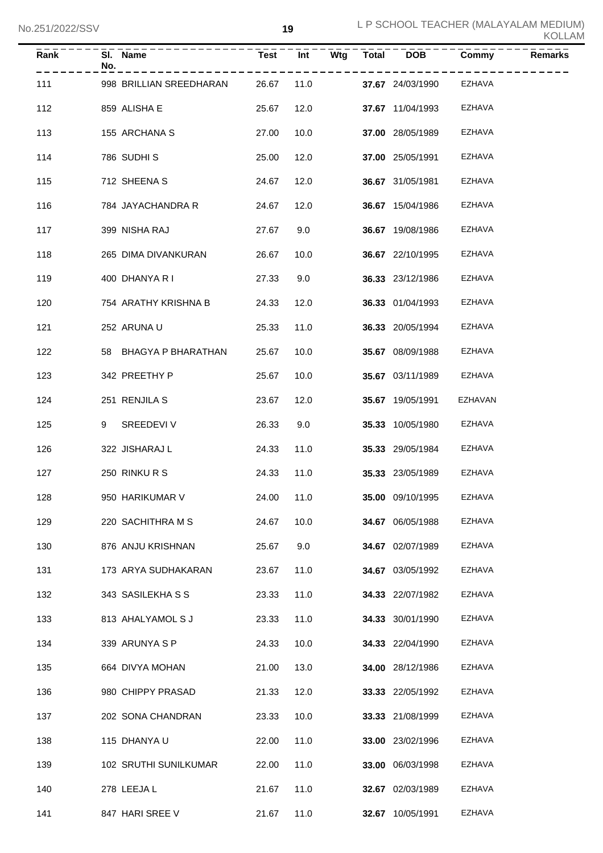| Rank | No. | SI. Name                | <b>Test</b> | <b>Int</b> |      | $\overline{W}$ tg Total DOB | Commy         | <b>Remarks</b> |
|------|-----|-------------------------|-------------|------------|------|-----------------------------|---------------|----------------|
| 111  |     | 998 BRILLIAN SREEDHARAN | 26.67       |            | 11.0 | <b>37.67</b> 24/03/1990     | EZHAVA        |                |
| 112  |     | 859 ALISHA E            | 25.67       | 12.0       |      | 37.67 11/04/1993            | EZHAVA        |                |
| 113  |     | 155 ARCHANA S           | 27.00       | 10.0       |      | <b>37.00</b> 28/05/1989     | EZHAVA        |                |
| 114  |     | 786 SUDHIS              | 25.00       | 12.0       |      | 37.00 25/05/1991            | EZHAVA        |                |
| 115  |     | 712 SHEENA S            | 24.67       | 12.0       |      | 36.67 31/05/1981            | <b>EZHAVA</b> |                |
| 116  |     | 784 JAYACHANDRA R       | 24.67       | 12.0       |      | 36.67 15/04/1986            | EZHAVA        |                |
| 117  |     | 399 NISHA RAJ           | 27.67       | 9.0        |      | 36.67 19/08/1986            | EZHAVA        |                |
| 118  |     | 265 DIMA DIVANKURAN     | 26.67       | 10.0       |      | <b>36.67</b> 22/10/1995     | <b>EZHAVA</b> |                |
| 119  |     | 400 DHANYA R I          | 27.33       | 9.0        |      | 36.33 23/12/1986            | <b>EZHAVA</b> |                |
| 120  |     | 754 ARATHY KRISHNA B    | 24.33       | 12.0       |      | 36.33 01/04/1993            | EZHAVA        |                |
| 121  |     | 252 ARUNA U             | 25.33       | 11.0       |      | <b>36.33</b> 20/05/1994     | <b>EZHAVA</b> |                |
| 122  |     | 58 BHAGYA P BHARATHAN   | 25.67       | 10.0       |      | <b>35.67</b> 08/09/1988     | <b>EZHAVA</b> |                |
| 123  |     | 342 PREETHY P           | 25.67       | 10.0       |      | 35.67 03/11/1989            | EZHAVA        |                |
| 124  |     | 251 RENJILA S           | 23.67       | 12.0       |      | 35.67 19/05/1991            | EZHAVAN       |                |
| 125  | 9   | SREEDEVI V              | 26.33       | 9.0        |      | 35.33 10/05/1980            | EZHAVA        |                |
| 126  |     | 322 JISHARAJ L          | 24.33       | 11.0       |      | <b>35.33</b> 29/05/1984     | <b>EZHAVA</b> |                |
| 127  |     | 250 RINKURS             | 24.33       | 11.0       |      | 35.33 23/05/1989            | EZHAVA        |                |
| 128  |     | 950 HARIKUMAR V         |             | 24.00 11.0 |      | <b>35.00</b> 09/10/1995     | EZHAVA        |                |
| 129  |     | 220 SACHITHRA M S       | 24.67       | 10.0       |      | 34.67 06/05/1988            | EZHAVA        |                |
| 130  |     | 876 ANJU KRISHNAN       | 25.67       | 9.0        |      | 34.67 02/07/1989            | <b>EZHAVA</b> |                |
| 131  |     | 173 ARYA SUDHAKARAN     | 23.67       | 11.0       |      | 34.67 03/05/1992            | <b>EZHAVA</b> |                |
| 132  |     | 343 SASILEKHA S S       | 23.33       | 11.0       |      | 34.33 22/07/1982            | <b>EZHAVA</b> |                |
| 133  |     | 813 AHALYAMOL S J       | 23.33       | 11.0       |      | 34.33 30/01/1990            | <b>EZHAVA</b> |                |
| 134  |     | 339 ARUNYA S P          | 24.33       | 10.0       |      | 34.33 22/04/1990            | <b>EZHAVA</b> |                |
| 135  |     | 664 DIVYA MOHAN         | 21.00       | 13.0       |      | 34.00 28/12/1986            | <b>EZHAVA</b> |                |
| 136  |     | 980 CHIPPY PRASAD       | 21.33       | 12.0       |      | 33.33 22/05/1992            | <b>EZHAVA</b> |                |
| 137  |     | 202 SONA CHANDRAN       | 23.33       | 10.0       |      | 33.33 21/08/1999            | <b>EZHAVA</b> |                |
| 138  |     | 115 DHANYA U            | 22.00       | 11.0       |      | 33.00 23/02/1996            | <b>EZHAVA</b> |                |
| 139  |     | 102 SRUTHI SUNILKUMAR   | 22.00       | 11.0       |      | 33.00 06/03/1998            | <b>EZHAVA</b> |                |
| 140  |     | 278 LEEJA L             | 21.67       | 11.0       |      | 32.67 02/03/1989            | EZHAVA        |                |
| 141  |     | 847 HARI SREE V         | 21.67       | 11.0       |      | 32.67 10/05/1991            | EZHAVA        |                |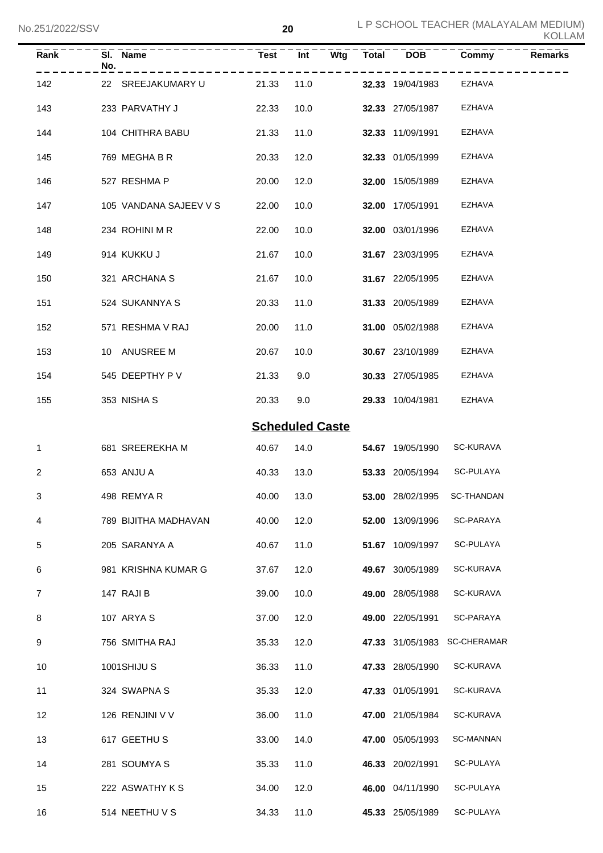| KOLLAM |  |
|--------|--|
|--------|--|

|                | No.251/2022/SSV |                          |                        | 20   |     |              | L P SCHOOL TEACHER (MALAYALAM MEDIUM)<br><b>KOLLAM</b> |                    |         |  |
|----------------|-----------------|--------------------------|------------------------|------|-----|--------------|--------------------------------------------------------|--------------------|---------|--|
| Rank           | No.             | . <u>.</u> .<br>SI. Name | <b>Test</b>            | Int  | Wtg | <b>Total</b> | <b>DOB</b>                                             | Commy              | Remarks |  |
| 142            |                 | 22 SREEJAKUMARY U        | 21.33                  | 11.0 |     |              | 32.33 19/04/1983                                       | <b>EZHAVA</b>      |         |  |
| 143            |                 | 233 PARVATHY J           | 22.33                  | 10.0 |     |              | 32.33 27/05/1987                                       | <b>EZHAVA</b>      |         |  |
| 144            |                 | 104 CHITHRA BABU         | 21.33                  | 11.0 |     |              | 32.33 11/09/1991                                       | <b>EZHAVA</b>      |         |  |
| 145            |                 | 769 MEGHA B R            | 20.33                  | 12.0 |     |              | 32.33 01/05/1999                                       | <b>EZHAVA</b>      |         |  |
| 146            |                 | 527 RESHMA P             | 20.00                  | 12.0 |     |              | 32.00 15/05/1989                                       | <b>EZHAVA</b>      |         |  |
| 147            |                 | 105 VANDANA SAJEEV V S   | 22.00                  | 10.0 |     |              | 32.00 17/05/1991                                       | <b>EZHAVA</b>      |         |  |
| 148            |                 | 234 ROHINI M R           | 22.00                  | 10.0 |     |              | 32.00 03/01/1996                                       | <b>EZHAVA</b>      |         |  |
| 149            |                 | 914 KUKKU J              | 21.67                  | 10.0 |     |              | 31.67 23/03/1995                                       | <b>EZHAVA</b>      |         |  |
| 150            |                 | 321 ARCHANA S            | 21.67                  | 10.0 |     |              | 31.67 22/05/1995                                       | <b>EZHAVA</b>      |         |  |
| 151            |                 | 524 SUKANNYA S           | 20.33                  | 11.0 |     |              | 31.33 20/05/1989                                       | <b>EZHAVA</b>      |         |  |
| 152            |                 | 571 RESHMA V RAJ         | 20.00                  | 11.0 |     |              | 31.00 05/02/1988                                       | <b>EZHAVA</b>      |         |  |
| 153            |                 | 10 ANUSREE M             | 20.67                  | 10.0 |     |              | 30.67 23/10/1989                                       | <b>EZHAVA</b>      |         |  |
| 154            |                 | 545 DEEPTHY P V          | 21.33                  | 9.0  |     |              | 30.33 27/05/1985                                       | <b>EZHAVA</b>      |         |  |
| 155            |                 | 353 NISHA S              | 20.33                  | 9.0  |     |              | 29.33 10/04/1981                                       | <b>EZHAVA</b>      |         |  |
|                |                 |                          | <b>Scheduled Caste</b> |      |     |              |                                                        |                    |         |  |
| 1              |                 | 681 SREEREKHA M          | 40.67                  | 14.0 |     |              | 54.67 19/05/1990                                       | <b>SC-KURAVA</b>   |         |  |
| 2              |                 | 653 ANJU A               | 40.33                  | 13.0 |     |              | 53.33 20/05/1994                                       | SC-PULAYA          |         |  |
| 3              |                 | 498 REMYAR               | 40.00                  | 13.0 |     |              | 53.00 28/02/1995                                       | SC-THANDAN         |         |  |
| 4              |                 | 789 BIJITHA MADHAVAN     | 40.00                  | 12.0 |     |              | 52.00 13/09/1996                                       | SC-PARAYA          |         |  |
| 5              |                 | 205 SARANYA A            | 40.67                  | 11.0 |     |              | 51.67 10/09/1997                                       | SC-PULAYA          |         |  |
| 6              |                 | 981 KRISHNA KUMAR G      | 37.67                  | 12.0 |     |              | 49.67 30/05/1989                                       | SC-KURAVA          |         |  |
| $\overline{7}$ |                 | 147 RAJI B               | 39.00                  | 10.0 |     |              | 49.00 28/05/1988                                       | SC-KURAVA          |         |  |
| 8              |                 | 107 ARYA S               | 37.00                  | 12.0 |     |              | 49.00 22/05/1991                                       | SC-PARAYA          |         |  |
| 9              |                 | 756 SMITHA RAJ           | 35.33                  | 12.0 |     |              | 47.33 31/05/1983                                       | <b>SC-CHERAMAR</b> |         |  |
| 10             |                 | <b>1001SHIJU S</b>       | 36.33                  | 11.0 |     |              | 47.33 28/05/1990                                       | SC-KURAVA          |         |  |
| 11             |                 | 324 SWAPNA S             | 35.33                  | 12.0 |     |              | 47.33 01/05/1991                                       | SC-KURAVA          |         |  |
| 12             |                 | 126 RENJINI V V          | 36.00                  | 11.0 |     |              | 47.00 21/05/1984                                       | SC-KURAVA          |         |  |
| 13             |                 | 617 GEETHUS              | 33.00                  | 14.0 |     |              | 47.00 05/05/1993                                       | SC-MANNAN          |         |  |
| 14             |                 | 281 SOUMYA S             | 35.33                  | 11.0 |     |              | 46.33 20/02/1991                                       | SC-PULAYA          |         |  |
| 15             |                 | 222 ASWATHY K S          | 34.00                  | 12.0 |     |              | 46.00 04/11/1990                                       | SC-PULAYA          |         |  |
| 16             |                 | 514 NEETHU V S           | 34.33                  | 11.0 |     |              | 45.33 25/05/1989                                       | SC-PULAYA          |         |  |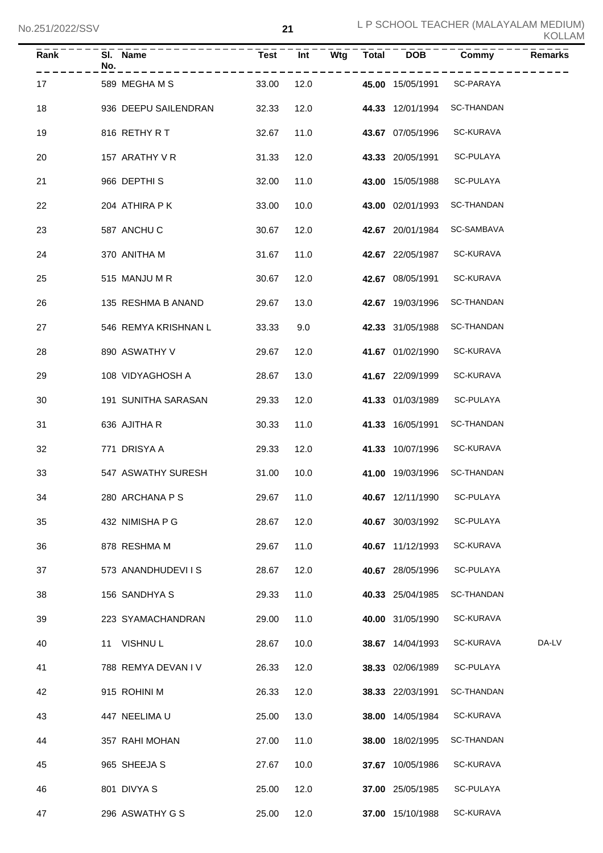| <b>Rank</b> | SI. Name<br>No.      | Test       | Int  | Wtg | <b>Total</b> | <b>DOB</b>       | Commy                      | <b>Remarks</b> |
|-------------|----------------------|------------|------|-----|--------------|------------------|----------------------------|----------------|
| 17          | 589 MEGHAMS          | 33.00      | 12.0 |     |              | 45.00 15/05/1991 | SC-PARAYA                  |                |
| 18          | 936 DEEPU SAILENDRAN | 32.33      | 12.0 |     |              | 44.33 12/01/1994 | <b>SC-THANDAN</b>          |                |
| 19          | 816 RETHY R T        | 32.67      | 11.0 |     |              | 43.67 07/05/1996 | SC-KURAVA                  |                |
| 20          | 157 ARATHY V R       | 31.33      | 12.0 |     |              | 43.33 20/05/1991 | SC-PULAYA                  |                |
| 21          | 966 DEPTHIS          | 32.00      | 11.0 |     |              | 43.00 15/05/1988 | SC-PULAYA                  |                |
| 22          | 204 ATHIRA P K       | 33.00      | 10.0 |     |              | 43.00 02/01/1993 | <b>SC-THANDAN</b>          |                |
| 23          | 587 ANCHU C          | 30.67      | 12.0 |     |              | 42.67 20/01/1984 | SC-SAMBAVA                 |                |
| 24          | 370 ANITHA M         | 31.67      | 11.0 |     |              | 42.67 22/05/1987 | SC-KURAVA                  |                |
| 25          | 515 MANJU M R        | 30.67      | 12.0 |     |              | 42.67 08/05/1991 | SC-KURAVA                  |                |
| 26          | 135 RESHMA B ANAND   | 29.67      | 13.0 |     |              | 42.67 19/03/1996 | SC-THANDAN                 |                |
| 27          | 546 REMYA KRISHNAN L | 33.33      | 9.0  |     |              | 42.33 31/05/1988 | <b>SC-THANDAN</b>          |                |
| 28          | 890 ASWATHY V        | 29.67      | 12.0 |     |              | 41.67 01/02/1990 | SC-KURAVA                  |                |
| 29          | 108 VIDYAGHOSH A     | 28.67      | 13.0 |     |              | 41.67 22/09/1999 | SC-KURAVA                  |                |
| 30          | 191 SUNITHA SARASAN  | 29.33      | 12.0 |     |              | 41.33 01/03/1989 | SC-PULAYA                  |                |
| 31          | 636 AJITHA R         | 30.33      | 11.0 |     |              | 41.33 16/05/1991 | SC-THANDAN                 |                |
| 32          | 771 DRISYA A         | 29.33      | 12.0 |     |              | 41.33 10/07/1996 | SC-KURAVA                  |                |
| 33          | 547 ASWATHY SURESH   | 31.00      | 10.0 |     |              | 41.00 19/03/1996 | <b>SC-THANDAN</b>          |                |
| 34          | 280 ARCHANA P S      | 29.67 11.0 |      |     |              |                  | 40.67 12/11/1990 SC-PULAYA |                |
| 35          | 432 NIMISHA P G      | 28.67      | 12.0 |     |              | 40.67 30/03/1992 | SC-PULAYA                  |                |
| 36          | 878 RESHMA M         | 29.67      | 11.0 |     |              | 40.67 11/12/1993 | SC-KURAVA                  |                |
| 37          | 573 ANANDHUDEVIIS    | 28.67      | 12.0 |     |              | 40.67 28/05/1996 | SC-PULAYA                  |                |
| 38          | 156 SANDHYA S        | 29.33      | 11.0 |     |              | 40.33 25/04/1985 | SC-THANDAN                 |                |
| 39          | 223 SYAMACHANDRAN    | 29.00      | 11.0 |     |              | 40.00 31/05/1990 | SC-KURAVA                  |                |
| 40          | 11 VISHNUL           | 28.67      | 10.0 |     |              | 38.67 14/04/1993 | SC-KURAVA                  | DA-LV          |
| 41          | 788 REMYA DEVAN I V  | 26.33      | 12.0 |     |              | 38.33 02/06/1989 | SC-PULAYA                  |                |
| 42          | 915 ROHINI M         | 26.33      | 12.0 |     |              | 38.33 22/03/1991 | SC-THANDAN                 |                |
| 43          | 447 NEELIMA U        | 25.00      | 13.0 |     |              | 38.00 14/05/1984 | SC-KURAVA                  |                |
| 44          | 357 RAHI MOHAN       | 27.00      | 11.0 |     |              | 38.00 18/02/1995 | SC-THANDAN                 |                |
| 45          | 965 SHEEJA S         | 27.67      | 10.0 |     |              | 37.67 10/05/1986 | SC-KURAVA                  |                |
| 46          | 801 DIVYA S          | 25.00      | 12.0 |     |              | 37.00 25/05/1985 | SC-PULAYA                  |                |
| 47          | 296 ASWATHY G S      | 25.00      | 12.0 |     |              | 37.00 15/10/1988 | SC-KURAVA                  |                |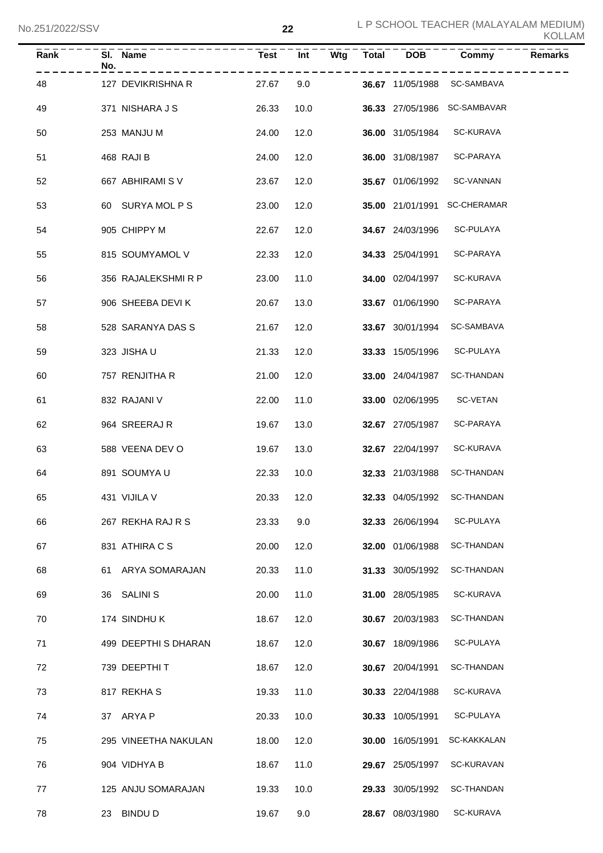|    | Rank | No. | SI. Name<br>-------- | <b>Test</b> | Int  | <b>Wtg</b> | Total DOB               | Commy                        | <b>Remarks</b> |
|----|------|-----|----------------------|-------------|------|------------|-------------------------|------------------------------|----------------|
| 48 |      |     | 127 DEVIKRISHNA R    | 27.67       | 9.0  |            |                         | 36.67 11/05/1988 SC-SAMBAVA  |                |
| 49 |      |     | 371 NISHARA J S      | 26.33       | 10.0 |            |                         | 36.33 27/05/1986 SC-SAMBAVAR |                |
| 50 |      |     | 253 MANJU M          | 24.00       | 12.0 |            | 36.00 31/05/1984        | <b>SC-KURAVA</b>             |                |
| 51 |      |     | 468 RAJI B           | 24.00       | 12.0 |            | 36.00 31/08/1987        | SC-PARAYA                    |                |
| 52 |      |     | 667 ABHIRAMI S V     | 23.67       | 12.0 |            | 35.67 01/06/1992        | SC-VANNAN                    |                |
| 53 |      |     | 60 SURYA MOL P S     | 23.00       | 12.0 |            | <b>35.00</b> 21/01/1991 | <b>SC-CHERAMAR</b>           |                |
| 54 |      |     | 905 CHIPPY M         | 22.67       | 12.0 |            | 34.67 24/03/1996        | SC-PULAYA                    |                |
| 55 |      |     | 815 SOUMYAMOL V      | 22.33       | 12.0 |            | 34.33 25/04/1991        | SC-PARAYA                    |                |
| 56 |      |     | 356 RAJALEKSHMI R P  | 23.00       | 11.0 |            | 34.00 02/04/1997        | SC-KURAVA                    |                |
| 57 |      |     | 906 SHEEBA DEVI K    | 20.67       | 13.0 |            | 33.67 01/06/1990        | SC-PARAYA                    |                |
| 58 |      |     | 528 SARANYA DAS S    | 21.67       | 12.0 |            | 33.67 30/01/1994        | SC-SAMBAVA                   |                |
| 59 |      |     | 323 JISHAU           | 21.33       | 12.0 |            | 33.33 15/05/1996        | SC-PULAYA                    |                |
| 60 |      |     | 757 RENJITHA R       | 21.00       | 12.0 |            | 33.00 24/04/1987        | SC-THANDAN                   |                |
| 61 |      |     | 832 RAJANI V         | 22.00       | 11.0 |            | 33.00 02/06/1995        | SC-VETAN                     |                |
| 62 |      |     | 964 SREERAJ R        | 19.67       | 13.0 |            | 32.67 27/05/1987        | SC-PARAYA                    |                |
| 63 |      |     | 588 VEENA DEV O      | 19.67       | 13.0 |            | 32.67 22/04/1997        | SC-KURAVA                    |                |
| 64 |      |     | 891 SOUMYAU          | 22.33       | 10.0 |            | 32.33 21/03/1988        | SC-THANDAN                   |                |
| 65 |      |     | 431 VIJILA V         | 20.33 12.0  |      |            |                         | 32.33 04/05/1992 SC-THANDAN  |                |
| 66 |      |     | 267 REKHA RAJ R S    | 23.33       | 9.0  |            | 32.33 26/06/1994        | SC-PULAYA                    |                |
| 67 |      |     | 831 ATHIRA C S       | 20.00       | 12.0 |            | 32.00 01/06/1988        | <b>SC-THANDAN</b>            |                |
| 68 |      | 61. | ARYA SOMARAJAN       | 20.33       | 11.0 |            | 31.33 30/05/1992        | SC-THANDAN                   |                |
| 69 |      | 36  | <b>SALINI S</b>      | 20.00       | 11.0 |            | 31.00 28/05/1985        | SC-KURAVA                    |                |
| 70 |      |     | 174 SINDHUK          | 18.67       | 12.0 |            | 30.67 20/03/1983        | SC-THANDAN                   |                |
| 71 |      |     | 499 DEEPTHI S DHARAN | 18.67       | 12.0 |            | 30.67 18/09/1986        | SC-PULAYA                    |                |
| 72 |      |     | 739 DEEPTHIT         | 18.67       | 12.0 |            | 30.67 20/04/1991        | SC-THANDAN                   |                |
| 73 |      |     | 817 REKHAS           | 19.33       | 11.0 |            | 30.33 22/04/1988        | SC-KURAVA                    |                |
| 74 |      |     | 37 ARYA P            | 20.33       | 10.0 |            | 30.33 10/05/1991        | SC-PULAYA                    |                |
| 75 |      |     | 295 VINEETHA NAKULAN | 18.00       | 12.0 |            | 30.00 16/05/1991        | SC-KAKKALAN                  |                |
| 76 |      |     | 904 VIDHYA B         | 18.67       | 11.0 |            | 29.67 25/05/1997        | SC-KURAVAN                   |                |
| 77 |      |     | 125 ANJU SOMARAJAN   | 19.33       | 10.0 |            | 29.33 30/05/1992        | SC-THANDAN                   |                |
| 78 |      |     | 23 BINDU D           | 19.67       | 9.0  |            | 28.67 08/03/1980        | SC-KURAVA                    |                |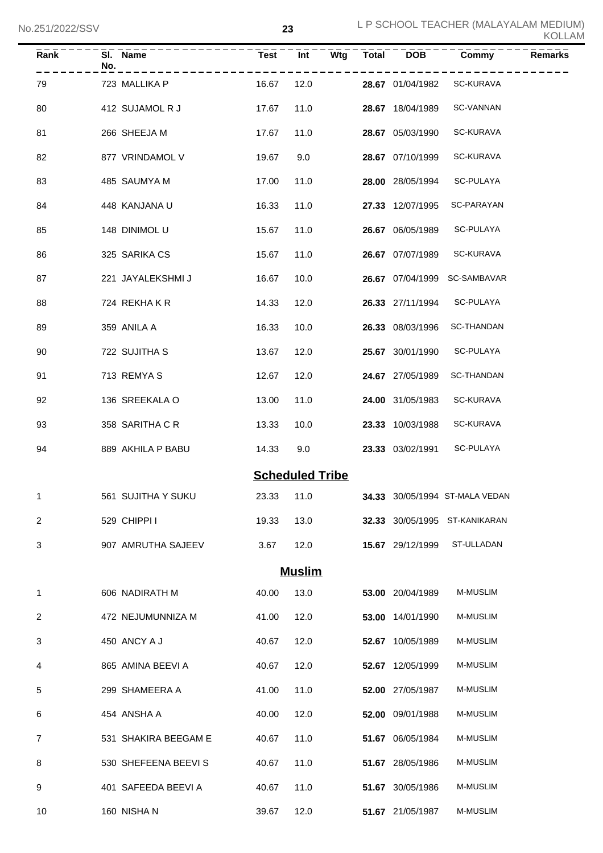| <b>Rank</b>  | No. | SI. Name             | Test                   | $\overline{Int}$ |  | Wtg Total DOB    | Commy                                     | <b>Remarks</b> |
|--------------|-----|----------------------|------------------------|------------------|--|------------------|-------------------------------------------|----------------|
| 79           |     | 723 MALLIKA P        | 16.67                  | 12.0             |  | 28.67 01/04/1982 | SC-KURAVA                                 |                |
| 80           |     | 412 SUJAMOL R J      | 17.67                  | 11.0             |  | 28.67 18/04/1989 | <b>SC-VANNAN</b>                          |                |
| 81           |     | 266 SHEEJA M         | 17.67                  | 11.0             |  | 28.67 05/03/1990 | SC-KURAVA                                 |                |
| 82           |     | 877 VRINDAMOL V      | 19.67                  | 9.0              |  | 28.67 07/10/1999 | <b>SC-KURAVA</b>                          |                |
| 83           |     | 485 SAUMYA M         | 17.00                  | 11.0             |  | 28.00 28/05/1994 | SC-PULAYA                                 |                |
| 84           |     | 448 KANJANA U        | 16.33                  | 11.0             |  | 27.33 12/07/1995 | SC-PARAYAN                                |                |
| 85           |     | 148 DINIMOL U        | 15.67                  | 11.0             |  | 26.67 06/05/1989 | SC-PULAYA                                 |                |
| 86           |     | 325 SARIKA CS        | 15.67                  | 11.0             |  | 26.67 07/07/1989 | SC-KURAVA                                 |                |
| 87           |     | 221 JAYALEKSHMI J    | 16.67                  | 10.0             |  | 26.67 07/04/1999 | SC-SAMBAVAR                               |                |
| 88           |     | 724 REKHAKR          | 14.33                  | 12.0             |  | 26.33 27/11/1994 | SC-PULAYA                                 |                |
| 89           |     | 359 ANILA A          | 16.33                  | 10.0             |  | 26.33 08/03/1996 | <b>SC-THANDAN</b>                         |                |
| 90           |     | 722 SUJITHA S        | 13.67                  | 12.0             |  | 25.67 30/01/1990 | SC-PULAYA                                 |                |
| 91           |     | 713 REMYAS           | 12.67                  | 12.0             |  | 24.67 27/05/1989 | <b>SC-THANDAN</b>                         |                |
| 92           |     | 136 SREEKALA O       | 13.00                  | 11.0             |  | 24.00 31/05/1983 | <b>SC-KURAVA</b>                          |                |
| 93           |     | 358 SARITHA C R      | 13.33                  | 10.0             |  | 23.33 10/03/1988 | <b>SC-KURAVA</b>                          |                |
| 94           |     | 889 AKHILA P BABU    | 14.33                  | 9.0              |  | 23.33 03/02/1991 | SC-PULAYA                                 |                |
|              |     |                      | <b>Scheduled Tribe</b> |                  |  |                  |                                           |                |
| $\mathbf{1}$ |     | 561 SUJITHA Y SUKU   |                        |                  |  |                  | 23.33 11.0 34.33 30/05/1994 ST-MALA VEDAN |                |
| 2            |     | 529 CHIPPI I         | 19.33                  | 13.0             |  |                  | 32.33 30/05/1995 ST-KANIKARAN             |                |
| 3            |     | 907 AMRUTHA SAJEEV   | 3.67                   | 12.0             |  | 15.67 29/12/1999 | ST-ULLADAN                                |                |
|              |     |                      |                        | <b>Muslim</b>    |  |                  |                                           |                |
| 1            |     | 606 NADIRATH M       | 40.00                  | 13.0             |  | 53.00 20/04/1989 | <b>M-MUSLIM</b>                           |                |
| 2            |     | 472 NEJUMUNNIZA M    | 41.00                  | 12.0             |  | 53.00 14/01/1990 | M-MUSLIM                                  |                |
| 3            |     | 450 ANCY A J         | 40.67                  | 12.0             |  | 52.67 10/05/1989 | M-MUSLIM                                  |                |
| 4            |     | 865 AMINA BEEVI A    | 40.67                  | 12.0             |  | 52.67 12/05/1999 | M-MUSLIM                                  |                |
| 5            |     | 299 SHAMEERA A       | 41.00                  | 11.0             |  | 52.00 27/05/1987 | M-MUSLIM                                  |                |
| 6            |     | 454 ANSHA A          | 40.00                  | 12.0             |  | 52.00 09/01/1988 | M-MUSLIM                                  |                |
| 7            |     | 531 SHAKIRA BEEGAM E | 40.67                  | 11.0             |  | 51.67 06/05/1984 | M-MUSLIM                                  |                |
| 8            |     | 530 SHEFEENA BEEVIS  | 40.67                  | 11.0             |  | 51.67 28/05/1986 | M-MUSLIM                                  |                |
| 9            |     | 401 SAFEEDA BEEVI A  | 40.67                  | 11.0             |  | 51.67 30/05/1986 | M-MUSLIM                                  |                |
| 10           |     | 160 NISHA N          | 39.67                  | 12.0             |  | 51.67 21/05/1987 | M-MUSLIM                                  |                |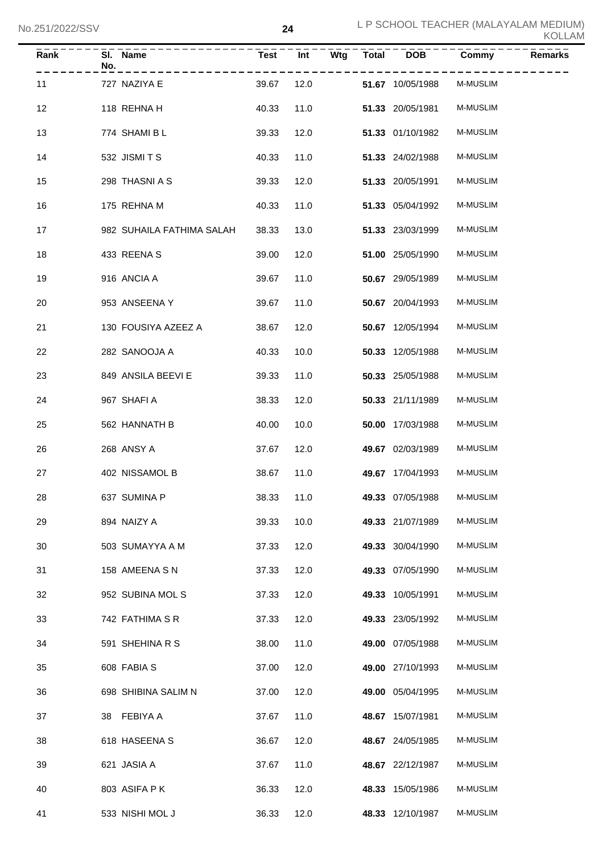| Rank | No. | SI. Name<br>----------    | <b>Test</b> | $\overline{Int}$ | $\overline{\mathsf{W}}$ tg | <b>Total</b> | <b>DOB</b>       | Commy           | <b>Remarks</b> |
|------|-----|---------------------------|-------------|------------------|----------------------------|--------------|------------------|-----------------|----------------|
| 11   |     | 727 NAZIYA E              | 39.67       | 12.0             |                            |              | 51.67 10/05/1988 | <b>M-MUSLIM</b> |                |
| 12   |     | 118 REHNA H               | 40.33       | 11.0             |                            |              | 51.33 20/05/1981 | M-MUSLIM        |                |
| 13   |     | 774 SHAMI B L             | 39.33       | 12.0             |                            |              | 51.33 01/10/1982 | <b>M-MUSLIM</b> |                |
| 14   |     | 532 JISMITS               | 40.33       | 11.0             |                            |              | 51.33 24/02/1988 | <b>M-MUSLIM</b> |                |
| 15   |     | 298 THASNI A S            | 39.33       | 12.0             |                            |              | 51.33 20/05/1991 | <b>M-MUSLIM</b> |                |
| 16   |     | 175 REHNA M               | 40.33       | 11.0             |                            |              | 51.33 05/04/1992 | <b>M-MUSLIM</b> |                |
| 17   |     | 982 SUHAILA FATHIMA SALAH | 38.33       | 13.0             |                            |              | 51.33 23/03/1999 | <b>M-MUSLIM</b> |                |
| 18   |     | 433 REENA S               | 39.00       | 12.0             |                            |              | 51.00 25/05/1990 | <b>M-MUSLIM</b> |                |
| 19   |     | 916 ANCIA A               | 39.67       | 11.0             |                            |              | 50.67 29/05/1989 | <b>M-MUSLIM</b> |                |
| 20   |     | 953 ANSEENA Y             | 39.67       | 11.0             |                            |              | 50.67 20/04/1993 | <b>M-MUSLIM</b> |                |
| 21   |     | 130 FOUSIYA AZEEZ A       | 38.67       | 12.0             |                            |              | 50.67 12/05/1994 | <b>M-MUSLIM</b> |                |
| 22   |     | 282 SANOOJA A             | 40.33       | 10.0             |                            |              | 50.33 12/05/1988 | <b>M-MUSLIM</b> |                |
| 23   |     | 849 ANSILA BEEVI E        | 39.33       | 11.0             |                            |              | 50.33 25/05/1988 | <b>M-MUSLIM</b> |                |
| 24   |     | 967 SHAFI A               | 38.33       | 12.0             |                            |              | 50.33 21/11/1989 | <b>M-MUSLIM</b> |                |
| 25   |     | 562 HANNATH B             | 40.00       | 10.0             |                            |              | 50.00 17/03/1988 | <b>M-MUSLIM</b> |                |
| 26   |     | 268 ANSY A                | 37.67       | 12.0             |                            |              | 49.67 02/03/1989 | M-MUSLIM        |                |
| 27   |     | 402 NISSAMOL B            | 38.67       | 11.0             |                            |              | 49.67 17/04/1993 | <b>M-MUSLIM</b> |                |
| 28   |     | 637 SUMINA P              |             | 38.33 11.0       |                            |              | 49.33 07/05/1988 | M-MUSLIM        |                |
| 29   |     | 894 NAIZY A               | 39.33       | 10.0             |                            |              | 49.33 21/07/1989 | <b>M-MUSLIM</b> |                |
| 30   |     | 503 SUMAYYA A M           | 37.33       | 12.0             |                            |              | 49.33 30/04/1990 | M-MUSLIM        |                |
| 31   |     | 158 AMEENA S N            | 37.33       | 12.0             |                            |              | 49.33 07/05/1990 | M-MUSLIM        |                |
| 32   |     | 952 SUBINA MOL S          | 37.33       | 12.0             |                            |              | 49.33 10/05/1991 | M-MUSLIM        |                |
| 33   |     | 742 FATHIMA S R           | 37.33       | 12.0             |                            |              | 49.33 23/05/1992 | M-MUSLIM        |                |
| 34   |     | 591 SHEHINA R S           | 38.00       | 11.0             |                            |              | 49.00 07/05/1988 | M-MUSLIM        |                |
| 35   |     | 608 FABIA S               | 37.00       | 12.0             |                            |              | 49.00 27/10/1993 | M-MUSLIM        |                |
| 36   |     | 698 SHIBINA SALIM N       | 37.00       | 12.0             |                            |              | 49.00 05/04/1995 | M-MUSLIM        |                |
| 37   |     | 38 FEBIYA A               | 37.67       | 11.0             |                            |              | 48.67 15/07/1981 | M-MUSLIM        |                |
| 38   |     | 618 HASEENA S             | 36.67       | 12.0             |                            |              | 48.67 24/05/1985 | M-MUSLIM        |                |
| 39   |     | 621 JASIA A               | 37.67       | 11.0             |                            |              | 48.67 22/12/1987 | M-MUSLIM        |                |
| 40   |     | 803 ASIFA PK              | 36.33       | 12.0             |                            |              | 48.33 15/05/1986 | M-MUSLIM        |                |
| 41   |     | 533 NISHI MOL J           | 36.33       | 12.0             |                            |              | 48.33 12/10/1987 | M-MUSLIM        |                |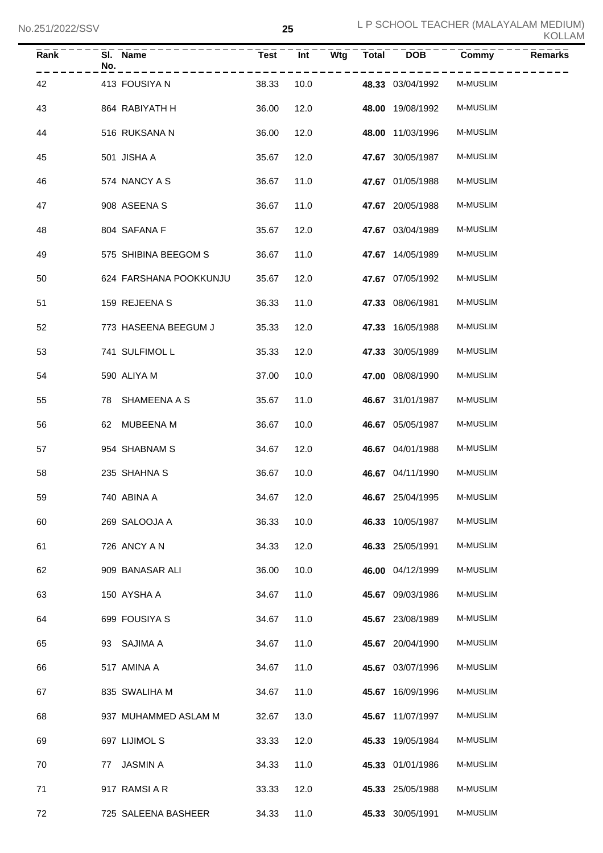| Rank | No. | SI. Name               | <b>Test</b> | Int  | Wtg | $\overline{\text{Total}}$ | $\overline{DOB}$ | Commy           | <b>Remarks</b> |
|------|-----|------------------------|-------------|------|-----|---------------------------|------------------|-----------------|----------------|
| 42   |     | 413 FOUSIYA N          | 38.33       | 10.0 |     |                           | 48.33 03/04/1992 | <b>M-MUSLIM</b> |                |
| 43   |     | 864 RABIYATH H         | 36.00       | 12.0 |     |                           | 48.00 19/08/1992 | M-MUSLIM        |                |
| 44   |     | 516 RUKSANA N          | 36.00       | 12.0 |     |                           | 48.00 11/03/1996 | M-MUSLIM        |                |
| 45   |     | 501 JISHA A            | 35.67       | 12.0 |     |                           | 47.67 30/05/1987 | <b>M-MUSLIM</b> |                |
| 46   |     | 574 NANCY A S          | 36.67       | 11.0 |     |                           | 47.67 01/05/1988 | <b>M-MUSLIM</b> |                |
| 47   |     | 908 ASEENA S           | 36.67       | 11.0 |     |                           | 47.67 20/05/1988 | <b>M-MUSLIM</b> |                |
| 48   |     | 804 SAFANA F           | 35.67       | 12.0 |     |                           | 47.67 03/04/1989 | <b>M-MUSLIM</b> |                |
| 49   |     | 575 SHIBINA BEEGOM S   | 36.67       | 11.0 |     |                           | 47.67 14/05/1989 | <b>M-MUSLIM</b> |                |
| 50   |     | 624 FARSHANA POOKKUNJU | 35.67       | 12.0 |     |                           | 47.67 07/05/1992 | <b>M-MUSLIM</b> |                |
| 51   |     | 159 REJEENA S          | 36.33       | 11.0 |     |                           | 47.33 08/06/1981 | M-MUSLIM        |                |
| 52   |     | 773 HASEENA BEEGUM J   | 35.33       | 12.0 |     |                           | 47.33 16/05/1988 | M-MUSLIM        |                |
| 53   |     | 741 SULFIMOL L         | 35.33       | 12.0 |     |                           | 47.33 30/05/1989 | M-MUSLIM        |                |
| 54   |     | 590 ALIYA M            | 37.00       | 10.0 |     |                           | 47.00 08/08/1990 | M-MUSLIM        |                |
| 55   |     | 78 SHAMEENA A S        | 35.67       | 11.0 |     |                           | 46.67 31/01/1987 | M-MUSLIM        |                |
| 56   |     | 62 MUBEENA M           | 36.67       | 10.0 |     |                           | 46.67 05/05/1987 | M-MUSLIM        |                |
| 57   |     | 954 SHABNAM S          | 34.67       | 12.0 |     |                           | 46.67 04/01/1988 | M-MUSLIM        |                |
| 58   |     | 235 SHAHNA S           | 36.67       | 10.0 |     |                           | 46.67 04/11/1990 | <b>M-MUSLIM</b> |                |
| 59   |     | 740 ABINA A            | 34.67 12.0  |      |     |                           | 46.67 25/04/1995 | M-MUSLIM        |                |
| 60   |     | 269 SALOOJA A          | 36.33       | 10.0 |     |                           | 46.33 10/05/1987 | M-MUSLIM        |                |
| 61   |     | 726 ANCY A N           | 34.33       | 12.0 |     |                           | 46.33 25/05/1991 | M-MUSLIM        |                |
| 62   |     | 909 BANASAR ALI        | 36.00       | 10.0 |     |                           | 46.00 04/12/1999 | M-MUSLIM        |                |
| 63   |     | 150 AYSHA A            | 34.67       | 11.0 |     |                           | 45.67 09/03/1986 | M-MUSLIM        |                |
| 64   |     | 699 FOUSIYA S          | 34.67       | 11.0 |     |                           | 45.67 23/08/1989 | M-MUSLIM        |                |
| 65   |     | 93 SAJIMA A            | 34.67       | 11.0 |     |                           | 45.67 20/04/1990 | M-MUSLIM        |                |
| 66   |     | 517 AMINA A            | 34.67       | 11.0 |     |                           | 45.67 03/07/1996 | M-MUSLIM        |                |
| 67   |     | 835 SWALIHA M          | 34.67       | 11.0 |     |                           | 45.67 16/09/1996 | M-MUSLIM        |                |
| 68   |     | 937 MUHAMMED ASLAM M   | 32.67       | 13.0 |     |                           | 45.67 11/07/1997 | M-MUSLIM        |                |
| 69   |     | 697 LIJIMOL S          | 33.33       | 12.0 |     |                           | 45.33 19/05/1984 | M-MUSLIM        |                |
| 70   | 77  | JASMIN A               | 34.33       | 11.0 |     |                           | 45.33 01/01/1986 | M-MUSLIM        |                |
| 71   |     | 917 RAMSI A R          | 33.33       | 12.0 |     |                           | 45.33 25/05/1988 | M-MUSLIM        |                |
| 72   |     | 725 SALEENA BASHEER    | 34.33       | 11.0 |     |                           | 45.33 30/05/1991 | M-MUSLIM        |                |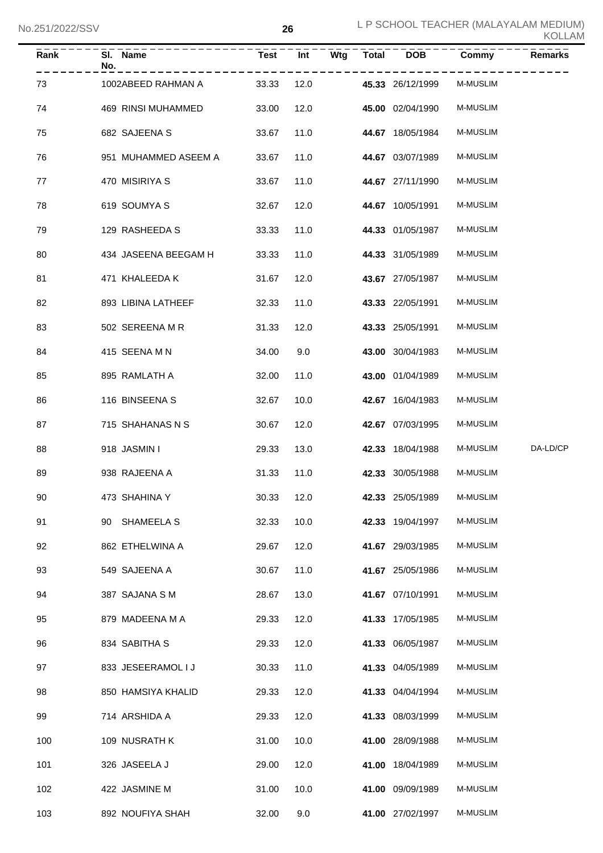| Rank | SI. Name<br>No.      | <b>Test</b> | Int  | Wtg Total | <b>DOB</b>       | Commy           | <b>Remarks</b> |
|------|----------------------|-------------|------|-----------|------------------|-----------------|----------------|
| 73   | 1002ABEED RAHMAN A   | 33.33       | 12.0 |           | 45.33 26/12/1999 | <b>M-MUSLIM</b> |                |
| 74   | 469 RINSI MUHAMMED   | 33.00       | 12.0 |           | 45.00 02/04/1990 | <b>M-MUSLIM</b> |                |
| 75   | 682 SAJEENA S        | 33.67       | 11.0 |           | 44.67 18/05/1984 | <b>M-MUSLIM</b> |                |
| 76   | 951 MUHAMMED ASEEM A | 33.67       | 11.0 |           | 44.67 03/07/1989 | M-MUSLIM        |                |
| 77   | 470 MISIRIYA S       | 33.67       | 11.0 |           | 44.67 27/11/1990 | M-MUSLIM        |                |
| 78   | 619 SOUMYA S         | 32.67       | 12.0 |           | 44.67 10/05/1991 | M-MUSLIM        |                |
| 79   | 129 RASHEEDA S       | 33.33       | 11.0 |           | 44.33 01/05/1987 | M-MUSLIM        |                |
| 80   | 434 JASEENA BEEGAM H | 33.33       | 11.0 |           | 44.33 31/05/1989 | M-MUSLIM        |                |
| 81   | 471 KHALEEDA K       | 31.67       | 12.0 |           | 43.67 27/05/1987 | <b>M-MUSLIM</b> |                |
| 82   | 893 LIBINA LATHEEF   | 32.33       | 11.0 |           | 43.33 22/05/1991 | M-MUSLIM        |                |
| 83   | 502 SEREENA M R      | 31.33       | 12.0 |           | 43.33 25/05/1991 | M-MUSLIM        |                |
| 84   | 415 SEENA M N        | 34.00       | 9.0  |           | 43.00 30/04/1983 | M-MUSLIM        |                |
| 85   | 895 RAMLATH A        | 32.00       | 11.0 |           | 43.00 01/04/1989 | M-MUSLIM        |                |
| 86   | 116 BINSEENA S       | 32.67       | 10.0 |           | 42.67 16/04/1983 | M-MUSLIM        |                |
| 87   | 715 SHAHANAS N S     | 30.67       | 12.0 |           | 42.67 07/03/1995 | M-MUSLIM        |                |
| 88   | 918 JASMIN I         | 29.33       | 13.0 |           | 42.33 18/04/1988 | M-MUSLIM        | DA-LD/CP       |
| 89   | 938 RAJEENA A        | 31.33       | 11.0 |           | 42.33 30/05/1988 | <b>M-MUSLIM</b> |                |
| 90   | 473 SHAHINA Y        | 30.33 12.0  |      |           | 42.33 25/05/1989 | <b>M-MUSLIM</b> |                |
| 91   | 90 SHAMEELA S        | 32.33       | 10.0 |           | 42.33 19/04/1997 | M-MUSLIM        |                |
| 92   | 862 ETHELWINA A      | 29.67       | 12.0 |           | 41.67 29/03/1985 | M-MUSLIM        |                |
| 93   | 549 SAJEENA A        | 30.67       | 11.0 |           | 41.67 25/05/1986 | M-MUSLIM        |                |
| 94   | 387 SAJANA S M       | 28.67       | 13.0 |           | 41.67 07/10/1991 | M-MUSLIM        |                |
| 95   | 879 MADEENA M A      | 29.33       | 12.0 |           | 41.33 17/05/1985 | M-MUSLIM        |                |
| 96   | 834 SABITHA S        | 29.33       | 12.0 |           | 41.33 06/05/1987 | M-MUSLIM        |                |
| 97   | 833 JESEERAMOL I J   | 30.33       | 11.0 |           | 41.33 04/05/1989 | M-MUSLIM        |                |
| 98   | 850 HAMSIYA KHALID   | 29.33       | 12.0 |           | 41.33 04/04/1994 | M-MUSLIM        |                |
| 99   | 714 ARSHIDA A        | 29.33       | 12.0 |           | 41.33 08/03/1999 | M-MUSLIM        |                |
| 100  | 109 NUSRATH K        | 31.00       | 10.0 |           | 41.00 28/09/1988 | M-MUSLIM        |                |
| 101  | 326 JASEELA J        | 29.00       | 12.0 |           | 41.00 18/04/1989 | M-MUSLIM        |                |
| 102  | 422 JASMINE M        | 31.00       | 10.0 |           | 41.00 09/09/1989 | M-MUSLIM        |                |
| 103  | 892 NOUFIYA SHAH     | 32.00       | 9.0  |           | 41.00 27/02/1997 | M-MUSLIM        |                |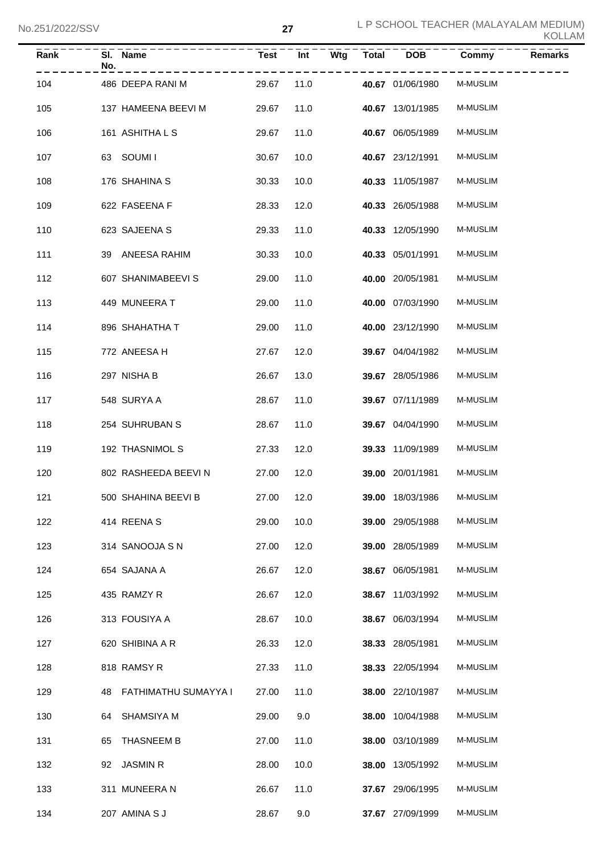| Rank | SI. Name<br>No.         | <b>Test</b> | Int  | Wtg Total DOB           | Commy           | <b>Remarks</b> |
|------|-------------------------|-------------|------|-------------------------|-----------------|----------------|
| 104  | 486 DEEPA RANI M        | 29.67       | 11.0 | 40.67 01/06/1980        | <b>M-MUSLIM</b> |                |
| 105  | 137 HAMEENA BEEVI M     | 29.67       | 11.0 | 40.67 13/01/1985        | <b>M-MUSLIM</b> |                |
| 106  | 161 ASHITHA L S         | 29.67       | 11.0 | 40.67 06/05/1989        | <b>M-MUSLIM</b> |                |
| 107  | 63 SOUMII               | 30.67       | 10.0 | 40.67 23/12/1991        | <b>M-MUSLIM</b> |                |
| 108  | 176 SHAHINA S           | 30.33       | 10.0 | 40.33 11/05/1987        | <b>M-MUSLIM</b> |                |
| 109  | 622 FASEENA F           | 28.33       | 12.0 | 40.33 26/05/1988        | <b>M-MUSLIM</b> |                |
| 110  | 623 SAJEENA S           | 29.33       | 11.0 | 40.33 12/05/1990        | <b>M-MUSLIM</b> |                |
| 111  | 39 ANEESA RAHIM         | 30.33       | 10.0 | 40.33 05/01/1991        | <b>M-MUSLIM</b> |                |
| 112  | 607 SHANIMABEEVI S      | 29.00       | 11.0 | 40.00 20/05/1981        | <b>M-MUSLIM</b> |                |
| 113  | 449 MUNEERA T           | 29.00       | 11.0 | 40.00 07/03/1990        | <b>M-MUSLIM</b> |                |
| 114  | 896 SHAHATHA T          | 29.00       | 11.0 | 40.00 23/12/1990        | <b>M-MUSLIM</b> |                |
| 115  | 772 ANEESA H            | 27.67       | 12.0 | 39.67 04/04/1982        | <b>M-MUSLIM</b> |                |
| 116  | 297 NISHA B             | 26.67       | 13.0 | 39.67 28/05/1986        | <b>M-MUSLIM</b> |                |
| 117  | 548 SURYA A             | 28.67       | 11.0 | 39.67 07/11/1989        | <b>M-MUSLIM</b> |                |
| 118  | 254 SUHRUBAN S          | 28.67       | 11.0 | 39.67 04/04/1990        | <b>M-MUSLIM</b> |                |
| 119  | 192 THASNIMOL S         | 27.33       | 12.0 | 39.33 11/09/1989        | <b>M-MUSLIM</b> |                |
| 120  | 802 RASHEEDA BEEVIN     | 27.00       | 12.0 | 39.00 20/01/1981        | <b>M-MUSLIM</b> |                |
| 121  | 500 SHAHINA BEEVI B     | 27.00 12.0  |      | <b>39.00</b> 18/03/1986 | M-MUSLIM        |                |
| 122  | 414 REENA S             | 29.00       | 10.0 | 39.00 29/05/1988        | M-MUSLIM        |                |
| 123  | 314 SANOOJA S N         | 27.00       | 12.0 | 39.00 28/05/1989        | M-MUSLIM        |                |
| 124  | 654 SAJANA A            | 26.67       | 12.0 | 38.67 06/05/1981        | M-MUSLIM        |                |
| 125  | 435 RAMZY R             | 26.67       | 12.0 | 38.67 11/03/1992        | M-MUSLIM        |                |
| 126  | 313 FOUSIYA A           | 28.67       | 10.0 | 38.67 06/03/1994        | M-MUSLIM        |                |
| 127  | 620 SHIBINA A R         | 26.33       | 12.0 | 38.33 28/05/1981        | M-MUSLIM        |                |
| 128  | 818 RAMSY R             | 27.33       | 11.0 | 38.33 22/05/1994        | M-MUSLIM        |                |
| 129  | 48 FATHIMATHU SUMAYYA I | 27.00       | 11.0 | 38.00 22/10/1987        | M-MUSLIM        |                |
| 130  | 64 SHAMSIYA M           | 29.00       | 9.0  | 38.00 10/04/1988        | M-MUSLIM        |                |
| 131  | THASNEEM B<br>65        | 27.00       | 11.0 | 38.00 03/10/1989        | M-MUSLIM        |                |
| 132  | 92 JASMIN R             | 28.00       | 10.0 | 38.00 13/05/1992        | M-MUSLIM        |                |
| 133  | 311 MUNEERA N           | 26.67       | 11.0 | 37.67 29/06/1995        | M-MUSLIM        |                |
| 134  | 207 AMINA S J           | 28.67       | 9.0  | 37.67 27/09/1999        | M-MUSLIM        |                |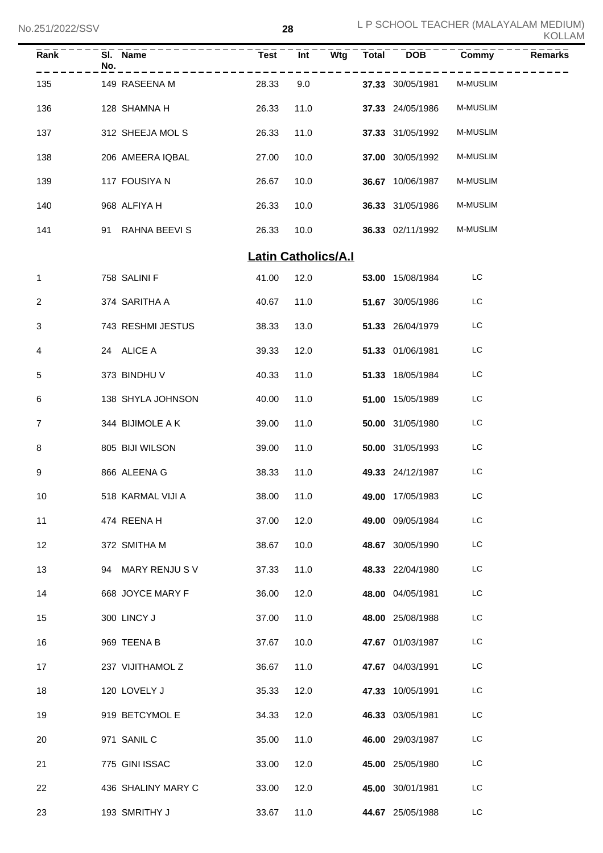| Rank         | SI. Name<br>No.    | Test  | Int                        | Wtg<br><b>Total</b> | <b>DOB</b>       | Commy           | <b>Remarks</b> |
|--------------|--------------------|-------|----------------------------|---------------------|------------------|-----------------|----------------|
| 135          | 149 RASEENA M      | 28.33 | 9.0                        |                     | 37.33 30/05/1981 | M-MUSLIM        |                |
| 136          | 128 SHAMNA H       | 26.33 | 11.0                       |                     | 37.33 24/05/1986 | M-MUSLIM        |                |
| 137          | 312 SHEEJA MOL S   | 26.33 | 11.0                       |                     | 37.33 31/05/1992 | M-MUSLIM        |                |
| 138          | 206 AMEERA IQBAL   | 27.00 | 10.0                       |                     | 37.00 30/05/1992 | M-MUSLIM        |                |
| 139          | 117 FOUSIYA N      | 26.67 | 10.0                       |                     | 36.67 10/06/1987 | M-MUSLIM        |                |
| 140          | 968 ALFIYA H       | 26.33 | 10.0                       |                     | 36.33 31/05/1986 | <b>M-MUSLIM</b> |                |
| 141          | 91 RAHNA BEEVIS    | 26.33 | 10.0                       |                     | 36.33 02/11/1992 | <b>M-MUSLIM</b> |                |
|              |                    |       | <b>Latin Catholics/A.I</b> |                     |                  |                 |                |
| $\mathbf{1}$ | 758 SALINI F       | 41.00 | 12.0                       |                     | 53.00 15/08/1984 | LC              |                |
| 2            | 374 SARITHA A      | 40.67 | 11.0                       |                     | 51.67 30/05/1986 | LC              |                |
| 3            | 743 RESHMI JESTUS  | 38.33 | 13.0                       |                     | 51.33 26/04/1979 | LC              |                |
| 4            | 24 ALICE A         | 39.33 | 12.0                       |                     | 51.33 01/06/1981 | LC              |                |
| 5            | 373 BINDHU V       | 40.33 | 11.0                       |                     | 51.33 18/05/1984 | LC              |                |
| 6            | 138 SHYLA JOHNSON  | 40.00 | 11.0                       |                     | 51.00 15/05/1989 | LC              |                |
| 7            | 344 BIJIMOLE A K   | 39.00 | 11.0                       |                     | 50.00 31/05/1980 | LC              |                |
| 8            | 805 BIJI WILSON    | 39.00 | 11.0                       |                     | 50.00 31/05/1993 | LC              |                |
| 9            | 866 ALEENA G       | 38.33 | 11.0                       |                     | 49.33 24/12/1987 | LC              |                |
| 10           | 518 KARMAL VIJI A  | 38.00 | 11.0                       |                     | 49.00 17/05/1983 | LC              |                |
| 11           | 474 REENAH         | 37.00 | 12.0                       |                     | 49.00 09/05/1984 | LC              |                |
| 12           | 372 SMITHA M       | 38.67 | 10.0                       |                     | 48.67 30/05/1990 | LC              |                |
| 13           | 94 MARY RENJUS V   | 37.33 | 11.0                       |                     | 48.33 22/04/1980 | LC              |                |
| 14           | 668 JOYCE MARY F   | 36.00 | 12.0                       |                     | 48.00 04/05/1981 | LC              |                |
| 15           | 300 LINCY J        | 37.00 | 11.0                       |                     | 48.00 25/08/1988 | LC              |                |
| 16           | 969 TEENA B        | 37.67 | 10.0                       |                     | 47.67 01/03/1987 | LC              |                |
| 17           | 237 VIJITHAMOL Z   | 36.67 | 11.0                       |                     | 47.67 04/03/1991 | LC              |                |
| 18           | 120 LOVELY J       | 35.33 | 12.0                       |                     | 47.33 10/05/1991 | LC              |                |
| 19           | 919 BETCYMOL E     | 34.33 | 12.0                       |                     | 46.33 03/05/1981 | LC              |                |
| 20           | 971 SANIL C        | 35.00 | 11.0                       |                     | 46.00 29/03/1987 | LC              |                |
| 21           | 775 GINI ISSAC     | 33.00 | 12.0                       |                     | 45.00 25/05/1980 | LC              |                |
| 22           | 436 SHALINY MARY C | 33.00 | 12.0                       |                     | 45.00 30/01/1981 | LC              |                |
| 23           | 193 SMRITHY J      | 33.67 | 11.0                       |                     | 44.67 25/05/1988 | LC              |                |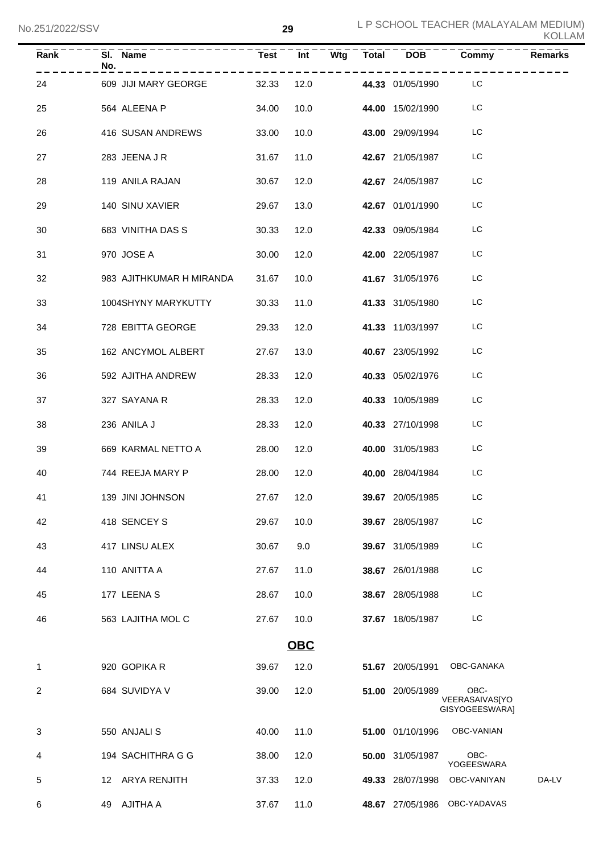| Rank | SI. Name<br>No.<br>. <u>_ _ _ _ _ _ _ _ _ _ _</u> _ |       |            |            |                         | Test Int Wtg Total DOB Commy             | <b>Remarks</b> |
|------|-----------------------------------------------------|-------|------------|------------|-------------------------|------------------------------------------|----------------|
| 24   | 609 JIJI MARY GEORGE 32.33 12.0                     |       |            |            | 44.33 01/05/1990 LC     | .                                        |                |
| 25   | 564 ALEENA P                                        | 34.00 |            | 10.0       | <b>44.00</b> 15/02/1990 | LC                                       |                |
| 26   | 416 SUSAN ANDREWS                                   | 33.00 | 10.0       |            | <b>43.00</b> 29/09/1994 | LC                                       |                |
| 27   | 283 JEENA J R                                       | 31.67 |            | 11.0       | 42.67 21/05/1987        | LC                                       |                |
| 28   | 119 ANILA RAJAN                                     | 30.67 |            | 12.0       | 42.67 24/05/1987        | LC                                       |                |
| 29   | 140 SINU XAVIER                                     | 29.67 | 13.0       |            | 42.67 01/01/1990        | LC                                       |                |
| 30   | 683 VINITHA DAS S                                   | 30.33 |            | 12.0       | 42.33 09/05/1984        | LC                                       |                |
| 31   | 970 JOSE A                                          | 30.00 | 12.0       |            | <b>42.00</b> 22/05/1987 | LC                                       |                |
| 32   | 983 AJITHKUMAR H MIRANDA                            | 31.67 | 10.0       |            | 41.67 31/05/1976        | LC                                       |                |
| 33   | 1004SHYNY MARYKUTTY                                 | 30.33 | 11.0       |            | 41.33 31/05/1980        | LC                                       |                |
| 34   | 728 EBITTA GEORGE                                   | 29.33 | 12.0       |            | 41.33 11/03/1997        | LC                                       |                |
| 35   | 162 ANCYMOL ALBERT                                  | 27.67 | 13.0       |            | 40.67 23/05/1992        | LC                                       |                |
| 36   | 592 AJITHA ANDREW                                   | 28.33 | 12.0       |            | 40.33 05/02/1976        | LC                                       |                |
| 37   | 327 SAYANA R                                        | 28.33 | 12.0       |            | 40.33 10/05/1989        | LC                                       |                |
| 38   | 236 ANILA J                                         | 28.33 | 12.0       |            | 40.33 27/10/1998        | LC                                       |                |
| 39   | 669 KARMAL NETTO A                                  | 28.00 | 12.0       |            | 40.00 31/05/1983        | LC                                       |                |
| 40   | 744 REEJA MARY P                                    | 28.00 | 12.0       |            | 40.00 28/04/1984        | LC                                       |                |
| 41   | 139 JINI JOHNSON                                    |       |            | 27.67 12.0 | <b>39.67</b> 20/05/1985 | LC                                       |                |
| 42   | 418 SENCEY S                                        | 29.67 | 10.0       |            | 39.67 28/05/1987        | LC                                       |                |
| 43   | 417 LINSU ALEX                                      | 30.67 | 9.0        |            | 39.67 31/05/1989        | LC                                       |                |
| 44   | 110 ANITTA A                                        | 27.67 | 11.0       |            | 38.67 26/01/1988        | LC                                       |                |
| 45   | 177 LEENA S                                         | 28.67 | 10.0       |            | 38.67 28/05/1988        | LC                                       |                |
| 46   | 563 LAJITHA MOL C                                   | 27.67 | 10.0       |            | 37.67 18/05/1987        | LC                                       |                |
|      |                                                     |       | <b>OBC</b> |            |                         |                                          |                |
| 1    | 920 GOPIKA R                                        | 39.67 | 12.0       |            | 51.67 20/05/1991        | OBC-GANAKA                               |                |
| 2    | 684 SUVIDYA V                                       | 39.00 | 12.0       |            | 51.00 20/05/1989        | OBC-<br>VEERASAIVAS[YO<br>GISYOGEESWARA] |                |
| 3    | 550 ANJALI S                                        | 40.00 | 11.0       |            | 51.00 01/10/1996        | OBC-VANIAN                               |                |
| 4    | 194 SACHITHRA G G                                   | 38.00 | 12.0       |            | 50.00 31/05/1987        | OBC-<br>YOGEESWARA                       |                |
| 5    | 12 ARYA RENJITH                                     | 37.33 | 12.0       |            | 49.33 28/07/1998        | OBC-VANIYAN                              | DA-LV          |
| 6    | 49 AJITHA A                                         | 37.67 | 11.0       |            | 48.67 27/05/1986        | OBC-YADAVAS                              |                |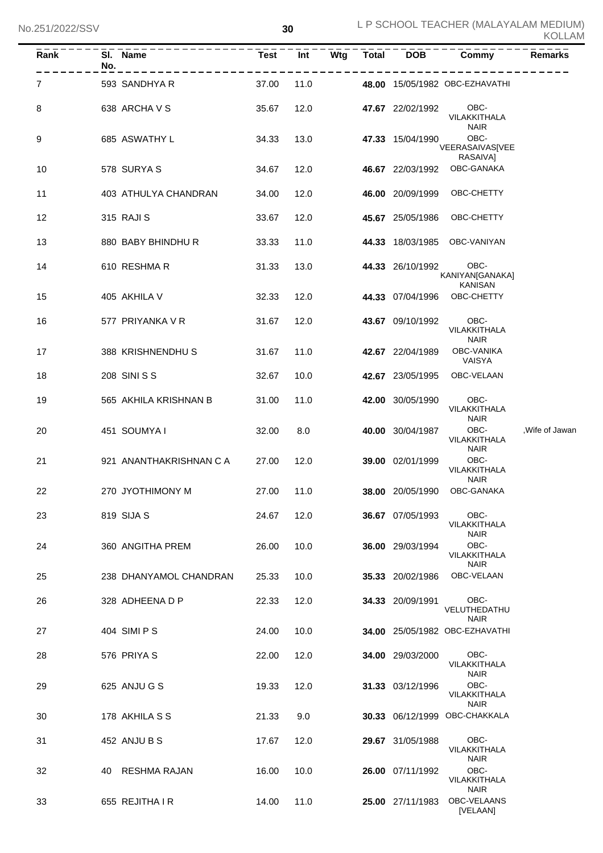| Rank | SI. Name<br>No.         | <b>Test</b> | Wtg<br>Int | $\overline{\text{Total}}$ | <b>DOB</b>       | Commy                               | <b>Remarks</b> |
|------|-------------------------|-------------|------------|---------------------------|------------------|-------------------------------------|----------------|
| 7    | 593 SANDHYA R           | 37.00       | 11.0       |                           |                  | 48.00 15/05/1982 OBC-EZHAVATHI      |                |
| 8    | 638 ARCHA V S           | 35.67       | 12.0       |                           | 47.67 22/02/1992 | OBC-<br>VILAKKITHALA<br><b>NAIR</b> |                |
| 9    | 685 ASWATHY L           | 34.33       | 13.0       |                           | 47.33 15/04/1990 | OBC-<br>VEERASAIVAS[VEE<br>RASAIVA] |                |
| 10   | 578 SURYA S             | 34.67       | 12.0       |                           | 46.67 22/03/1992 | OBC-GANAKA                          |                |
| 11   | 403 ATHULYA CHANDRAN    | 34.00       | 12.0       |                           | 46.00 20/09/1999 | OBC-CHETTY                          |                |
| 12   | 315 RAJI S              | 33.67       | 12.0       |                           | 45.67 25/05/1986 | OBC-CHETTY                          |                |
| 13   | 880 BABY BHINDHU R      | 33.33       | 11.0       |                           | 44.33 18/03/1985 | OBC-VANIYAN                         |                |
| 14   | 610 RESHMAR             | 31.33       | 13.0       |                           | 44.33 26/10/1992 | OBC-<br>KANIYAN[GANAKA]<br>KANISAN  |                |
| 15   | 405 AKHILA V            | 32.33       | 12.0       |                           | 44.33 07/04/1996 | OBC-CHETTY                          |                |
| 16   | 577 PRIYANKA V R        | 31.67       | 12.0       |                           | 43.67 09/10/1992 | OBC-<br>VILAKKITHALA<br><b>NAIR</b> |                |
| 17   | 388 KRISHNENDHU S       | 31.67       | 11.0       |                           | 42.67 22/04/1989 | <b>OBC-VANIKA</b><br>VAISYA         |                |
| 18   | 208 SINI S S            | 32.67       | 10.0       |                           | 42.67 23/05/1995 | OBC-VELAAN                          |                |
| 19   | 565 AKHILA KRISHNAN B   | 31.00       | 11.0       |                           | 42.00 30/05/1990 | OBC-<br>VILAKKITHALA<br><b>NAIR</b> |                |
| 20   | 451 SOUMYA I            | 32.00       | 8.0        |                           | 40.00 30/04/1987 | OBC-<br>VILAKKITHALA<br><b>NAIR</b> | ,Wife of Jawan |
| 21   | 921 ANANTHAKRISHNAN C A | 27.00       | 12.0       |                           | 39.00 02/01/1999 | OBC-<br>VILAKKITHALA<br><b>NAIR</b> |                |
| 22   | 270 JYOTHIMONY M        | 27.00       | 11.0       |                           | 38.00 20/05/1990 | OBC-GANAKA                          |                |
| 23   | 819 SIJA S              | 24.67       | 12.0       |                           | 36.67 07/05/1993 | OBC-<br>VILAKKITHALA<br><b>NAIR</b> |                |
| 24   | 360 ANGITHA PREM        | 26.00       | 10.0       |                           | 36.00 29/03/1994 | OBC-<br>VILAKKITHALA<br><b>NAIR</b> |                |
| 25   | 238 DHANYAMOL CHANDRAN  | 25.33       | 10.0       |                           | 35.33 20/02/1986 | OBC-VELAAN                          |                |
| 26   | 328 ADHEENA D P         | 22.33       | 12.0       |                           | 34.33 20/09/1991 | OBC-<br>VELUTHEDATHU<br><b>NAIR</b> |                |
| 27   | 404 SIMI P S            | 24.00       | 10.0       |                           |                  | 34.00 25/05/1982 OBC-EZHAVATHI      |                |
| 28   | 576 PRIYA S             | 22.00       | 12.0       |                           | 34.00 29/03/2000 | OBC-<br>VILAKKITHALA<br><b>NAIR</b> |                |
| 29   | 625 ANJU G S            | 19.33       | 12.0       |                           | 31.33 03/12/1996 | OBC-<br>VILAKKITHALA<br><b>NAIR</b> |                |
| 30   | 178 AKHILA S S          | 21.33       | 9.0        |                           | 30.33 06/12/1999 | OBC-CHAKKALA                        |                |
| 31   | 452 ANJU B S            | 17.67       | 12.0       |                           | 29.67 31/05/1988 | OBC-<br>VILAKKITHALA<br><b>NAIR</b> |                |
| 32   | 40 RESHMA RAJAN         | 16.00       | 10.0       |                           | 26.00 07/11/1992 | OBC-<br>VILAKKITHALA<br><b>NAIR</b> |                |
| 33   | 655 REJITHA I R         | 14.00       | 11.0       |                           | 25.00 27/11/1983 | OBC-VELAANS<br>[VELAAN]             |                |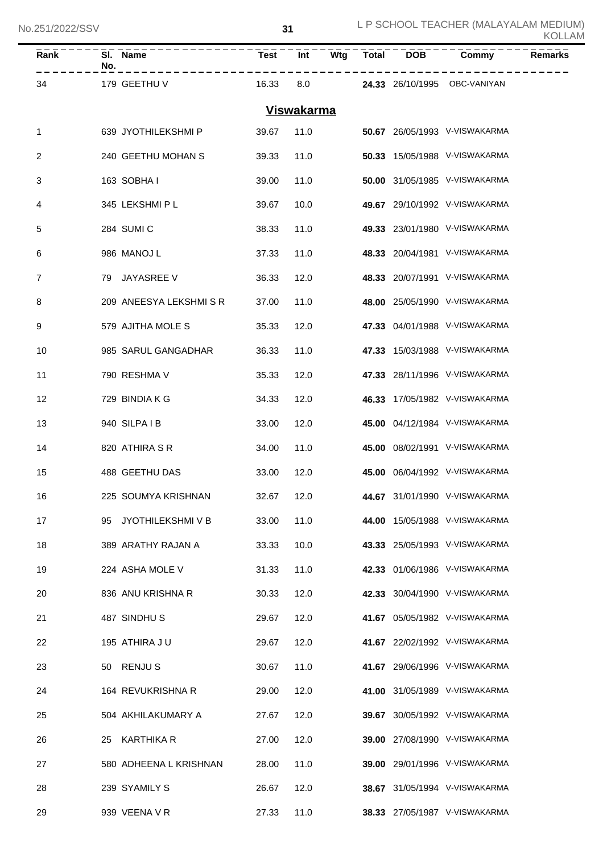| Rank | No. | SI. Name               | <b>Test</b> | Int               | Wtg | <b>Total</b> | $\overline{DOB}$ | Commy                               | <b>Remarks</b> |
|------|-----|------------------------|-------------|-------------------|-----|--------------|------------------|-------------------------------------|----------------|
| 34   |     | 179 GEETHU V           | 16.33       | 8.0               |     |              |                  | <b>24.33</b> 26/10/1995 OBC-VANIYAN |                |
|      |     |                        |             | <b>Viswakarma</b> |     |              |                  |                                     |                |
| 1    |     | 639 JYOTHILEKSHMI P    | 39.67       | 11.0              |     |              |                  | 50.67 26/05/1993 V-VISWAKARMA       |                |
| 2    |     | 240 GEETHU MOHAN S     | 39.33       | 11.0              |     |              |                  | 50.33 15/05/1988 V-VISWAKARMA       |                |
| 3    |     | 163 SOBHAI             | 39.00       | 11.0              |     |              |                  | 50.00 31/05/1985 V-VISWAKARMA       |                |
| 4    |     | 345 LEKSHMI P L        | 39.67       | 10.0              |     |              |                  | 49.67 29/10/1992 V-VISWAKARMA       |                |
| 5    |     | 284 SUMI C             | 38.33       | 11.0              |     |              |                  | 49.33 23/01/1980 V-VISWAKARMA       |                |
| 6    |     | 986 MANOJ L            | 37.33       | 11.0              |     |              |                  | 48.33 20/04/1981 V-VISWAKARMA       |                |
| 7    |     | 79 JAYASREE V          | 36.33       | 12.0              |     |              |                  | 48.33 20/07/1991 V-VISWAKARMA       |                |
| 8    |     | 209 ANEESYA LEKSHMISR  | 37.00       | 11.0              |     |              |                  | 48.00 25/05/1990 V-VISWAKARMA       |                |
| 9    |     | 579 AJITHA MOLE S      | 35.33       | 12.0              |     |              |                  | 47.33 04/01/1988 V-VISWAKARMA       |                |
| 10   |     | 985 SARUL GANGADHAR    | 36.33       | 11.0              |     |              |                  | 47.33 15/03/1988 V-VISWAKARMA       |                |
| 11   |     | 790 RESHMA V           | 35.33       | 12.0              |     |              |                  | 47.33 28/11/1996 V-VISWAKARMA       |                |
| 12   |     | 729 BINDIA K G         | 34.33       | 12.0              |     |              |                  | 46.33 17/05/1982 V-VISWAKARMA       |                |
| 13   |     | 940 SILPAIB            | 33.00       | 12.0              |     |              |                  | 45.00 04/12/1984 V-VISWAKARMA       |                |
| 14   |     | 820 ATHIRA S R         | 34.00       | 11.0              |     |              |                  | 45.00 08/02/1991 V-VISWAKARMA       |                |
| 15   |     | 488 GEETHU DAS         | 33.00       | 12.0              |     |              |                  | 45.00 06/04/1992 V-VISWAKARMA       |                |
| 16   |     | 225 SOUMYA KRISHNAN    | 32.67 12.0  |                   |     |              |                  | 44.67 31/01/1990 V-VISWAKARMA       |                |
| 17   | 95  | JYOTHILEKSHMI V B      | 33.00       | 11.0              |     |              |                  | 44.00 15/05/1988 V-VISWAKARMA       |                |
| 18   |     | 389 ARATHY RAJAN A     | 33.33       | 10.0              |     |              |                  | 43.33 25/05/1993 V-VISWAKARMA       |                |
| 19   |     | 224 ASHA MOLE V        | 31.33       | 11.0              |     |              |                  | 42.33 01/06/1986 V-VISWAKARMA       |                |
| 20   |     | 836 ANU KRISHNA R      | 30.33       | 12.0              |     |              |                  | 42.33 30/04/1990 V-VISWAKARMA       |                |
| 21   |     | 487 SINDHUS            | 29.67       | 12.0              |     |              |                  | 41.67 05/05/1982 V-VISWAKARMA       |                |
| 22   |     | 195 ATHIRA JU          | 29.67       | 12.0              |     |              |                  | 41.67 22/02/1992 V-VISWAKARMA       |                |
| 23   |     | 50 RENJUS              | 30.67       | 11.0              |     |              |                  | 41.67 29/06/1996 V-VISWAKARMA       |                |
| 24   |     | 164 REVUKRISHNA R      | 29.00       | 12.0              |     |              |                  | 41.00 31/05/1989 V-VISWAKARMA       |                |
| 25   |     | 504 AKHILAKUMARY A     | 27.67       | 12.0              |     |              |                  | 39.67 30/05/1992 V-VISWAKARMA       |                |
| 26   |     | 25 KARTHIKA R          | 27.00       | 12.0              |     |              |                  | 39.00 27/08/1990 V-VISWAKARMA       |                |
| 27   |     | 580 ADHEENA L KRISHNAN | 28.00       | 11.0              |     |              |                  | 39.00 29/01/1996 V-VISWAKARMA       |                |
| 28   |     | 239 SYAMILY S          | 26.67       | 12.0              |     |              |                  | 38.67 31/05/1994 V-VISWAKARMA       |                |
| 29   |     | 939 VEENA V R          | 27.33       | 11.0              |     |              |                  | 38.33 27/05/1987 V-VISWAKARMA       |                |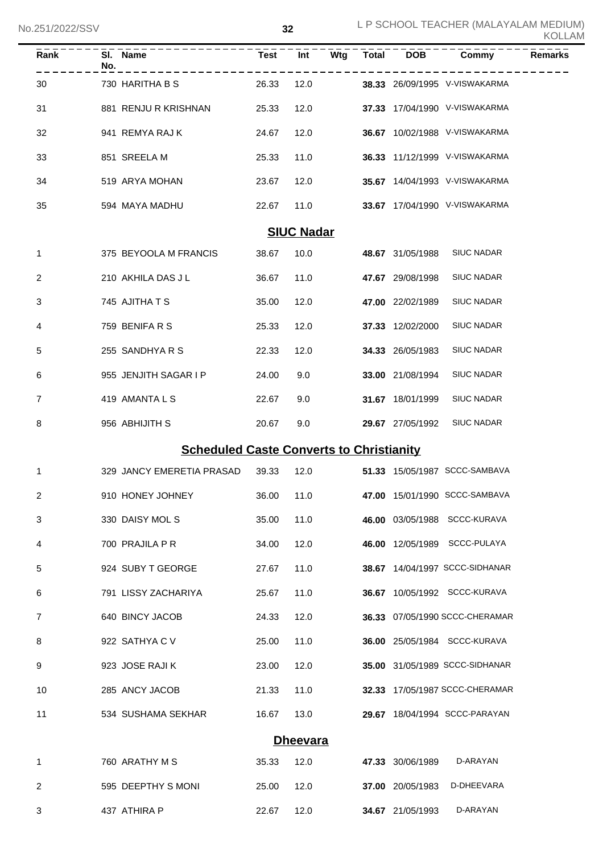| Rank              | No. | SI. Name                                        | <b>Test</b> | Int  | Wtg | <b>Total</b> | $\overline{DOB}$ | Commy                          | <b>Remarks</b> |  |
|-------------------|-----|-------------------------------------------------|-------------|------|-----|--------------|------------------|--------------------------------|----------------|--|
| 30                |     | 730 HARITHA B S                                 | 26.33       | 12.0 |     |              |                  | 38.33 26/09/1995 V-VISWAKARMA  |                |  |
| 31                |     | 881 RENJU R KRISHNAN                            | 25.33       | 12.0 |     |              |                  | 37.33 17/04/1990 V-VISWAKARMA  |                |  |
| 32                |     | 941 REMYA RAJ K                                 | 24.67       | 12.0 |     |              |                  | 36.67 10/02/1988 V-VISWAKARMA  |                |  |
| 33                |     | 851 SREELA M                                    | 25.33       | 11.0 |     |              |                  | 36.33 11/12/1999 V-VISWAKARMA  |                |  |
| 34                |     | 519 ARYA MOHAN                                  | 23.67       | 12.0 |     |              |                  | 35.67 14/04/1993 V-VISWAKARMA  |                |  |
| 35                |     | 594 MAYA MADHU                                  | 22.67       | 11.0 |     |              |                  | 33.67 17/04/1990 V-VISWAKARMA  |                |  |
| <b>SIUC Nadar</b> |     |                                                 |             |      |     |              |                  |                                |                |  |
| 1                 |     | 375 BEYOOLA M FRANCIS                           | 38.67       | 10.0 |     |              | 48.67 31/05/1988 | <b>SIUC NADAR</b>              |                |  |
| 2                 |     | 210 AKHILA DAS J L                              | 36.67       | 11.0 |     |              | 47.67 29/08/1998 | <b>SIUC NADAR</b>              |                |  |
| 3                 |     | 745 AJITHA T S                                  | 35.00       | 12.0 |     |              | 47.00 22/02/1989 | <b>SIUC NADAR</b>              |                |  |
| 4                 |     | 759 BENIFA R S                                  | 25.33       | 12.0 |     |              | 37.33 12/02/2000 | <b>SIUC NADAR</b>              |                |  |
| 5                 |     | 255 SANDHYA R S                                 | 22.33       | 12.0 |     |              | 34.33 26/05/1983 | <b>SIUC NADAR</b>              |                |  |
| 6                 |     | 955 JENJITH SAGAR I P                           | 24.00       | 9.0  |     |              | 33.00 21/08/1994 | <b>SIUC NADAR</b>              |                |  |
| 7                 |     | 419 AMANTA L S                                  | 22.67       | 9.0  |     |              | 31.67 18/01/1999 | <b>SIUC NADAR</b>              |                |  |
| 8                 |     | 956 ABHIJITH S                                  | 20.67       | 9.0  |     |              | 29.67 27/05/1992 | <b>SIUC NADAR</b>              |                |  |
|                   |     | <b>Scheduled Caste Converts to Christianity</b> |             |      |     |              |                  |                                |                |  |
| 1                 |     | 329 JANCY EMERETIA PRASAD                       | 39.33       | 12.0 |     |              |                  | 51.33 15/05/1987 SCCC-SAMBAVA  |                |  |
| 2                 |     | 910 HONEY JOHNEY                                | 36.00       | 11.0 |     |              |                  | 47.00 15/01/1990 SCCC-SAMBAVA  |                |  |
| 3                 |     | 330 DAISY MOLS                                  | 35.00       | 11.0 |     |              |                  | 46.00 03/05/1988 SCCC-KURAVA   |                |  |
| 4                 |     | 700 PRAJILA P R                                 | 34.00       | 12.0 |     |              |                  | 46.00 12/05/1989 SCCC-PULAYA   |                |  |
| 5                 |     | 924 SUBY T GEORGE                               | 27.67       | 11.0 |     |              |                  | 38.67 14/04/1997 SCCC-SIDHANAR |                |  |
| 6                 |     | 791 LISSY ZACHARIYA                             | 25.67       | 11.0 |     |              |                  | 36.67 10/05/1992 SCCC-KURAVA   |                |  |
| 7                 |     | 640 BINCY JACOB                                 | 24.33       | 12.0 |     |              |                  | 36.33 07/05/1990 SCCC-CHERAMAR |                |  |
| 8                 |     | 922 SATHYA C V                                  | 25.00       | 11.0 |     |              |                  | 36.00 25/05/1984 SCCC-KURAVA   |                |  |
| 9                 |     | 923 JOSE RAJI K                                 | 23.00       | 12.0 |     |              |                  | 35.00 31/05/1989 SCCC-SIDHANAR |                |  |
| 10                |     | 285 ANCY JACOB                                  | 21.33       | 11.0 |     |              |                  | 32.33 17/05/1987 SCCC-CHERAMAR |                |  |
| 11                |     | 534 SUSHAMA SEKHAR                              | 16.67       | 13.0 |     |              |                  | 29.67 18/04/1994 SCCC-PARAYAN  |                |  |
| <b>Dheevara</b>   |     |                                                 |             |      |     |              |                  |                                |                |  |
| 1                 |     | 760 ARATHY M S                                  | 35.33       | 12.0 |     |              | 47.33 30/06/1989 | D-ARAYAN                       |                |  |
| 2                 |     | 595 DEEPTHY S MONI                              | 25.00       | 12.0 |     |              | 37.00 20/05/1983 | D-DHEEVARA                     |                |  |
| 3                 |     | 437 ATHIRA P                                    | 22.67       | 12.0 |     |              | 34.67 21/05/1993 | D-ARAYAN                       |                |  |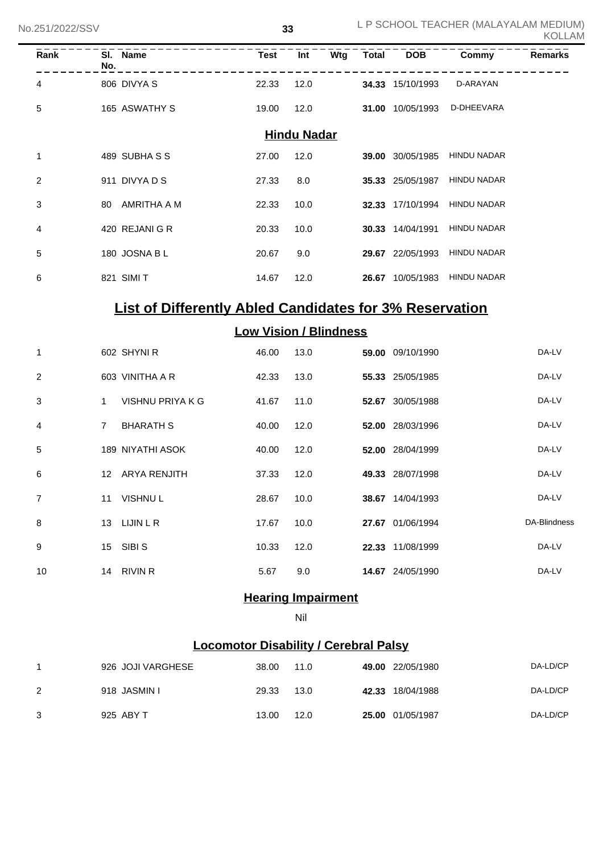| Rank                                                           | No.            | SI. Name         | <b>Test</b>                   | Int  | Wtg | Total | <b>DOB</b>       | Commy       | <b>Remarks</b> |  |
|----------------------------------------------------------------|----------------|------------------|-------------------------------|------|-----|-------|------------------|-------------|----------------|--|
| 4                                                              |                | 806 DIVYA S      | 22.33                         | 12.0 |     |       | 34.33 15/10/1993 | D-ARAYAN    |                |  |
| 5                                                              |                | 165 ASWATHY S    | 19.00                         | 12.0 |     |       | 31.00 10/05/1993 | D-DHEEVARA  |                |  |
| <b>Hindu Nadar</b>                                             |                |                  |                               |      |     |       |                  |             |                |  |
| 1                                                              |                | 489 SUBHASS      | 27.00                         | 12.0 |     |       | 39.00 30/05/1985 | HINDU NADAR |                |  |
| 2                                                              |                | 911 DIVYA D S    | 27.33                         | 8.0  |     |       | 35.33 25/05/1987 | HINDU NADAR |                |  |
| 3                                                              |                | 80 AMRITHA A M   | 22.33                         | 10.0 |     |       | 32.33 17/10/1994 | HINDU NADAR |                |  |
| 4                                                              |                | 420 REJANI G R   | 20.33                         | 10.0 |     |       | 30.33 14/04/1991 | HINDU NADAR |                |  |
| 5                                                              |                | 180 JOSNA B L    | 20.67                         | 9.0  |     |       | 29.67 22/05/1993 | HINDU NADAR |                |  |
| 6                                                              |                | 821 SIMI T       | 14.67                         | 12.0 |     |       | 26.67 10/05/1983 | HINDU NADAR |                |  |
| <b>List of Differently Abled Candidates for 3% Reservation</b> |                |                  |                               |      |     |       |                  |             |                |  |
|                                                                |                |                  | <b>Low Vision / Blindness</b> |      |     |       |                  |             |                |  |
| 1                                                              |                | 602 SHYNIR       | 46.00                         | 13.0 |     |       | 59.00 09/10/1990 |             | DA-LV          |  |
| 2                                                              |                | 603 VINITHA A R  | 42.33                         | 13.0 |     |       | 55.33 25/05/1985 |             | DA-LV          |  |
| 3                                                              | 1              | VISHNU PRIYA K G | 41.67                         | 11.0 |     |       | 52.67 30/05/1988 |             | DA-LV          |  |
| 4                                                              | $\overline{7}$ | <b>BHARATH S</b> | 40.00                         | 12.0 |     |       | 52.00 28/03/1996 |             | DA-LV          |  |
| 5                                                              |                | 189 NIYATHI ASOK | 40.00                         | 12.0 |     |       | 52.00 28/04/1999 |             | DA-LV          |  |
| 6                                                              |                | 12 ARYA RENJITH  | 37.33                         | 12.0 |     |       | 49.33 28/07/1998 |             | DA-LV          |  |
| 7                                                              |                | 11 VISHNUL       | 28.67                         | 10.0 |     |       | 38.67 14/04/1993 |             | DA-LV          |  |
| 8                                                              |                | 13 LIJIN L R     | 17.67                         | 10.0 |     |       | 27.67 01/06/1994 |             | DA-Blindness   |  |
| 9                                                              |                | 15 SIBIS         | 10.33                         | 12.0 |     |       | 22.33 11/08/1999 |             | DA-LV          |  |
| 10                                                             |                | 14 RIVIN R       | 5.67                          | 9.0  |     |       | 14.67 24/05/1990 |             | DA-LV          |  |
|                                                                |                |                  |                               |      |     |       |                  |             |                |  |

## **Hearing Impairment**

Nil

## **Locomotor Disability / Cerebral Palsy**

|   | 926 JOJI VARGHESE | 38.00 | 11.0 | 49.00 22/05/1980 | DA-LD/CP |
|---|-------------------|-------|------|------------------|----------|
|   | 918 JASMIN I      | 29.33 | 13.0 | 42.33 18/04/1988 | DA-LD/CP |
| 3 | 925 ABY T         | 13.00 | 12.0 | 25.00 01/05/1987 | DA-LD/CP |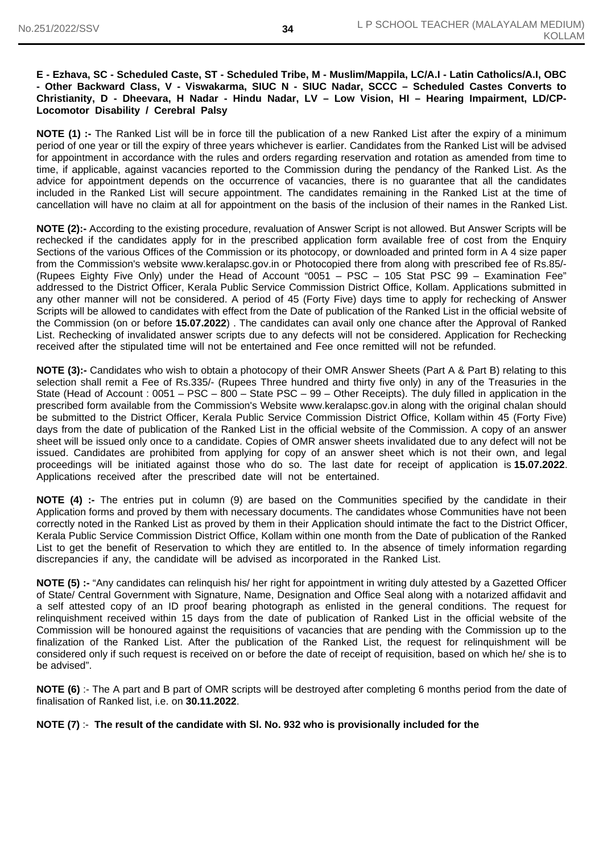#### **E - Ezhava, SC - Scheduled Caste, ST - Scheduled Tribe, M - Muslim/Mappila, LC/A.I - Latin Catholics/A.I, OBC - Other Backward Class, V - Viswakarma, SIUC N - SIUC Nadar, SCCC – Scheduled Castes Converts to Christianity, D - Dheevara, H Nadar - Hindu Nadar, LV – Low Vision, HI – Hearing Impairment, LD/CP-Locomotor Disability / Cerebral Palsy**

**NOTE (1) :-** The Ranked List will be in force till the publication of a new Ranked List after the expiry of a minimum period of one year or till the expiry of three years whichever is earlier. Candidates from the Ranked List will be advised for appointment in accordance with the rules and orders regarding reservation and rotation as amended from time to time, if applicable, against vacancies reported to the Commission during the pendancy of the Ranked List. As the advice for appointment depends on the occurrence of vacancies, there is no guarantee that all the candidates included in the Ranked List will secure appointment. The candidates remaining in the Ranked List at the time of cancellation will have no claim at all for appointment on the basis of the inclusion of their names in the Ranked List.

**NOTE (2):-** According to the existing procedure, revaluation of Answer Script is not allowed. But Answer Scripts will be rechecked if the candidates apply for in the prescribed application form available free of cost from the Enquiry Sections of the various Offices of the Commission or its photocopy, or downloaded and printed form in A 4 size paper from the Commission's website www.keralapsc.gov.in or Photocopied there from along with prescribed fee of Rs.85/- (Rupees Eighty Five Only) under the Head of Account "0051 – PSC – 105 Stat PSC 99 – Examination Fee" addressed to the District Officer, Kerala Public Service Commission District Office, Kollam. Applications submitted in any other manner will not be considered. A period of 45 (Forty Five) days time to apply for rechecking of Answer Scripts will be allowed to candidates with effect from the Date of publication of the Ranked List in the official website of the Commission (on or before **15.07.2022**) . The candidates can avail only one chance after the Approval of Ranked List. Rechecking of invalidated answer scripts due to any defects will not be considered. Application for Rechecking received after the stipulated time will not be entertained and Fee once remitted will not be refunded.

**NOTE (3):-** Candidates who wish to obtain a photocopy of their OMR Answer Sheets (Part A & Part B) relating to this selection shall remit a Fee of Rs.335/- (Rupees Three hundred and thirty five only) in any of the Treasuries in the State (Head of Account : 0051 – PSC – 800 – State PSC – 99 – Other Receipts). The duly filled in application in the prescribed form available from the Commission's Website www.keralapsc.gov.in along with the original chalan should be submitted to the District Officer, Kerala Public Service Commission District Office, Kollam within 45 (Forty Five) days from the date of publication of the Ranked List in the official website of the Commission. A copy of an answer sheet will be issued only once to a candidate. Copies of OMR answer sheets invalidated due to any defect will not be issued. Candidates are prohibited from applying for copy of an answer sheet which is not their own, and legal proceedings will be initiated against those who do so. The last date for receipt of application is **15.07.2022**. Applications received after the prescribed date will not be entertained.

**NOTE (4) :-** The entries put in column (9) are based on the Communities specified by the candidate in their Application forms and proved by them with necessary documents. The candidates whose Communities have not been correctly noted in the Ranked List as proved by them in their Application should intimate the fact to the District Officer, Kerala Public Service Commission District Office, Kollam within one month from the Date of publication of the Ranked List to get the benefit of Reservation to which they are entitled to. In the absence of timely information regarding discrepancies if any, the candidate will be advised as incorporated in the Ranked List.

**NOTE (5) :-** "Any candidates can relinquish his/ her right for appointment in writing duly attested by a Gazetted Officer of State/ Central Government with Signature, Name, Designation and Office Seal along with a notarized affidavit and a self attested copy of an ID proof bearing photograph as enlisted in the general conditions. The request for relinquishment received within 15 days from the date of publication of Ranked List in the official website of the Commission will be honoured against the requisitions of vacancies that are pending with the Commission up to the finalization of the Ranked List. After the publication of the Ranked List, the request for relinquishment will be considered only if such request is received on or before the date of receipt of requisition, based on which he/ she is to be advised".

**NOTE (6)** :- The A part and B part of OMR scripts will be destroyed after completing 6 months period from the date of finalisation of Ranked list, i.e. on **30.11.2022**.

#### **NOTE (7)** :- **The result of the candidate with Sl. No. 932 who is provisionally included for the**